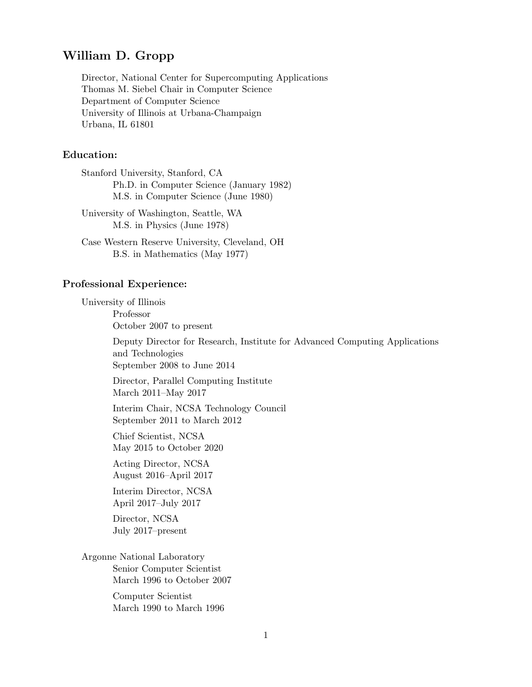# **William D. Gropp**

Director, National Center for Supercomputing Applications Thomas M. Siebel Chair in Computer Science Department of Computer Science University of Illinois at Urbana-Champaign Urbana, IL 61801

## **Education:**

Stanford University, Stanford, CA Ph.D. in Computer Science (January 1982) M.S. in Computer Science (June 1980)

University of Washington, Seattle, WA M.S. in Physics (June 1978)

Case Western Reserve University, Cleveland, OH B.S. in Mathematics (May 1977)

#### **Professional Experience:**

University of Illinois

Professor October 2007 to present

Deputy Director for Research, Institute for Advanced Computing Applications and Technologies September 2008 to June 2014

Director, Parallel Computing Institute March 2011–May 2017

Interim Chair, NCSA Technology Council September 2011 to March 2012

Chief Scientist, NCSA May 2015 to October 2020

Acting Director, NCSA August 2016–April 2017

Interim Director, NCSA April 2017–July 2017

Director, NCSA July 2017–present

Argonne National Laboratory Senior Computer Scientist March 1996 to October 2007

> Computer Scientist March 1990 to March 1996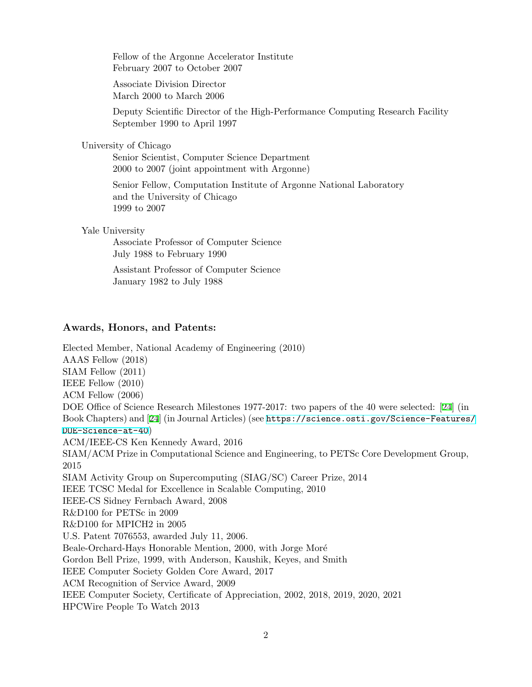Fellow of the Argonne Accelerator Institute February 2007 to October 2007

Associate Division Director March 2000 to March 2006

Deputy Scientific Director of the High-Performance Computing Research Facility September 1990 to April 1997

University of Chicago

Senior Scientist, Computer Science Department 2000 to 2007 (joint appointment with Argonne)

Senior Fellow, Computation Institute of Argonne National Laboratory and the University of Chicago 1999 to 2007

Yale University

Associate Professor of Computer Science July 1988 to February 1990

Assistant Professor of Computer Science January 1982 to July 1988

### **Awards, Honors, and Patents:**

Elected Member, National Academy of Engineering (2010) AAAS Fellow (2018) SIAM Fellow (2011) IEEE Fellow (2010) ACM Fellow (2006) DOE Office of Science Research Milestones 1977-2017: two papers of the 40 were selected: [[24](#page-12-0)] (in Book Chapters) and [[24\]](#page-14-0) (in Journal Articles) (see [https://science.osti.gov/Science-Features/](https://science.osti.gov/Science-Features/DOE-Science-at-40) [DOE-Science-at-40](https://science.osti.gov/Science-Features/DOE-Science-at-40)) ACM/IEEE-CS Ken Kennedy Award, 2016 SIAM/ACM Prize in Computational Science and Engineering, to PETSc Core Development Group, 2015 SIAM Activity Group on Supercomputing (SIAG/SC) Career Prize, 2014 IEEE TCSC Medal for Excellence in Scalable Computing, 2010 IEEE-CS Sidney Fernbach Award, 2008 R&D100 for PETSc in 2009 R&D100 for MPICH2 in 2005 U.S. Patent 7076553, awarded July 11, 2006. Beale-Orchard-Hays Honorable Mention, 2000, with Jorge Moré Gordon Bell Prize, 1999, with Anderson, Kaushik, Keyes, and Smith IEEE Computer Society Golden Core Award, 2017 ACM Recognition of Service Award, 2009 IEEE Computer Society, Certificate of Appreciation, 2002, 2018, 2019, 2020, 2021 HPCWire People To Watch 2013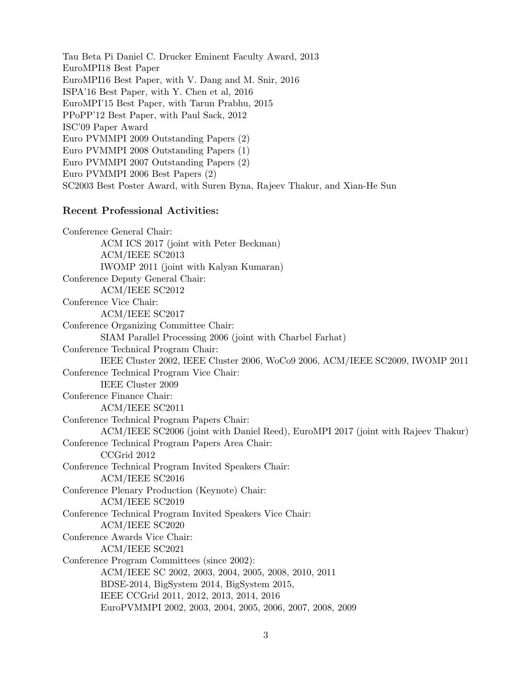Tau Beta Pi Daniel C. Drucker Eminent Faculty Award, 2013 EuroMPI18 Best Paper EuroMPI16 Best Paper, with V. Dang and M. Snir, 2016 ISPA'16 Best Paper, with Y. Chen et al, 2016 EuroMPI'15 Best Paper, with Tarun Prabhu, 2015 PPoPP'12 Best Paper, with Paul Sack, 2012 ISC'09 Paper Award Euro PVMMPI 2009 Outstanding Papers (2) Euro PVMMPI 2008 Outstanding Papers (1) Euro PVMMPI 2007 Outstanding Papers (2) Euro PVMMPI 2006 Best Papers (2) SC2003 Best Poster Award, with Suren Byna, Rajeev Thakur, and Xian-He Sun

### **Recent Professional Activities:**

Conference General Chair: ACM ICS 2017 (joint with Peter Beckman) ACM/IEEE SC2013 IWOMP 2011 (joint with Kalyan Kumaran) Conference Deputy General Chair: ACM/IEEE SC2012 Conference Vice Chair: ACM/IEEE SC2017 Conference Organizing Committee Chair: SIAM Parallel Processing 2006 (joint with Charbel Farhat) Conference Technical Program Chair: IEEE Cluster 2002, IEEE Cluster 2006, WoCo9 2006, ACM/IEEE SC2009, IWOMP 2011 Conference Technical Program Vice Chair: IEEE Cluster 2009 Conference Finance Chair: ACM/IEEE SC2011 Conference Technical Program Papers Chair: ACM/IEEE SC2006 (joint with Daniel Reed), EuroMPI 2017 (joint with Rajeev Thakur) Conference Technical Program Papers Area Chair: CCGrid 2012 Conference Technical Program Invited Speakers Chair: ACM/IEEE SC2016 Conference Plenary Production (Keynote) Chair: ACM/IEEE SC2019 Conference Technical Program Invited Speakers Vice Chair: ACM/IEEE SC2020 Conference Awards Vice Chair: ACM/IEEE SC2021 Conference Program Committees (since 2002): ACM/IEEE SC 2002, 2003, 2004, 2005, 2008, 2010, 2011 BDSE-2014, BigSystem 2014, BigSystem 2015, IEEE CCGrid 2011, 2012, 2013, 2014, 2016 EuroPVMMPI 2002, 2003, 2004, 2005, 2006, 2007, 2008, 2009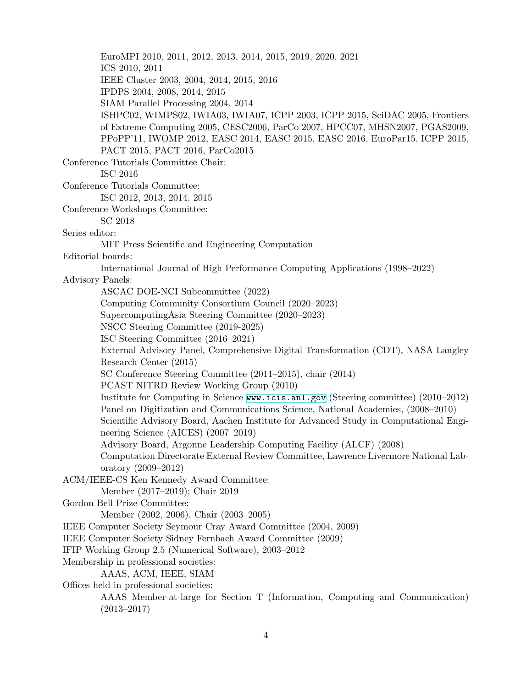EuroMPI 2010, 2011, 2012, 2013, 2014, 2015, 2019, 2020, 2021 ICS 2010, 2011 IEEE Cluster 2003, 2004, 2014, 2015, 2016 IPDPS 2004, 2008, 2014, 2015 SIAM Parallel Processing 2004, 2014 ISHPC02, WIMPS02, IWIA03, IWIA07, ICPP 2003, ICPP 2015, SciDAC 2005, Frontiers of Extreme Computing 2005, CESC2006, ParCo 2007, HPCC07, MHSN2007, PGAS2009, PPoPP'11, IWOMP 2012, EASC 2014, EASC 2015, EASC 2016, EuroPar15, ICPP 2015, PACT 2015, PACT 2016, ParCo2015 Conference Tutorials Committee Chair: ISC 2016 Conference Tutorials Committee: ISC 2012, 2013, 2014, 2015 Conference Workshops Committee: SC 2018 Series editor: MIT Press Scientific and Engineering Computation Editorial boards: International Journal of High Performance Computing Applications (1998–2022) Advisory Panels: ASCAC DOE-NCI Subcommittee (2022) Computing Community Consortium Council (2020–2023) SupercomputingAsia Steering Committee (2020–2023) NSCC Steering Committee (2019-2025) ISC Steering Committee (2016–2021) External Advisory Panel, Comprehensive Digital Transformation (CDT), NASA Langley Research Center (2015) SC Conference Steering Committee (2011–2015), chair (2014) PCAST NITRD Review Working Group (2010) Institute for Computing in Science <www.icis.anl.gov> (Steering committee) (2010–2012) Panel on Digitization and Communications Science, National Academies, (2008–2010) Scientific Advisory Board, Aachen Institute for Advanced Study in Computational Engineering Science (AICES) (2007–2019) Advisory Board, Argonne Leadership Computing Facility (ALCF) (2008) Computation Directorate External Review Committee, Lawrence Livermore National Laboratory (2009–2012) ACM/IEEE-CS Ken Kennedy Award Committee: Member (2017–2019); Chair 2019 Gordon Bell Prize Committee: Member (2002, 2006), Chair (2003–2005) IEEE Computer Society Seymour Cray Award Committee (2004, 2009) IEEE Computer Society Sidney Fernbach Award Committee (2009) IFIP Working Group 2.5 (Numerical Software), 2003–2012 Membership in professional societies: AAAS, ACM, IEEE, SIAM Offices held in professional societies: AAAS Member-at-large for Section T (Information, Computing and Communication) (2013–2017)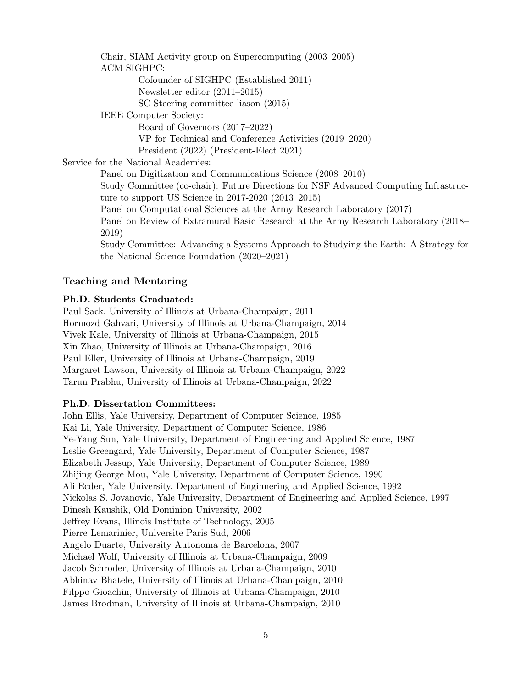Chair, SIAM Activity group on Supercomputing (2003–2005) ACM SIGHPC: Cofounder of SIGHPC (Established 2011) Newsletter editor (2011–2015) SC Steering committee liason (2015) IEEE Computer Society: Board of Governors (2017–2022) VP for Technical and Conference Activities (2019–2020) President (2022) (President-Elect 2021) Service for the National Academies: Panel on Digitization and Communications Science (2008–2010) Study Committee (co-chair): Future Directions for NSF Advanced Computing Infrastructure to support US Science in 2017-2020 (2013–2015) Panel on Computational Sciences at the Army Research Laboratory (2017) Panel on Review of Extramural Basic Research at the Army Research Laboratory (2018– 2019) Study Committee: Advancing a Systems Approach to Studying the Earth: A Strategy for the National Science Foundation (2020–2021)

## **Teaching and Mentoring**

### **Ph.D. Students Graduated:**

Paul Sack, University of Illinois at Urbana-Champaign, 2011 Hormozd Gahvari, University of Illinois at Urbana-Champaign, 2014 Vivek Kale, University of Illinois at Urbana-Champaign, 2015 Xin Zhao, University of Illinois at Urbana-Champaign, 2016 Paul Eller, University of Illinois at Urbana-Champaign, 2019 Margaret Lawson, University of Illinois at Urbana-Champaign, 2022 Tarun Prabhu, University of Illinois at Urbana-Champaign, 2022

### **Ph.D. Dissertation Committees:**

John Ellis, Yale University, Department of Computer Science, 1985 Kai Li, Yale University, Department of Computer Science, 1986 Ye-Yang Sun, Yale University, Department of Engineering and Applied Science, 1987 Leslie Greengard, Yale University, Department of Computer Science, 1987 Elizabeth Jessup, Yale University, Department of Computer Science, 1989 Zhijing George Mou, Yale University, Department of Computer Science, 1990 Ali Ecder, Yale University, Department of Enginnering and Applied Science, 1992 Nickolas S. Jovanovic, Yale University, Department of Engineering and Applied Science, 1997 Dinesh Kaushik, Old Dominion University, 2002 Jeffrey Evans, Illinois Institute of Technology, 2005 Pierre Lemarinier, Universite Paris Sud, 2006 Angelo Duarte, University Autonoma de Barcelona, 2007 Michael Wolf, University of Illinois at Urbana-Champaign, 2009 Jacob Schroder, University of Illinois at Urbana-Champaign, 2010 Abhinav Bhatele, University of Illinois at Urbana-Champaign, 2010 Filppo Gioachin, University of Illinois at Urbana-Champaign, 2010 James Brodman, University of Illinois at Urbana-Champaign, 2010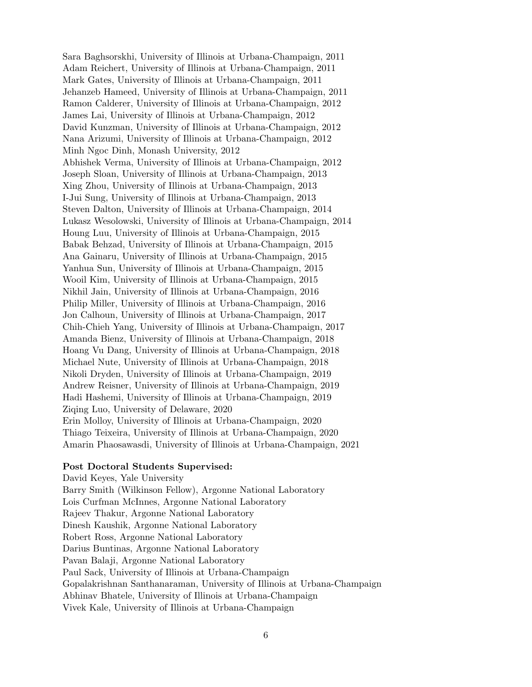Sara Baghsorskhi, University of Illinois at Urbana-Champaign, 2011 Adam Reichert, University of Illinois at Urbana-Champaign, 2011 Mark Gates, University of Illinois at Urbana-Champaign, 2011 Jehanzeb Hameed, University of Illinois at Urbana-Champaign, 2011 Ramon Calderer, University of Illinois at Urbana-Champaign, 2012 James Lai, University of Illinois at Urbana-Champaign, 2012 David Kunzman, University of Illinois at Urbana-Champaign, 2012 Nana Arizumi, University of Illinois at Urbana-Champaign, 2012 Minh Ngoc Dinh, Monash University, 2012 Abhishek Verma, University of Illinois at Urbana-Champaign, 2012 Joseph Sloan, University of Illinois at Urbana-Champaign, 2013 Xing Zhou, University of Illinois at Urbana-Champaign, 2013 I-Jui Sung, University of Illinois at Urbana-Champaign, 2013 Steven Dalton, University of Illinois at Urbana-Champaign, 2014 Lukasz Wesolowski, University of Illinois at Urbana-Champaign, 2014 Houng Luu, University of Illinois at Urbana-Champaign, 2015 Babak Behzad, University of Illinois at Urbana-Champaign, 2015 Ana Gainaru, University of Illinois at Urbana-Champaign, 2015 Yanhua Sun, University of Illinois at Urbana-Champaign, 2015 Wooil Kim, University of Illinois at Urbana-Champaign, 2015 Nikhil Jain, University of Illinois at Urbana-Champaign, 2016 Philip Miller, University of Illinois at Urbana-Champaign, 2016 Jon Calhoun, University of Illinois at Urbana-Champaign, 2017 Chih-Chieh Yang, University of Illinois at Urbana-Champaign, 2017 Amanda Bienz, University of Illinois at Urbana-Champaign, 2018 Hoang Vu Dang, University of Illinois at Urbana-Champaign, 2018 Michael Nute, University of Illinois at Urbana-Champaign, 2018 Nikoli Dryden, University of Illinois at Urbana-Champaign, 2019 Andrew Reisner, University of Illinois at Urbana-Champaign, 2019 Hadi Hashemi, University of Illinois at Urbana-Champaign, 2019 Ziqing Luo, University of Delaware, 2020 Erin Molloy, University of Illinois at Urbana-Champaign, 2020 Thiago Teixeira, University of Illinois at Urbana-Champaign, 2020 Amarin Phaosawasdi, University of Illinois at Urbana-Champaign, 2021

#### **Post Doctoral Students Supervised:**

David Keyes, Yale University Barry Smith (Wilkinson Fellow), Argonne National Laboratory Lois Curfman McInnes, Argonne National Laboratory Rajeev Thakur, Argonne National Laboratory Dinesh Kaushik, Argonne National Laboratory Robert Ross, Argonne National Laboratory Darius Buntinas, Argonne National Laboratory Pavan Balaji, Argonne National Laboratory Paul Sack, University of Illinois at Urbana-Champaign Gopalakrishnan Santhanaraman, University of Illinois at Urbana-Champaign Abhinav Bhatele, University of Illinois at Urbana-Champaign Vivek Kale, University of Illinois at Urbana-Champaign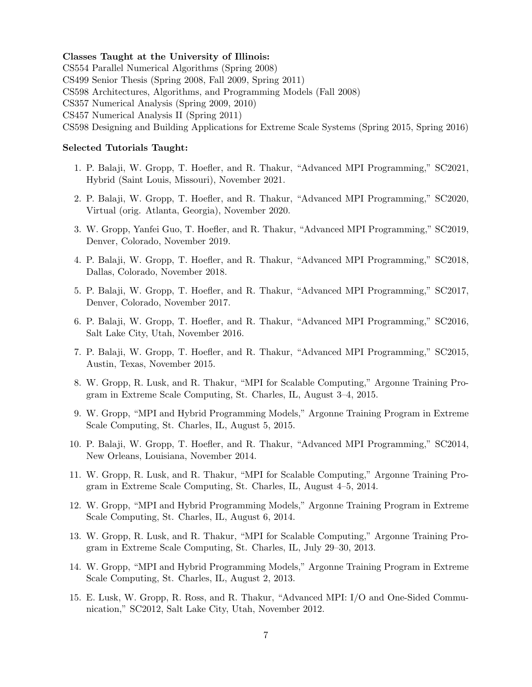#### **Classes Taught at the University of Illinois:**

CS554 Parallel Numerical Algorithms (Spring 2008) CS499 Senior Thesis (Spring 2008, Fall 2009, Spring 2011) CS598 Architectures, Algorithms, and Programming Models (Fall 2008) CS357 Numerical Analysis (Spring 2009, 2010) CS457 Numerical Analysis II (Spring 2011) CS598 Designing and Building Applications for Extreme Scale Systems (Spring 2015, Spring 2016)

#### **Selected Tutorials Taught:**

- 1. P. Balaji, W. Gropp, T. Hoefler, and R. Thakur, "Advanced MPI Programming," SC2021, Hybrid (Saint Louis, Missouri), November 2021.
- 2. P. Balaji, W. Gropp, T. Hoefler, and R. Thakur, "Advanced MPI Programming," SC2020, Virtual (orig. Atlanta, Georgia), November 2020.
- 3. W. Gropp, Yanfei Guo, T. Hoefler, and R. Thakur, "Advanced MPI Programming," SC2019, Denver, Colorado, November 2019.
- 4. P. Balaji, W. Gropp, T. Hoefler, and R. Thakur, "Advanced MPI Programming," SC2018, Dallas, Colorado, November 2018.
- 5. P. Balaji, W. Gropp, T. Hoefler, and R. Thakur, "Advanced MPI Programming," SC2017, Denver, Colorado, November 2017.
- 6. P. Balaji, W. Gropp, T. Hoefler, and R. Thakur, "Advanced MPI Programming," SC2016, Salt Lake City, Utah, November 2016.
- 7. P. Balaji, W. Gropp, T. Hoefler, and R. Thakur, "Advanced MPI Programming," SC2015, Austin, Texas, November 2015.
- 8. W. Gropp, R. Lusk, and R. Thakur, "MPI for Scalable Computing," Argonne Training Program in Extreme Scale Computing, St. Charles, IL, August 3–4, 2015.
- 9. W. Gropp, "MPI and Hybrid Programming Models," Argonne Training Program in Extreme Scale Computing, St. Charles, IL, August 5, 2015.
- 10. P. Balaji, W. Gropp, T. Hoefler, and R. Thakur, "Advanced MPI Programming," SC2014, New Orleans, Louisiana, November 2014.
- 11. W. Gropp, R. Lusk, and R. Thakur, "MPI for Scalable Computing," Argonne Training Program in Extreme Scale Computing, St. Charles, IL, August 4–5, 2014.
- 12. W. Gropp, "MPI and Hybrid Programming Models," Argonne Training Program in Extreme Scale Computing, St. Charles, IL, August 6, 2014.
- 13. W. Gropp, R. Lusk, and R. Thakur, "MPI for Scalable Computing," Argonne Training Program in Extreme Scale Computing, St. Charles, IL, July 29–30, 2013.
- 14. W. Gropp, "MPI and Hybrid Programming Models," Argonne Training Program in Extreme Scale Computing, St. Charles, IL, August 2, 2013.
- 15. E. Lusk, W. Gropp, R. Ross, and R. Thakur, "Advanced MPI: I/O and One-Sided Communication," SC2012, Salt Lake City, Utah, November 2012.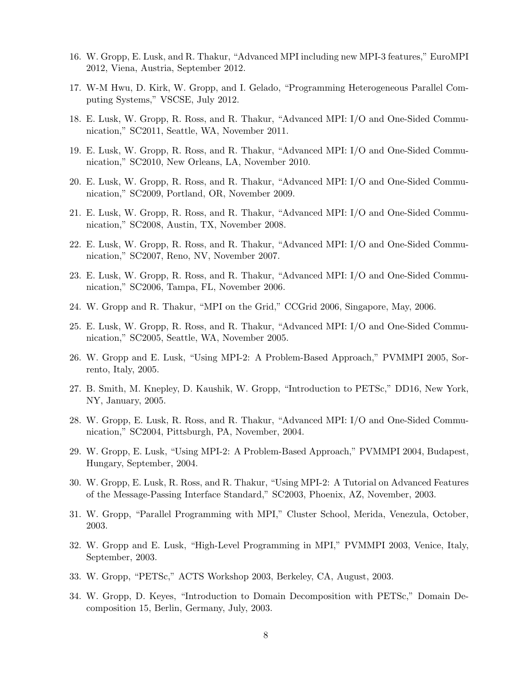- 16. W. Gropp, E. Lusk, and R. Thakur, "Advanced MPI including new MPI-3 features," EuroMPI 2012, Viena, Austria, September 2012.
- 17. W-M Hwu, D. Kirk, W. Gropp, and I. Gelado, "Programming Heterogeneous Parallel Computing Systems," VSCSE, July 2012.
- 18. E. Lusk, W. Gropp, R. Ross, and R. Thakur, "Advanced MPI: I/O and One-Sided Communication," SC2011, Seattle, WA, November 2011.
- 19. E. Lusk, W. Gropp, R. Ross, and R. Thakur, "Advanced MPI: I/O and One-Sided Communication," SC2010, New Orleans, LA, November 2010.
- 20. E. Lusk, W. Gropp, R. Ross, and R. Thakur, "Advanced MPI: I/O and One-Sided Communication," SC2009, Portland, OR, November 2009.
- 21. E. Lusk, W. Gropp, R. Ross, and R. Thakur, "Advanced MPI: I/O and One-Sided Communication," SC2008, Austin, TX, November 2008.
- 22. E. Lusk, W. Gropp, R. Ross, and R. Thakur, "Advanced MPI: I/O and One-Sided Communication," SC2007, Reno, NV, November 2007.
- 23. E. Lusk, W. Gropp, R. Ross, and R. Thakur, "Advanced MPI: I/O and One-Sided Communication," SC2006, Tampa, FL, November 2006.
- 24. W. Gropp and R. Thakur, "MPI on the Grid," CCGrid 2006, Singapore, May, 2006.
- 25. E. Lusk, W. Gropp, R. Ross, and R. Thakur, "Advanced MPI: I/O and One-Sided Communication," SC2005, Seattle, WA, November 2005.
- 26. W. Gropp and E. Lusk, "Using MPI-2: A Problem-Based Approach," PVMMPI 2005, Sorrento, Italy, 2005.
- 27. B. Smith, M. Knepley, D. Kaushik, W. Gropp, "Introduction to PETSc," DD16, New York, NY, January, 2005.
- 28. W. Gropp, E. Lusk, R. Ross, and R. Thakur, "Advanced MPI: I/O and One-Sided Communication," SC2004, Pittsburgh, PA, November, 2004.
- 29. W. Gropp, E. Lusk, "Using MPI-2: A Problem-Based Approach," PVMMPI 2004, Budapest, Hungary, September, 2004.
- 30. W. Gropp, E. Lusk, R. Ross, and R. Thakur, "Using MPI-2: A Tutorial on Advanced Features of the Message-Passing Interface Standard," SC2003, Phoenix, AZ, November, 2003.
- 31. W. Gropp, "Parallel Programming with MPI," Cluster School, Merida, Venezula, October, 2003.
- 32. W. Gropp and E. Lusk, "High-Level Programming in MPI," PVMMPI 2003, Venice, Italy, September, 2003.
- 33. W. Gropp, "PETSc," ACTS Workshop 2003, Berkeley, CA, August, 2003.
- 34. W. Gropp, D. Keyes, "Introduction to Domain Decomposition with PETSc," Domain Decomposition 15, Berlin, Germany, July, 2003.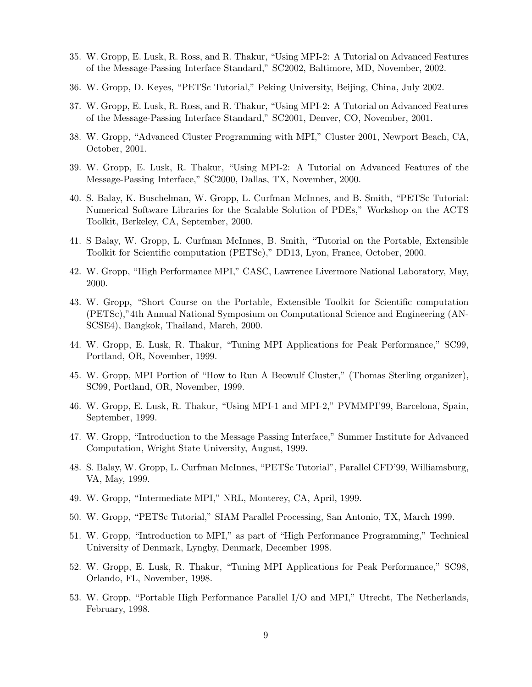- 35. W. Gropp, E. Lusk, R. Ross, and R. Thakur, "Using MPI-2: A Tutorial on Advanced Features of the Message-Passing Interface Standard," SC2002, Baltimore, MD, November, 2002.
- 36. W. Gropp, D. Keyes, "PETSc Tutorial," Peking University, Beijing, China, July 2002.
- 37. W. Gropp, E. Lusk, R. Ross, and R. Thakur, "Using MPI-2: A Tutorial on Advanced Features of the Message-Passing Interface Standard," SC2001, Denver, CO, November, 2001.
- 38. W. Gropp, "Advanced Cluster Programming with MPI," Cluster 2001, Newport Beach, CA, October, 2001.
- 39. W. Gropp, E. Lusk, R. Thakur, "Using MPI-2: A Tutorial on Advanced Features of the Message-Passing Interface," SC2000, Dallas, TX, November, 2000.
- 40. S. Balay, K. Buschelman, W. Gropp, L. Curfman McInnes, and B. Smith, "PETSc Tutorial: Numerical Software Libraries for the Scalable Solution of PDEs," Workshop on the ACTS Toolkit, Berkeley, CA, September, 2000.
- 41. S Balay, W. Gropp, L. Curfman McInnes, B. Smith, "Tutorial on the Portable, Extensible Toolkit for Scientific computation (PETSc)," DD13, Lyon, France, October, 2000.
- 42. W. Gropp, "High Performance MPI," CASC, Lawrence Livermore National Laboratory, May, 2000.
- 43. W. Gropp, "Short Course on the Portable, Extensible Toolkit for Scientific computation (PETSc),"4th Annual National Symposium on Computational Science and Engineering (AN-SCSE4), Bangkok, Thailand, March, 2000.
- 44. W. Gropp, E. Lusk, R. Thakur, "Tuning MPI Applications for Peak Performance," SC99, Portland, OR, November, 1999.
- 45. W. Gropp, MPI Portion of "How to Run A Beowulf Cluster," (Thomas Sterling organizer), SC99, Portland, OR, November, 1999.
- 46. W. Gropp, E. Lusk, R. Thakur, "Using MPI-1 and MPI-2," PVMMPI'99, Barcelona, Spain, September, 1999.
- 47. W. Gropp, "Introduction to the Message Passing Interface," Summer Institute for Advanced Computation, Wright State University, August, 1999.
- 48. S. Balay, W. Gropp, L. Curfman McInnes, "PETSc Tutorial", Parallel CFD'99, Williamsburg, VA, May, 1999.
- 49. W. Gropp, "Intermediate MPI," NRL, Monterey, CA, April, 1999.
- 50. W. Gropp, "PETSc Tutorial," SIAM Parallel Processing, San Antonio, TX, March 1999.
- 51. W. Gropp, "Introduction to MPI," as part of "High Performance Programming," Technical University of Denmark, Lyngby, Denmark, December 1998.
- 52. W. Gropp, E. Lusk, R. Thakur, "Tuning MPI Applications for Peak Performance," SC98, Orlando, FL, November, 1998.
- 53. W. Gropp, "Portable High Performance Parallel I/O and MPI," Utrecht, The Netherlands, February, 1998.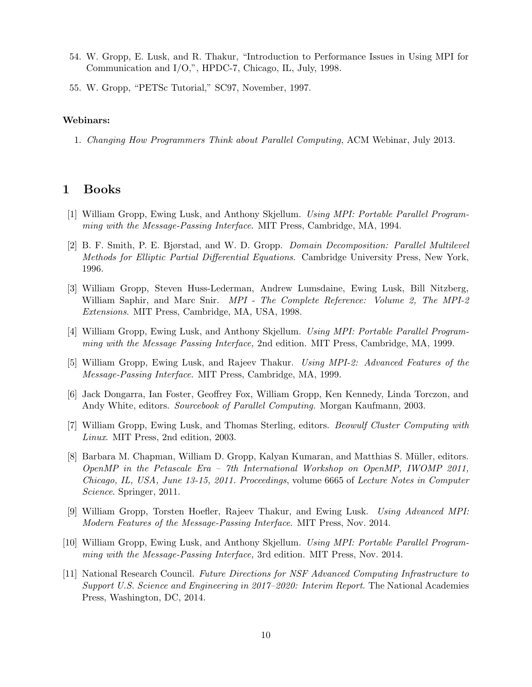- 54. W. Gropp, E. Lusk, and R. Thakur, "Introduction to Performance Issues in Using MPI for Communication and I/O,", HPDC-7, Chicago, IL, July, 1998.
- 55. W. Gropp, "PETSc Tutorial," SC97, November, 1997.

#### **Webinars:**

1. *Changing How Programmers Think about Parallel Computing*, ACM Webinar, July 2013.

## **1 Books**

- [1] William Gropp, Ewing Lusk, and Anthony Skjellum. *Using MPI: Portable Parallel Programming with the Message-Passing Interface*. MIT Press, Cambridge, MA, 1994.
- [2] B. F. Smith, P. E. Bjørstad, and W. D. Gropp. *Domain Decomposition: Parallel Multilevel Methods for Elliptic Partial Differential Equations*. Cambridge University Press, New York, 1996.
- [3] William Gropp, Steven Huss-Lederman, Andrew Lumsdaine, Ewing Lusk, Bill Nitzberg, William Saphir, and Marc Snir. *MPI - The Complete Reference: Volume 2, The MPI-2 Extensions*. MIT Press, Cambridge, MA, USA, 1998.
- [4] William Gropp, Ewing Lusk, and Anthony Skjellum. *Using MPI: Portable Parallel Programming with the Message Passing Interface,* 2nd edition. MIT Press, Cambridge, MA, 1999.
- [5] William Gropp, Ewing Lusk, and Rajeev Thakur. *Using MPI-2: Advanced Features of the Message-Passing Interface*. MIT Press, Cambridge, MA, 1999.
- [6] Jack Dongarra, Ian Foster, Geoffrey Fox, William Gropp, Ken Kennedy, Linda Torczon, and Andy White, editors. *Sourcebook of Parallel Computing*. Morgan Kaufmann, 2003.
- [7] William Gropp, Ewing Lusk, and Thomas Sterling, editors. *Beowulf Cluster Computing with Linux*. MIT Press, 2nd edition, 2003.
- [8] Barbara M. Chapman, William D. Gropp, Kalyan Kumaran, and Matthias S. Müller, editors. *OpenMP in the Petascale Era – 7th International Workshop on OpenMP, IWOMP 2011, Chicago, IL, USA, June 13-15, 2011. Proceedings*, volume 6665 of *Lecture Notes in Computer Science*. Springer, 2011.
- [9] William Gropp, Torsten Hoefler, Rajeev Thakur, and Ewing Lusk. *Using Advanced MPI: Modern Features of the Message-Passing Interface*. MIT Press, Nov. 2014.
- [10] William Gropp, Ewing Lusk, and Anthony Skjellum. *Using MPI: Portable Parallel Programming with the Message-Passing Interface,* 3rd edition. MIT Press, Nov. 2014.
- [11] National Research Council. *Future Directions for NSF Advanced Computing Infrastructure to Support U.S. Science and Engineering in 2017–2020: Interim Report*. The National Academies Press, Washington, DC, 2014.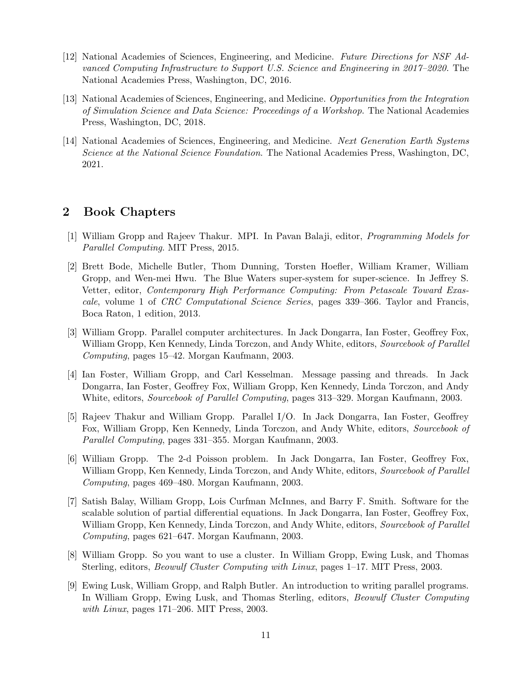- [12] National Academies of Sciences, Engineering, and Medicine. *Future Directions for NSF Advanced Computing Infrastructure to Support U.S. Science and Engineering in 2017–2020*. The National Academies Press, Washington, DC, 2016.
- [13] National Academies of Sciences, Engineering, and Medicine. *Opportunities from the Integration of Simulation Science and Data Science: Proceedings of a Workshop*. The National Academies Press, Washington, DC, 2018.
- [14] National Academies of Sciences, Engineering, and Medicine. *Next Generation Earth Systems Science at the National Science Foundation*. The National Academies Press, Washington, DC, 2021.

## **2 Book Chapters**

- [1] William Gropp and Rajeev Thakur. MPI. In Pavan Balaji, editor, *Programming Models for Parallel Computing*. MIT Press, 2015.
- [2] Brett Bode, Michelle Butler, Thom Dunning, Torsten Hoefler, William Kramer, William Gropp, and Wen-mei Hwu. The Blue Waters super-system for super-science. In Jeffrey S. Vetter, editor, *Contemporary High Performance Computing: From Petascale Toward Exascale*, volume 1 of *CRC Computational Science Series*, pages 339–366. Taylor and Francis, Boca Raton, 1 edition, 2013.
- [3] William Gropp. Parallel computer architectures. In Jack Dongarra, Ian Foster, Geoffrey Fox, William Gropp, Ken Kennedy, Linda Torczon, and Andy White, editors, *Sourcebook of Parallel Computing*, pages 15–42. Morgan Kaufmann, 2003.
- [4] Ian Foster, William Gropp, and Carl Kesselman. Message passing and threads. In Jack Dongarra, Ian Foster, Geoffrey Fox, William Gropp, Ken Kennedy, Linda Torczon, and Andy White, editors, *Sourcebook of Parallel Computing*, pages 313–329. Morgan Kaufmann, 2003.
- [5] Rajeev Thakur and William Gropp. Parallel I/O. In Jack Dongarra, Ian Foster, Geoffrey Fox, William Gropp, Ken Kennedy, Linda Torczon, and Andy White, editors, *Sourcebook of Parallel Computing*, pages 331–355. Morgan Kaufmann, 2003.
- [6] William Gropp. The 2-d Poisson problem. In Jack Dongarra, Ian Foster, Geoffrey Fox, William Gropp, Ken Kennedy, Linda Torczon, and Andy White, editors, *Sourcebook of Parallel Computing*, pages 469–480. Morgan Kaufmann, 2003.
- [7] Satish Balay, William Gropp, Lois Curfman McInnes, and Barry F. Smith. Software for the scalable solution of partial differential equations. In Jack Dongarra, Ian Foster, Geoffrey Fox, William Gropp, Ken Kennedy, Linda Torczon, and Andy White, editors, *Sourcebook of Parallel Computing*, pages 621–647. Morgan Kaufmann, 2003.
- [8] William Gropp. So you want to use a cluster. In William Gropp, Ewing Lusk, and Thomas Sterling, editors, *Beowulf Cluster Computing with Linux*, pages 1–17. MIT Press, 2003.
- [9] Ewing Lusk, William Gropp, and Ralph Butler. An introduction to writing parallel programs. In William Gropp, Ewing Lusk, and Thomas Sterling, editors, *Beowulf Cluster Computing with Linux*, pages 171–206. MIT Press, 2003.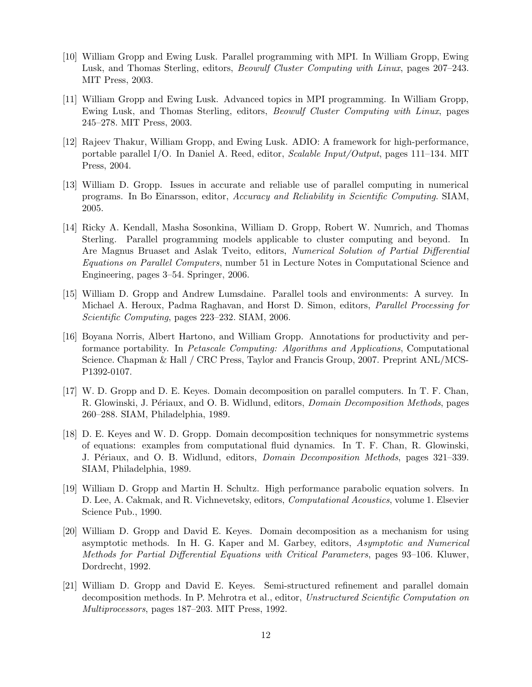- [10] William Gropp and Ewing Lusk. Parallel programming with MPI. In William Gropp, Ewing Lusk, and Thomas Sterling, editors, *Beowulf Cluster Computing with Linux*, pages 207–243. MIT Press, 2003.
- [11] William Gropp and Ewing Lusk. Advanced topics in MPI programming. In William Gropp, Ewing Lusk, and Thomas Sterling, editors, *Beowulf Cluster Computing with Linux*, pages 245–278. MIT Press, 2003.
- [12] Rajeev Thakur, William Gropp, and Ewing Lusk. ADIO: A framework for high-performance, portable parallel I/O. In Daniel A. Reed, editor, *Scalable Input/Output*, pages 111–134. MIT Press, 2004.
- [13] William D. Gropp. Issues in accurate and reliable use of parallel computing in numerical programs. In Bo Einarsson, editor, *Accuracy and Reliability in Scientific Computing*. SIAM, 2005.
- [14] Ricky A. Kendall, Masha Sosonkina, William D. Gropp, Robert W. Numrich, and Thomas Sterling. Parallel programming models applicable to cluster computing and beyond. In Are Magnus Bruaset and Aslak Tveito, editors, *Numerical Solution of Partial Differential Equations on Parallel Computers*, number 51 in Lecture Notes in Computational Science and Engineering, pages 3–54. Springer, 2006.
- [15] William D. Gropp and Andrew Lumsdaine. Parallel tools and environments: A survey. In Michael A. Heroux, Padma Raghavan, and Horst D. Simon, editors, *Parallel Processing for Scientific Computing*, pages 223–232. SIAM, 2006.
- [16] Boyana Norris, Albert Hartono, and William Gropp. Annotations for productivity and performance portability. In *Petascale Computing: Algorithms and Applications*, Computational Science. Chapman & Hall / CRC Press, Taylor and Francis Group, 2007. Preprint ANL/MCS-P1392-0107.
- [17] W. D. Gropp and D. E. Keyes. Domain decomposition on parallel computers. In T. F. Chan, R. Glowinski, J. Périaux, and O. B. Widlund, editors, *Domain Decomposition Methods*, pages 260–288. SIAM, Philadelphia, 1989.
- [18] D. E. Keyes and W. D. Gropp. Domain decomposition techniques for nonsymmetric systems of equations: examples from computational fluid dynamics. In T. F. Chan, R. Glowinski, J. P´eriaux, and O. B. Widlund, editors, *Domain Decomposition Methods*, pages 321–339. SIAM, Philadelphia, 1989.
- [19] William D. Gropp and Martin H. Schultz. High performance parabolic equation solvers. In D. Lee, A. Cakmak, and R. Vichnevetsky, editors, *Computational Acoustics*, volume 1. Elsevier Science Pub., 1990.
- [20] William D. Gropp and David E. Keyes. Domain decomposition as a mechanism for using asymptotic methods. In H. G. Kaper and M. Garbey, editors, *Asymptotic and Numerical Methods for Partial Differential Equations with Critical Parameters*, pages 93–106. Kluwer, Dordrecht, 1992.
- [21] William D. Gropp and David E. Keyes. Semi-structured refinement and parallel domain decomposition methods. In P. Mehrotra et al., editor, *Unstructured Scientific Computation on Multiprocessors*, pages 187–203. MIT Press, 1992.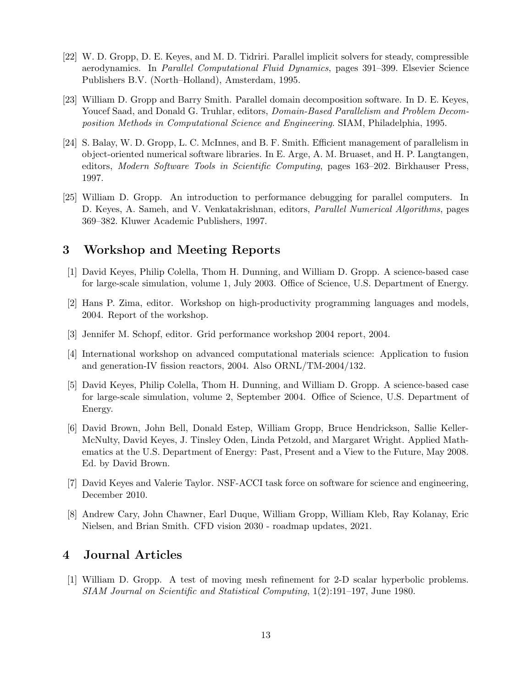- [22] W. D. Gropp, D. E. Keyes, and M. D. Tidriri. Parallel implicit solvers for steady, compressible aerodynamics. In *Parallel Computational Fluid Dynamics*, pages 391–399. Elsevier Science Publishers B.V. (North–Holland), Amsterdam, 1995.
- [23] William D. Gropp and Barry Smith. Parallel domain decomposition software. In D. E. Keyes, Youcef Saad, and Donald G. Truhlar, editors, *Domain-Based Parallelism and Problem Decomposition Methods in Computational Science and Engineering*. SIAM, Philadelphia, 1995.
- <span id="page-12-0"></span>[24] S. Balay, W. D. Gropp, L. C. McInnes, and B. F. Smith. Efficient management of parallelism in object-oriented numerical software libraries. In E. Arge, A. M. Bruaset, and H. P. Langtangen, editors, *Modern Software Tools in Scientific Computing*, pages 163–202. Birkhauser Press, 1997.
- [25] William D. Gropp. An introduction to performance debugging for parallel computers. In D. Keyes, A. Sameh, and V. Venkatakrishnan, editors, *Parallel Numerical Algorithms*, pages 369–382. Kluwer Academic Publishers, 1997.

## **3 Workshop and Meeting Reports**

- [1] David Keyes, Philip Colella, Thom H. Dunning, and William D. Gropp. A science-based case for large-scale simulation, volume 1, July 2003. Office of Science, U.S. Department of Energy.
- [2] Hans P. Zima, editor. Workshop on high-productivity programming languages and models, 2004. Report of the workshop.
- [3] Jennifer M. Schopf, editor. Grid performance workshop 2004 report, 2004.
- [4] International workshop on advanced computational materials science: Application to fusion and generation-IV fission reactors, 2004. Also ORNL/TM-2004/132.
- [5] David Keyes, Philip Colella, Thom H. Dunning, and William D. Gropp. A science-based case for large-scale simulation, volume 2, September 2004. Office of Science, U.S. Department of Energy.
- [6] David Brown, John Bell, Donald Estep, William Gropp, Bruce Hendrickson, Sallie Keller-McNulty, David Keyes, J. Tinsley Oden, Linda Petzold, and Margaret Wright. Applied Mathematics at the U.S. Department of Energy: Past, Present and a View to the Future, May 2008. Ed. by David Brown.
- [7] David Keyes and Valerie Taylor. NSF-ACCI task force on software for science and engineering, December 2010.
- [8] Andrew Cary, John Chawner, Earl Duque, William Gropp, William Kleb, Ray Kolanay, Eric Nielsen, and Brian Smith. CFD vision 2030 - roadmap updates, 2021.

# **4 Journal Articles**

[1] William D. Gropp. A test of moving mesh refinement for 2-D scalar hyperbolic problems. *SIAM Journal on Scientific and Statistical Computing*, 1(2):191–197, June 1980.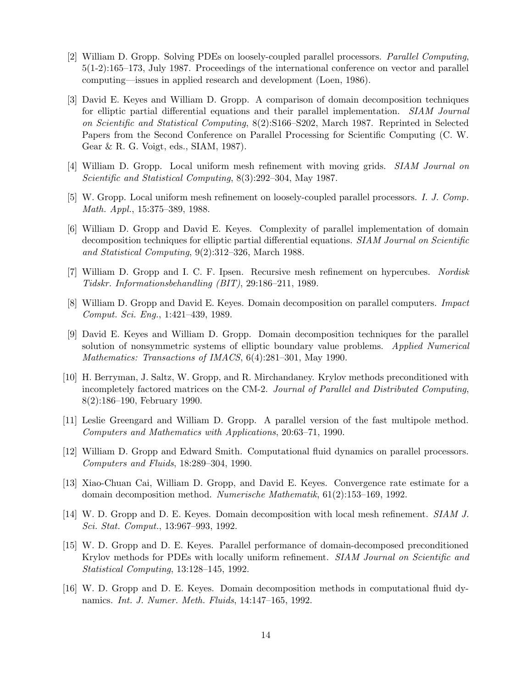- [2] William D. Gropp. Solving PDEs on loosely-coupled parallel processors. *Parallel Computing*, 5(1-2):165–173, July 1987. Proceedings of the international conference on vector and parallel computing—issues in applied research and development (Loen, 1986).
- [3] David E. Keyes and William D. Gropp. A comparison of domain decomposition techniques for elliptic partial differential equations and their parallel implementation. *SIAM Journal on Scientific and Statistical Computing*, 8(2):S166–S202, March 1987. Reprinted in Selected Papers from the Second Conference on Parallel Processing for Scientific Computing (C. W. Gear & R. G. Voigt, eds., SIAM, 1987).
- [4] William D. Gropp. Local uniform mesh refinement with moving grids. *SIAM Journal on Scientific and Statistical Computing*, 8(3):292–304, May 1987.
- [5] W. Gropp. Local uniform mesh refinement on loosely-coupled parallel processors. *I. J. Comp. Math. Appl.*, 15:375–389, 1988.
- [6] William D. Gropp and David E. Keyes. Complexity of parallel implementation of domain decomposition techniques for elliptic partial differential equations. *SIAM Journal on Scientific and Statistical Computing*, 9(2):312–326, March 1988.
- [7] William D. Gropp and I. C. F. Ipsen. Recursive mesh refinement on hypercubes. *Nordisk Tidskr. Informationsbehandling (BIT)*, 29:186–211, 1989.
- [8] William D. Gropp and David E. Keyes. Domain decomposition on parallel computers. *Impact Comput. Sci. Eng.*, 1:421–439, 1989.
- [9] David E. Keyes and William D. Gropp. Domain decomposition techniques for the parallel solution of nonsymmetric systems of elliptic boundary value problems. *Applied Numerical Mathematics: Transactions of IMACS*, 6(4):281–301, May 1990.
- [10] H. Berryman, J. Saltz, W. Gropp, and R. Mirchandaney. Krylov methods preconditioned with incompletely factored matrices on the CM-2. *Journal of Parallel and Distributed Computing*, 8(2):186–190, February 1990.
- [11] Leslie Greengard and William D. Gropp. A parallel version of the fast multipole method. *Computers and Mathematics with Applications*, 20:63–71, 1990.
- [12] William D. Gropp and Edward Smith. Computational fluid dynamics on parallel processors. *Computers and Fluids*, 18:289–304, 1990.
- [13] Xiao-Chuan Cai, William D. Gropp, and David E. Keyes. Convergence rate estimate for a domain decomposition method. *Numerische Mathematik*, 61(2):153–169, 1992.
- [14] W. D. Gropp and D. E. Keyes. Domain decomposition with local mesh refinement. *SIAM J. Sci. Stat. Comput.*, 13:967–993, 1992.
- [15] W. D. Gropp and D. E. Keyes. Parallel performance of domain-decomposed preconditioned Krylov methods for PDEs with locally uniform refinement. *SIAM Journal on Scientific and Statistical Computing*, 13:128–145, 1992.
- [16] W. D. Gropp and D. E. Keyes. Domain decomposition methods in computational fluid dynamics. *Int. J. Numer. Meth. Fluids*, 14:147–165, 1992.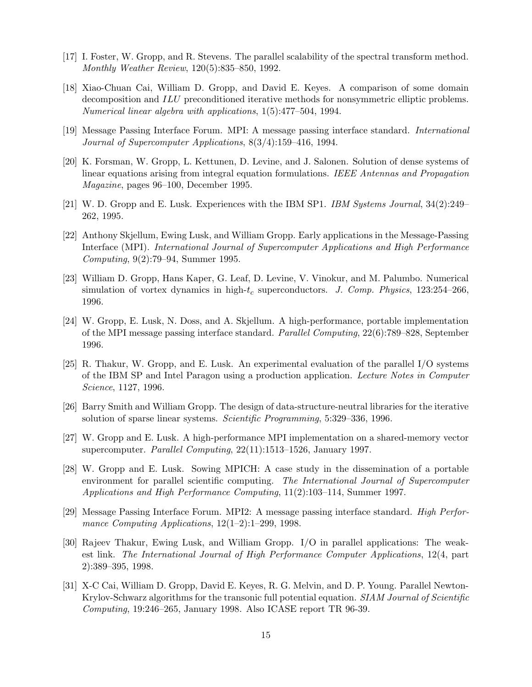- [17] I. Foster, W. Gropp, and R. Stevens. The parallel scalability of the spectral transform method. *Monthly Weather Review*, 120(5):835–850, 1992.
- [18] Xiao-Chuan Cai, William D. Gropp, and David E. Keyes. A comparison of some domain decomposition and *ILU* preconditioned iterative methods for nonsymmetric elliptic problems. *Numerical linear algebra with applications*, 1(5):477–504, 1994.
- [19] Message Passing Interface Forum. MPI: A message passing interface standard. *International Journal of Supercomputer Applications*, 8(3/4):159–416, 1994.
- [20] K. Forsman, W. Gropp, L. Kettunen, D. Levine, and J. Salonen. Solution of dense systems of linear equations arising from integral equation formulations. *IEEE Antennas and Propagation Magazine*, pages 96–100, December 1995.
- [21] W. D. Gropp and E. Lusk. Experiences with the IBM SP1. *IBM Systems Journal*, 34(2):249– 262, 1995.
- [22] Anthony Skjellum, Ewing Lusk, and William Gropp. Early applications in the Message-Passing Interface (MPI). *International Journal of Supercomputer Applications and High Performance Computing*, 9(2):79–94, Summer 1995.
- [23] William D. Gropp, Hans Kaper, G. Leaf, D. Levine, V. Vinokur, and M. Palumbo. Numerical simulation of vortex dynamics in high-*t<sup>c</sup>* superconductors. *J. Comp. Physics*, 123:254–266, 1996.
- <span id="page-14-0"></span>[24] W. Gropp, E. Lusk, N. Doss, and A. Skjellum. A high-performance, portable implementation of the MPI message passing interface standard. *Parallel Computing*, 22(6):789–828, September 1996.
- [25] R. Thakur, W. Gropp, and E. Lusk. An experimental evaluation of the parallel I/O systems of the IBM SP and Intel Paragon using a production application. *Lecture Notes in Computer Science*, 1127, 1996.
- [26] Barry Smith and William Gropp. The design of data-structure-neutral libraries for the iterative solution of sparse linear systems. *Scientific Programming*, 5:329–336, 1996.
- [27] W. Gropp and E. Lusk. A high-performance MPI implementation on a shared-memory vector supercomputer. *Parallel Computing*, 22(11):1513–1526, January 1997.
- [28] W. Gropp and E. Lusk. Sowing MPICH: A case study in the dissemination of a portable environment for parallel scientific computing. *The International Journal of Supercomputer Applications and High Performance Computing*, 11(2):103–114, Summer 1997.
- [29] Message Passing Interface Forum. MPI2: A message passing interface standard. *High Performance Computing Applications*, 12(1–2):1–299, 1998.
- [30] Rajeev Thakur, Ewing Lusk, and William Gropp. I/O in parallel applications: The weakest link. *The International Journal of High Performance Computer Applications*, 12(4, part 2):389–395, 1998.
- [31] X-C Cai, William D. Gropp, David E. Keyes, R. G. Melvin, and D. P. Young. Parallel Newton-Krylov-Schwarz algorithms for the transonic full potential equation. *SIAM Journal of Scientific Computing*, 19:246–265, January 1998. Also ICASE report TR 96-39.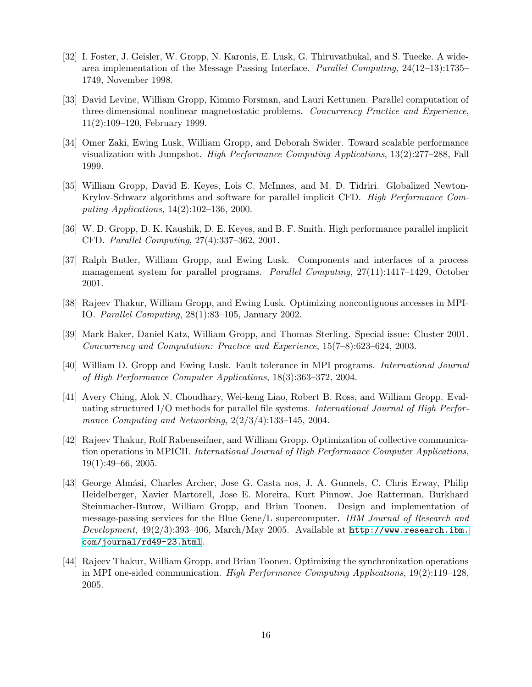- [32] I. Foster, J. Geisler, W. Gropp, N. Karonis, E. Lusk, G. Thiruvathukal, and S. Tuecke. A widearea implementation of the Message Passing Interface. *Parallel Computing*, 24(12–13):1735– 1749, November 1998.
- [33] David Levine, William Gropp, Kimmo Forsman, and Lauri Kettunen. Parallel computation of three-dimensional nonlinear magnetostatic problems. *Concurrency Practice and Experience*, 11(2):109–120, February 1999.
- [34] Omer Zaki, Ewing Lusk, William Gropp, and Deborah Swider. Toward scalable performance visualization with Jumpshot. *High Performance Computing Applications*, 13(2):277–288, Fall 1999.
- [35] William Gropp, David E. Keyes, Lois C. McInnes, and M. D. Tidriri. Globalized Newton-Krylov-Schwarz algorithms and software for parallel implicit CFD. *High Performance Computing Applications*, 14(2):102–136, 2000.
- [36] W. D. Gropp, D. K. Kaushik, D. E. Keyes, and B. F. Smith. High performance parallel implicit CFD. *Parallel Computing*, 27(4):337–362, 2001.
- [37] Ralph Butler, William Gropp, and Ewing Lusk. Components and interfaces of a process management system for parallel programs. *Parallel Computing*, 27(11):1417–1429, October 2001.
- [38] Rajeev Thakur, William Gropp, and Ewing Lusk. Optimizing noncontiguous accesses in MPI-IO. *Parallel Computing*, 28(1):83–105, January 2002.
- [39] Mark Baker, Daniel Katz, William Gropp, and Thomas Sterling. Special issue: Cluster 2001. *Concurrency and Computation: Practice and Experience*, 15(7–8):623–624, 2003.
- [40] William D. Gropp and Ewing Lusk. Fault tolerance in MPI programs. *International Journal of High Performance Computer Applications*, 18(3):363–372, 2004.
- [41] Avery Ching, Alok N. Choudhary, Wei-keng Liao, Robert B. Ross, and William Gropp. Evaluating structured I/O methods for parallel file systems. *International Journal of High Performance Computing and Networking*, 2(2/3/4):133–145, 2004.
- [42] Rajeev Thakur, Rolf Rabenseifner, and William Gropp. Optimization of collective communication operations in MPICH. *International Journal of High Performance Computer Applications*, 19(1):49–66, 2005.
- [43] George Alm´asi, Charles Archer, Jose G. Casta nos, J. A. Gunnels, C. Chris Erway, Philip Heidelberger, Xavier Martorell, Jose E. Moreira, Kurt Pinnow, Joe Ratterman, Burkhard Steinmacher-Burow, William Gropp, and Brian Toonen. Design and implementation of message-passing services for the Blue Gene/L supercomputer. *IBM Journal of Research and Development*, 49(2/3):393–406, March/May 2005. Available at [http://www.research.ibm.](http://www.research.ibm.com/journal/rd49-23.html) [com/journal/rd49-23.html](http://www.research.ibm.com/journal/rd49-23.html).
- [44] Rajeev Thakur, William Gropp, and Brian Toonen. Optimizing the synchronization operations in MPI one-sided communication. *High Performance Computing Applications*, 19(2):119–128, 2005.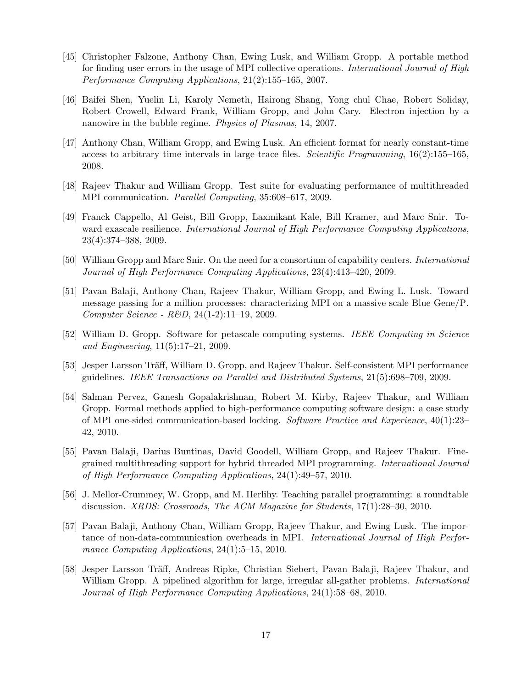- [45] Christopher Falzone, Anthony Chan, Ewing Lusk, and William Gropp. A portable method for finding user errors in the usage of MPI collective operations. *International Journal of High Performance Computing Applications*, 21(2):155–165, 2007.
- [46] Baifei Shen, Yuelin Li, Karoly Nemeth, Hairong Shang, Yong chul Chae, Robert Soliday, Robert Crowell, Edward Frank, William Gropp, and John Cary. Electron injection by a nanowire in the bubble regime. *Physics of Plasmas*, 14, 2007.
- [47] Anthony Chan, William Gropp, and Ewing Lusk. An efficient format for nearly constant-time access to arbitrary time intervals in large trace files. *Scientific Programming*, 16(2):155–165, 2008.
- [48] Rajeev Thakur and William Gropp. Test suite for evaluating performance of multithreaded MPI communication. *Parallel Computing*, 35:608–617, 2009.
- [49] Franck Cappello, Al Geist, Bill Gropp, Laxmikant Kale, Bill Kramer, and Marc Snir. Toward exascale resilience. *International Journal of High Performance Computing Applications*, 23(4):374–388, 2009.
- [50] William Gropp and Marc Snir. On the need for a consortium of capability centers. *International Journal of High Performance Computing Applications*, 23(4):413–420, 2009.
- [51] Pavan Balaji, Anthony Chan, Rajeev Thakur, William Gropp, and Ewing L. Lusk. Toward message passing for a million processes: characterizing MPI on a massive scale Blue Gene/P. *Computer Science - R&D*, 24(1-2):11–19, 2009.
- [52] William D. Gropp. Software for petascale computing systems. *IEEE Computing in Science and Engineering*, 11(5):17–21, 2009.
- [53] Jesper Larsson Träff, William D. Gropp, and Rajeev Thakur. Self-consistent MPI performance guidelines. *IEEE Transactions on Parallel and Distributed Systems*, 21(5):698–709, 2009.
- [54] Salman Pervez, Ganesh Gopalakrishnan, Robert M. Kirby, Rajeev Thakur, and William Gropp. Formal methods applied to high-performance computing software design: a case study of MPI one-sided communication-based locking. *Software Practice and Experience*, 40(1):23– 42, 2010.
- [55] Pavan Balaji, Darius Buntinas, David Goodell, William Gropp, and Rajeev Thakur. Finegrained multithreading support for hybrid threaded MPI programming. *International Journal of High Performance Computing Applications*, 24(1):49–57, 2010.
- [56] J. Mellor-Crummey, W. Gropp, and M. Herlihy. Teaching parallel programming: a roundtable discussion. *XRDS: Crossroads, The ACM Magazine for Students*, 17(1):28–30, 2010.
- [57] Pavan Balaji, Anthony Chan, William Gropp, Rajeev Thakur, and Ewing Lusk. The importance of non-data-communication overheads in MPI. *International Journal of High Performance Computing Applications*, 24(1):5–15, 2010.
- [58] Jesper Larsson Träff, Andreas Ripke, Christian Siebert, Pavan Balaji, Rajeev Thakur, and William Gropp. A pipelined algorithm for large, irregular all-gather problems. *International Journal of High Performance Computing Applications*, 24(1):58–68, 2010.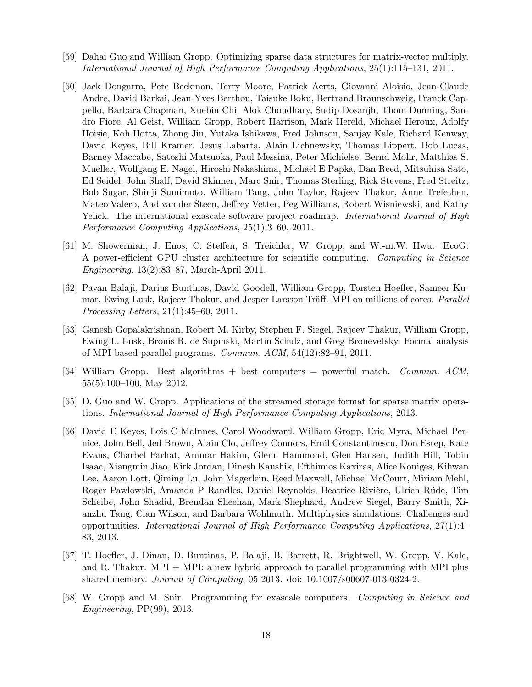- [59] Dahai Guo and William Gropp. Optimizing sparse data structures for matrix-vector multiply. *International Journal of High Performance Computing Applications*, 25(1):115–131, 2011.
- [60] Jack Dongarra, Pete Beckman, Terry Moore, Patrick Aerts, Giovanni Aloisio, Jean-Claude Andre, David Barkai, Jean-Yves Berthou, Taisuke Boku, Bertrand Braunschweig, Franck Cappello, Barbara Chapman, Xuebin Chi, Alok Choudhary, Sudip Dosanjh, Thom Dunning, Sandro Fiore, Al Geist, William Gropp, Robert Harrison, Mark Hereld, Michael Heroux, Adolfy Hoisie, Koh Hotta, Zhong Jin, Yutaka Ishikawa, Fred Johnson, Sanjay Kale, Richard Kenway, David Keyes, Bill Kramer, Jesus Labarta, Alain Lichnewsky, Thomas Lippert, Bob Lucas, Barney Maccabe, Satoshi Matsuoka, Paul Messina, Peter Michielse, Bernd Mohr, Matthias S. Mueller, Wolfgang E. Nagel, Hiroshi Nakashima, Michael E Papka, Dan Reed, Mitsuhisa Sato, Ed Seidel, John Shalf, David Skinner, Marc Snir, Thomas Sterling, Rick Stevens, Fred Streitz, Bob Sugar, Shinji Sumimoto, William Tang, John Taylor, Rajeev Thakur, Anne Trefethen, Mateo Valero, Aad van der Steen, Jeffrey Vetter, Peg Williams, Robert Wisniewski, and Kathy Yelick. The international exascale software project roadmap. *International Journal of High Performance Computing Applications*, 25(1):3–60, 2011.
- [61] M. Showerman, J. Enos, C. Steffen, S. Treichler, W. Gropp, and W.-m.W. Hwu. EcoG: A power-efficient GPU cluster architecture for scientific computing. *Computing in Science Engineering*, 13(2):83–87, March-April 2011.
- [62] Pavan Balaji, Darius Buntinas, David Goodell, William Gropp, Torsten Hoefler, Sameer Kumar, Ewing Lusk, Rajeev Thakur, and Jesper Larsson Träff. MPI on millions of cores. *Parallel Processing Letters*, 21(1):45–60, 2011.
- [63] Ganesh Gopalakrishnan, Robert M. Kirby, Stephen F. Siegel, Rajeev Thakur, William Gropp, Ewing L. Lusk, Bronis R. de Supinski, Martin Schulz, and Greg Bronevetsky. Formal analysis of MPI-based parallel programs. *Commun. ACM*, 54(12):82–91, 2011.
- [64] William Gropp. Best algorithms + best computers = powerful match. *Commun. ACM*, 55(5):100–100, May 2012.
- [65] D. Guo and W. Gropp. Applications of the streamed storage format for sparse matrix operations. *International Journal of High Performance Computing Applications*, 2013.
- [66] David E Keyes, Lois C McInnes, Carol Woodward, William Gropp, Eric Myra, Michael Pernice, John Bell, Jed Brown, Alain Clo, Jeffrey Connors, Emil Constantinescu, Don Estep, Kate Evans, Charbel Farhat, Ammar Hakim, Glenn Hammond, Glen Hansen, Judith Hill, Tobin Isaac, Xiangmin Jiao, Kirk Jordan, Dinesh Kaushik, Efthimios Kaxiras, Alice Koniges, Kihwan Lee, Aaron Lott, Qiming Lu, John Magerlein, Reed Maxwell, Michael McCourt, Miriam Mehl, Roger Pawlowski, Amanda P Randles, Daniel Reynolds, Beatrice Rivière, Ulrich Rüde, Tim Scheibe, John Shadid, Brendan Sheehan, Mark Shephard, Andrew Siegel, Barry Smith, Xianzhu Tang, Cian Wilson, and Barbara Wohlmuth. Multiphysics simulations: Challenges and opportunities. *International Journal of High Performance Computing Applications*, 27(1):4– 83, 2013.
- [67] T. Hoefler, J. Dinan, D. Buntinas, P. Balaji, B. Barrett, R. Brightwell, W. Gropp, V. Kale, and R. Thakur. MPI + MPI: a new hybrid approach to parallel programming with MPI plus shared memory. *Journal of Computing*, 05 2013. doi: 10.1007/s00607-013-0324-2.
- [68] W. Gropp and M. Snir. Programming for exascale computers. *Computing in Science and Engineering*, PP(99), 2013.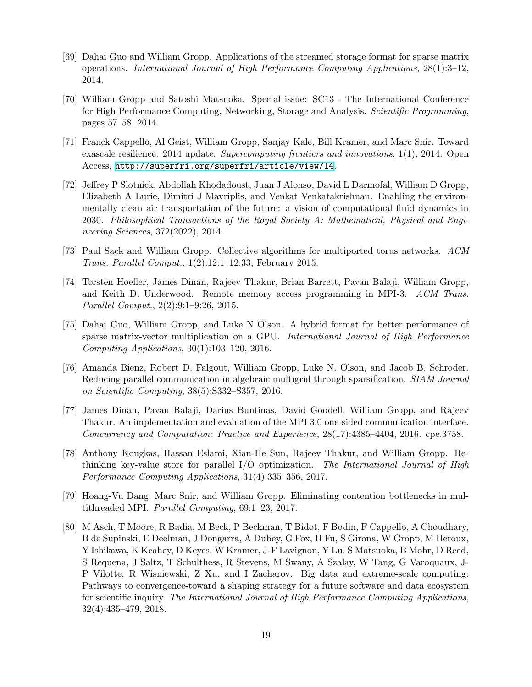- [69] Dahai Guo and William Gropp. Applications of the streamed storage format for sparse matrix operations. *International Journal of High Performance Computing Applications*, 28(1):3–12, 2014.
- [70] William Gropp and Satoshi Matsuoka. Special issue: SC13 The International Conference for High Performance Computing, Networking, Storage and Analysis. *Scientific Programming*, pages 57–58, 2014.
- [71] Franck Cappello, Al Geist, William Gropp, Sanjay Kale, Bill Kramer, and Marc Snir. Toward exascale resilience: 2014 update. *Supercomputing frontiers and innovations*, 1(1), 2014. Open Access, <http://superfri.org/superfri/article/view/14>.
- [72] Jeffrey P Slotnick, Abdollah Khodadoust, Juan J Alonso, David L Darmofal, William D Gropp, Elizabeth A Lurie, Dimitri J Mavriplis, and Venkat Venkatakrishnan. Enabling the environmentally clean air transportation of the future: a vision of computational fluid dynamics in 2030. *Philosophical Transactions of the Royal Society A: Mathematical, Physical and Engineering Sciences*, 372(2022), 2014.
- [73] Paul Sack and William Gropp. Collective algorithms for multiported torus networks. *ACM Trans. Parallel Comput.*, 1(2):12:1–12:33, February 2015.
- [74] Torsten Hoefler, James Dinan, Rajeev Thakur, Brian Barrett, Pavan Balaji, William Gropp, and Keith D. Underwood. Remote memory access programming in MPI-3. *ACM Trans. Parallel Comput.*, 2(2):9:1–9:26, 2015.
- [75] Dahai Guo, William Gropp, and Luke N Olson. A hybrid format for better performance of sparse matrix-vector multiplication on a GPU. *International Journal of High Performance Computing Applications*, 30(1):103–120, 2016.
- [76] Amanda Bienz, Robert D. Falgout, William Gropp, Luke N. Olson, and Jacob B. Schroder. Reducing parallel communication in algebraic multigrid through sparsification. *SIAM Journal on Scientific Computing*, 38(5):S332–S357, 2016.
- [77] James Dinan, Pavan Balaji, Darius Buntinas, David Goodell, William Gropp, and Rajeev Thakur. An implementation and evaluation of the MPI 3.0 one-sided communication interface. *Concurrency and Computation: Practice and Experience*, 28(17):4385–4404, 2016. cpe.3758.
- [78] Anthony Kougkas, Hassan Eslami, Xian-He Sun, Rajeev Thakur, and William Gropp. Rethinking key-value store for parallel I/O optimization. *The International Journal of High Performance Computing Applications*, 31(4):335–356, 2017.
- [79] Hoang-Vu Dang, Marc Snir, and William Gropp. Eliminating contention bottlenecks in multithreaded MPI. *Parallel Computing*, 69:1–23, 2017.
- [80] M Asch, T Moore, R Badia, M Beck, P Beckman, T Bidot, F Bodin, F Cappello, A Choudhary, B de Supinski, E Deelman, J Dongarra, A Dubey, G Fox, H Fu, S Girona, W Gropp, M Heroux, Y Ishikawa, K Keahey, D Keyes, W Kramer, J-F Lavignon, Y Lu, S Matsuoka, B Mohr, D Reed, S Requena, J Saltz, T Schulthess, R Stevens, M Swany, A Szalay, W Tang, G Varoquaux, J-P Vilotte, R Wisniewski, Z Xu, and I Zacharov. Big data and extreme-scale computing: Pathways to convergence-toward a shaping strategy for a future software and data ecosystem for scientific inquiry. *The International Journal of High Performance Computing Applications*, 32(4):435–479, 2018.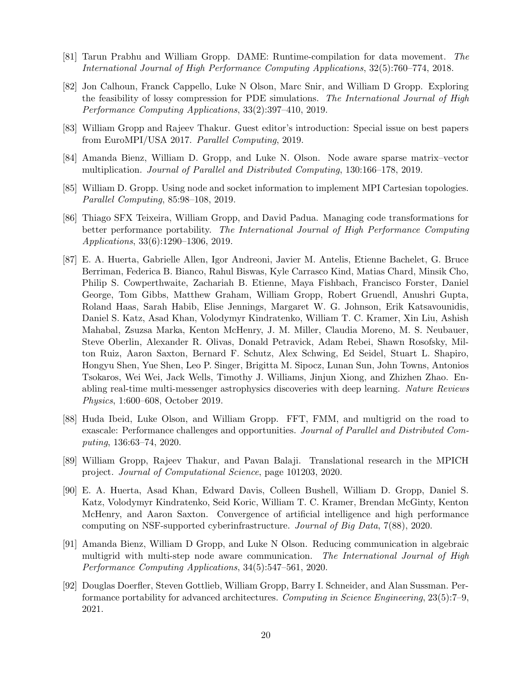- [81] Tarun Prabhu and William Gropp. DAME: Runtime-compilation for data movement. *The International Journal of High Performance Computing Applications*, 32(5):760–774, 2018.
- [82] Jon Calhoun, Franck Cappello, Luke N Olson, Marc Snir, and William D Gropp. Exploring the feasibility of lossy compression for PDE simulations. *The International Journal of High Performance Computing Applications*, 33(2):397–410, 2019.
- [83] William Gropp and Rajeev Thakur. Guest editor's introduction: Special issue on best papers from EuroMPI/USA 2017. *Parallel Computing*, 2019.
- [84] Amanda Bienz, William D. Gropp, and Luke N. Olson. Node aware sparse matrix–vector multiplication. *Journal of Parallel and Distributed Computing*, 130:166–178, 2019.
- [85] William D. Gropp. Using node and socket information to implement MPI Cartesian topologies. *Parallel Computing*, 85:98–108, 2019.
- [86] Thiago SFX Teixeira, William Gropp, and David Padua. Managing code transformations for better performance portability. *The International Journal of High Performance Computing Applications*, 33(6):1290–1306, 2019.
- [87] E. A. Huerta, Gabrielle Allen, Igor Andreoni, Javier M. Antelis, Etienne Bachelet, G. Bruce Berriman, Federica B. Bianco, Rahul Biswas, Kyle Carrasco Kind, Matias Chard, Minsik Cho, Philip S. Cowperthwaite, Zachariah B. Etienne, Maya Fishbach, Francisco Forster, Daniel George, Tom Gibbs, Matthew Graham, William Gropp, Robert Gruendl, Anushri Gupta, Roland Haas, Sarah Habib, Elise Jennings, Margaret W. G. Johnson, Erik Katsavounidis, Daniel S. Katz, Asad Khan, Volodymyr Kindratenko, William T. C. Kramer, Xin Liu, Ashish Mahabal, Zsuzsa Marka, Kenton McHenry, J. M. Miller, Claudia Moreno, M. S. Neubauer, Steve Oberlin, Alexander R. Olivas, Donald Petravick, Adam Rebei, Shawn Rosofsky, Milton Ruiz, Aaron Saxton, Bernard F. Schutz, Alex Schwing, Ed Seidel, Stuart L. Shapiro, Hongyu Shen, Yue Shen, Leo P. Singer, Brigitta M. Sipocz, Lunan Sun, John Towns, Antonios Tsokaros, Wei Wei, Jack Wells, Timothy J. Williams, Jinjun Xiong, and Zhizhen Zhao. Enabling real-time multi-messenger astrophysics discoveries with deep learning. *Nature Reviews Physics*, 1:600–608, October 2019.
- [88] Huda Ibeid, Luke Olson, and William Gropp. FFT, FMM, and multigrid on the road to exascale: Performance challenges and opportunities. *Journal of Parallel and Distributed Computing*, 136:63–74, 2020.
- [89] William Gropp, Rajeev Thakur, and Pavan Balaji. Translational research in the MPICH project. *Journal of Computational Science*, page 101203, 2020.
- [90] E. A. Huerta, Asad Khan, Edward Davis, Colleen Bushell, William D. Gropp, Daniel S. Katz, Volodymyr Kindratenko, Seid Koric, William T. C. Kramer, Brendan McGinty, Kenton McHenry, and Aaron Saxton. Convergence of artificial intelligence and high performance computing on NSF-supported cyberinfrastructure. *Journal of Big Data*, 7(88), 2020.
- [91] Amanda Bienz, William D Gropp, and Luke N Olson. Reducing communication in algebraic multigrid with multi-step node aware communication. *The International Journal of High Performance Computing Applications*, 34(5):547–561, 2020.
- [92] Douglas Doerfler, Steven Gottlieb, William Gropp, Barry I. Schneider, and Alan Sussman. Performance portability for advanced architectures. *Computing in Science Engineering*, 23(5):7–9, 2021.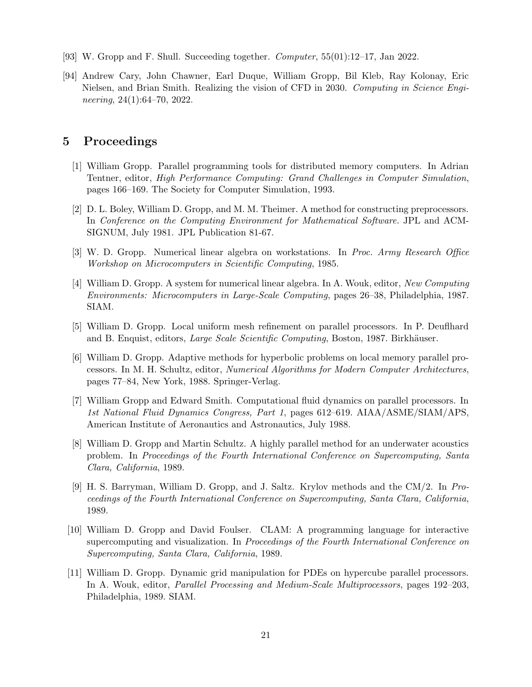- [93] W. Gropp and F. Shull. Succeeding together. *Computer*, 55(01):12–17, Jan 2022.
- [94] Andrew Cary, John Chawner, Earl Duque, William Gropp, Bil Kleb, Ray Kolonay, Eric Nielsen, and Brian Smith. Realizing the vision of CFD in 2030. *Computing in Science Engineering*, 24(1):64–70, 2022.

## **5 Proceedings**

- [1] William Gropp. Parallel programming tools for distributed memory computers. In Adrian Tentner, editor, *High Performance Computing: Grand Challenges in Computer Simulation*, pages 166–169. The Society for Computer Simulation, 1993.
- [2] D. L. Boley, William D. Gropp, and M. M. Theimer. A method for constructing preprocessors. In *Conference on the Computing Environment for Mathematical Software*. JPL and ACM-SIGNUM, July 1981. JPL Publication 81-67.
- [3] W. D. Gropp. Numerical linear algebra on workstations. In *Proc. Army Research Office Workshop on Microcomputers in Scientific Computing*, 1985.
- [4] William D. Gropp. A system for numerical linear algebra. In A. Wouk, editor, *New Computing Environments: Microcomputers in Large-Scale Computing*, pages 26–38, Philadelphia, 1987. SIAM.
- [5] William D. Gropp. Local uniform mesh refinement on parallel processors. In P. Deuflhard and B. Enquist, editors, *Large Scale Scientific Computing*, Boston, 1987. Birkhäuser.
- [6] William D. Gropp. Adaptive methods for hyperbolic problems on local memory parallel processors. In M. H. Schultz, editor, *Numerical Algorithms for Modern Computer Architectures*, pages 77–84, New York, 1988. Springer-Verlag.
- [7] William Gropp and Edward Smith. Computational fluid dynamics on parallel processors. In *1st National Fluid Dynamics Congress, Part 1*, pages 612–619. AIAA/ASME/SIAM/APS, American Institute of Aeronautics and Astronautics, July 1988.
- [8] William D. Gropp and Martin Schultz. A highly parallel method for an underwater acoustics problem. In *Proceedings of the Fourth International Conference on Supercomputing, Santa Clara, California*, 1989.
- [9] H. S. Barryman, William D. Gropp, and J. Saltz. Krylov methods and the CM/2. In *Proceedings of the Fourth International Conference on Supercomputing, Santa Clara, California*, 1989.
- [10] William D. Gropp and David Foulser. CLAM: A programming language for interactive supercomputing and visualization. In *Proceedings of the Fourth International Conference on Supercomputing, Santa Clara, California*, 1989.
- [11] William D. Gropp. Dynamic grid manipulation for PDEs on hypercube parallel processors. In A. Wouk, editor, *Parallel Processing and Medium-Scale Multiprocessors*, pages 192–203, Philadelphia, 1989. SIAM.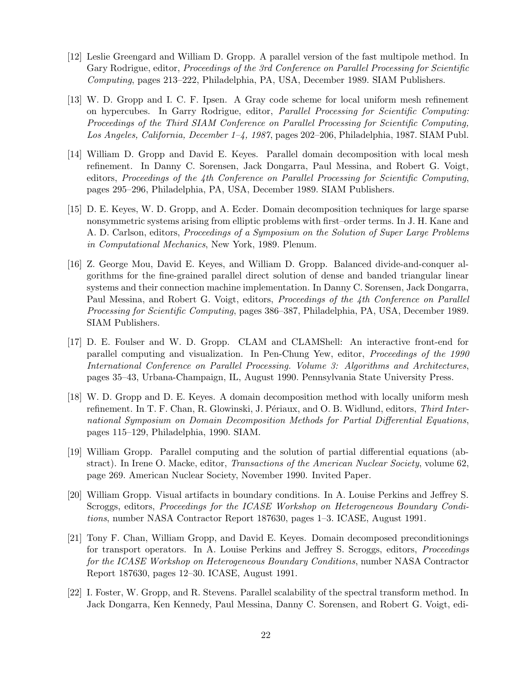- [12] Leslie Greengard and William D. Gropp. A parallel version of the fast multipole method. In Gary Rodrigue, editor, *Proceedings of the 3rd Conference on Parallel Processing for Scientific Computing*, pages 213–222, Philadelphia, PA, USA, December 1989. SIAM Publishers.
- [13] W. D. Gropp and I. C. F. Ipsen. A Gray code scheme for local uniform mesh refinement on hypercubes. In Garry Rodrigue, editor, *Parallel Processing for Scientific Computing: Proceedings of the Third SIAM Conference on Parallel Processing for Scientific Computing, Los Angeles, California, December 1–4, 1987*, pages 202–206, Philadelphia, 1987. SIAM Publ.
- [14] William D. Gropp and David E. Keyes. Parallel domain decomposition with local mesh refinement. In Danny C. Sorensen, Jack Dongarra, Paul Messina, and Robert G. Voigt, editors, *Proceedings of the 4th Conference on Parallel Processing for Scientific Computing*, pages 295–296, Philadelphia, PA, USA, December 1989. SIAM Publishers.
- [15] D. E. Keyes, W. D. Gropp, and A. Ecder. Domain decomposition techniques for large sparse nonsymmetric systems arising from elliptic problems with first–order terms. In J. H. Kane and A. D. Carlson, editors, *Proceedings of a Symposium on the Solution of Super Large Problems in Computational Mechanics*, New York, 1989. Plenum.
- [16] Z. George Mou, David E. Keyes, and William D. Gropp. Balanced divide-and-conquer algorithms for the fine-grained parallel direct solution of dense and banded triangular linear systems and their connection machine implementation. In Danny C. Sorensen, Jack Dongarra, Paul Messina, and Robert G. Voigt, editors, *Proceedings of the 4th Conference on Parallel Processing for Scientific Computing*, pages 386–387, Philadelphia, PA, USA, December 1989. SIAM Publishers.
- [17] D. E. Foulser and W. D. Gropp. CLAM and CLAMShell: An interactive front-end for parallel computing and visualization. In Pen-Chung Yew, editor, *Proceedings of the 1990 International Conference on Parallel Processing. Volume 3: Algorithms and Architectures*, pages 35–43, Urbana-Champaign, IL, August 1990. Pennsylvania State University Press.
- [18] W. D. Gropp and D. E. Keyes. A domain decomposition method with locally uniform mesh refinement. In T. F. Chan, R. Glowinski, J. Périaux, and O. B. Widlund, editors, *Third International Symposium on Domain Decomposition Methods for Partial Differential Equations*, pages 115–129, Philadelphia, 1990. SIAM.
- [19] William Gropp. Parallel computing and the solution of partial differential equations (abstract). In Irene O. Macke, editor, *Transactions of the American Nuclear Society*, volume 62, page 269. American Nuclear Society, November 1990. Invited Paper.
- [20] William Gropp. Visual artifacts in boundary conditions. In A. Louise Perkins and Jeffrey S. Scroggs, editors, *Proceedings for the ICASE Workshop on Heterogeneous Boundary Conditions*, number NASA Contractor Report 187630, pages 1–3. ICASE, August 1991.
- [21] Tony F. Chan, William Gropp, and David E. Keyes. Domain decomposed preconditionings for transport operators. In A. Louise Perkins and Jeffrey S. Scroggs, editors, *Proceedings for the ICASE Workshop on Heterogeneous Boundary Conditions*, number NASA Contractor Report 187630, pages 12–30. ICASE, August 1991.
- [22] I. Foster, W. Gropp, and R. Stevens. Parallel scalability of the spectral transform method. In Jack Dongarra, Ken Kennedy, Paul Messina, Danny C. Sorensen, and Robert G. Voigt, edi-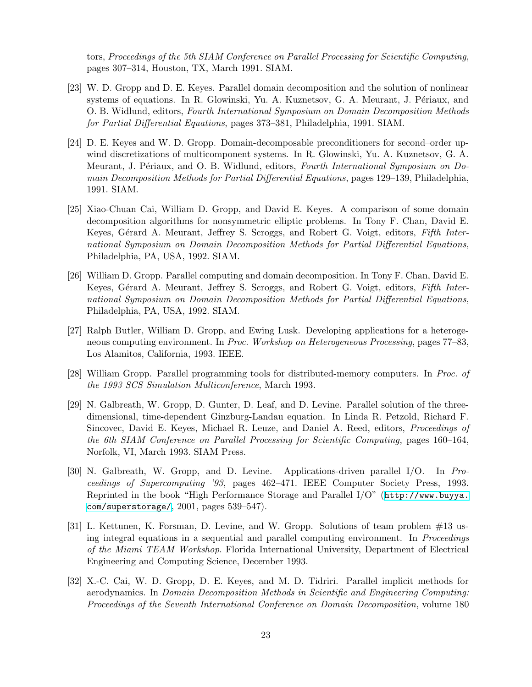tors, *Proceedings of the 5th SIAM Conference on Parallel Processing for Scientific Computing*, pages 307–314, Houston, TX, March 1991. SIAM.

- [23] W. D. Gropp and D. E. Keyes. Parallel domain decomposition and the solution of nonlinear systems of equations. In R. Glowinski, Yu. A. Kuznetsov, G. A. Meurant, J. Périaux, and O. B. Widlund, editors, *Fourth International Symposium on Domain Decomposition Methods for Partial Differential Equations*, pages 373–381, Philadelphia, 1991. SIAM.
- [24] D. E. Keyes and W. D. Gropp. Domain-decomposable preconditioners for second–order upwind discretizations of multicomponent systems. In R. Glowinski, Yu. A. Kuznetsov, G. A. Meurant, J. Périaux, and O. B. Widlund, editors, *Fourth International Symposium on Domain Decomposition Methods for Partial Differential Equations*, pages 129–139, Philadelphia, 1991. SIAM.
- [25] Xiao-Chuan Cai, William D. Gropp, and David E. Keyes. A comparison of some domain decomposition algorithms for nonsymmetric elliptic problems. In Tony F. Chan, David E. Keyes, Gérard A. Meurant, Jeffrey S. Scroggs, and Robert G. Voigt, editors, *Fifth International Symposium on Domain Decomposition Methods for Partial Differential Equations*, Philadelphia, PA, USA, 1992. SIAM.
- [26] William D. Gropp. Parallel computing and domain decomposition. In Tony F. Chan, David E. Keyes, Gérard A. Meurant, Jeffrey S. Scroggs, and Robert G. Voigt, editors, *Fifth International Symposium on Domain Decomposition Methods for Partial Differential Equations*, Philadelphia, PA, USA, 1992. SIAM.
- [27] Ralph Butler, William D. Gropp, and Ewing Lusk. Developing applications for a heterogeneous computing environment. In *Proc. Workshop on Heterogeneous Processing*, pages 77–83, Los Alamitos, California, 1993. IEEE.
- [28] William Gropp. Parallel programming tools for distributed-memory computers. In *Proc. of the 1993 SCS Simulation Multiconference*, March 1993.
- [29] N. Galbreath, W. Gropp, D. Gunter, D. Leaf, and D. Levine. Parallel solution of the threedimensional, time-dependent Ginzburg-Landau equation. In Linda R. Petzold, Richard F. Sincovec, David E. Keyes, Michael R. Leuze, and Daniel A. Reed, editors, *Proceedings of the 6th SIAM Conference on Parallel Processing for Scientific Computing*, pages 160–164, Norfolk, VI, March 1993. SIAM Press.
- [30] N. Galbreath, W. Gropp, and D. Levine. Applications-driven parallel I/O. In *Proceedings of Supercomputing '93*, pages 462–471. IEEE Computer Society Press, 1993. Reprinted in the book "High Performance Storage and Parallel I/O" ([http://www.buyya.](http://www.buyya.com/superstorage/) [com/superstorage/](http://www.buyya.com/superstorage/), 2001, pages 539–547).
- [31] L. Kettunen, K. Forsman, D. Levine, and W. Gropp. Solutions of team problem #13 using integral equations in a sequential and parallel computing environment. In *Proceedings of the Miami TEAM Workshop*. Florida International University, Department of Electrical Engineering and Computing Science, December 1993.
- [32] X.-C. Cai, W. D. Gropp, D. E. Keyes, and M. D. Tidriri. Parallel implicit methods for aerodynamics. In *Domain Decomposition Methods in Scientific and Engineering Computing: Proceedings of the Seventh International Conference on Domain Decomposition*, volume 180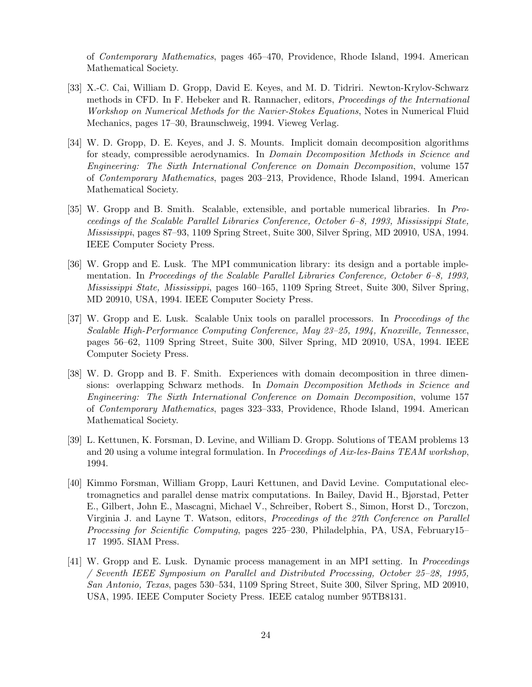of *Contemporary Mathematics*, pages 465–470, Providence, Rhode Island, 1994. American Mathematical Society.

- [33] X.-C. Cai, William D. Gropp, David E. Keyes, and M. D. Tidriri. Newton-Krylov-Schwarz methods in CFD. In F. Hebeker and R. Rannacher, editors, *Proceedings of the International Workshop on Numerical Methods for the Navier-Stokes Equations*, Notes in Numerical Fluid Mechanics, pages 17–30, Braunschweig, 1994. Vieweg Verlag.
- [34] W. D. Gropp, D. E. Keyes, and J. S. Mounts. Implicit domain decomposition algorithms for steady, compressible aerodynamics. In *Domain Decomposition Methods in Science and Engineering: The Sixth International Conference on Domain Decomposition*, volume 157 of *Contemporary Mathematics*, pages 203–213, Providence, Rhode Island, 1994. American Mathematical Society.
- [35] W. Gropp and B. Smith. Scalable, extensible, and portable numerical libraries. In *Proceedings of the Scalable Parallel Libraries Conference, October 6–8, 1993, Mississippi State, Mississippi*, pages 87–93, 1109 Spring Street, Suite 300, Silver Spring, MD 20910, USA, 1994. IEEE Computer Society Press.
- [36] W. Gropp and E. Lusk. The MPI communication library: its design and a portable implementation. In *Proceedings of the Scalable Parallel Libraries Conference, October 6–8, 1993, Mississippi State, Mississippi*, pages 160–165, 1109 Spring Street, Suite 300, Silver Spring, MD 20910, USA, 1994. IEEE Computer Society Press.
- [37] W. Gropp and E. Lusk. Scalable Unix tools on parallel processors. In *Proceedings of the Scalable High-Performance Computing Conference, May 23–25, 1994, Knoxville, Tennessee*, pages 56–62, 1109 Spring Street, Suite 300, Silver Spring, MD 20910, USA, 1994. IEEE Computer Society Press.
- [38] W. D. Gropp and B. F. Smith. Experiences with domain decomposition in three dimensions: overlapping Schwarz methods. In *Domain Decomposition Methods in Science and Engineering: The Sixth International Conference on Domain Decomposition*, volume 157 of *Contemporary Mathematics*, pages 323–333, Providence, Rhode Island, 1994. American Mathematical Society.
- [39] L. Kettunen, K. Forsman, D. Levine, and William D. Gropp. Solutions of TEAM problems 13 and 20 using a volume integral formulation. In *Proceedings of Aix-les-Bains TEAM workshop*, 1994.
- [40] Kimmo Forsman, William Gropp, Lauri Kettunen, and David Levine. Computational electromagnetics and parallel dense matrix computations. In Bailey, David H., Bjørstad, Petter E., Gilbert, John E., Mascagni, Michael V., Schreiber, Robert S., Simon, Horst D., Torczon, Virginia J. and Layne T. Watson, editors, *Proceedings of the 27th Conference on Parallel Processing for Scientific Computing*, pages 225–230, Philadelphia, PA, USA, February15– 17 1995. SIAM Press.
- [41] W. Gropp and E. Lusk. Dynamic process management in an MPI setting. In *Proceedings / Seventh IEEE Symposium on Parallel and Distributed Processing, October 25–28, 1995, San Antonio, Texas*, pages 530–534, 1109 Spring Street, Suite 300, Silver Spring, MD 20910, USA, 1995. IEEE Computer Society Press. IEEE catalog number 95TB8131.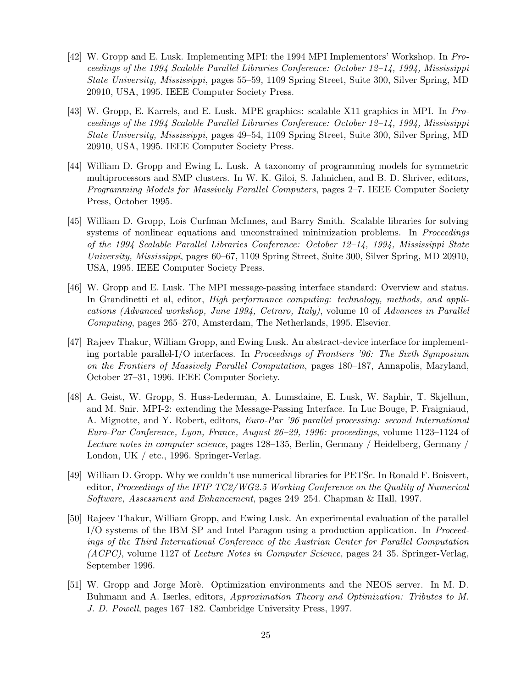- [42] W. Gropp and E. Lusk. Implementing MPI: the 1994 MPI Implementors' Workshop. In *Proceedings of the 1994 Scalable Parallel Libraries Conference: October 12–14, 1994, Mississippi State University, Mississippi*, pages 55–59, 1109 Spring Street, Suite 300, Silver Spring, MD 20910, USA, 1995. IEEE Computer Society Press.
- [43] W. Gropp, E. Karrels, and E. Lusk. MPE graphics: scalable X11 graphics in MPI. In *Proceedings of the 1994 Scalable Parallel Libraries Conference: October 12–14, 1994, Mississippi State University, Mississippi*, pages 49–54, 1109 Spring Street, Suite 300, Silver Spring, MD 20910, USA, 1995. IEEE Computer Society Press.
- [44] William D. Gropp and Ewing L. Lusk. A taxonomy of programming models for symmetric multiprocessors and SMP clusters. In W. K. Giloi, S. Jahnichen, and B. D. Shriver, editors, *Programming Models for Massively Parallel Computers*, pages 2–7. IEEE Computer Society Press, October 1995.
- [45] William D. Gropp, Lois Curfman McInnes, and Barry Smith. Scalable libraries for solving systems of nonlinear equations and unconstrained minimization problems. In *Proceedings of the 1994 Scalable Parallel Libraries Conference: October 12–14, 1994, Mississippi State University, Mississippi*, pages 60–67, 1109 Spring Street, Suite 300, Silver Spring, MD 20910, USA, 1995. IEEE Computer Society Press.
- [46] W. Gropp and E. Lusk. The MPI message-passing interface standard: Overview and status. In Grandinetti et al, editor, *High performance computing: technology, methods, and applications (Advanced workshop, June 1994, Cetraro, Italy)*, volume 10 of *Advances in Parallel Computing*, pages 265–270, Amsterdam, The Netherlands, 1995. Elsevier.
- [47] Rajeev Thakur, William Gropp, and Ewing Lusk. An abstract-device interface for implementing portable parallel-I/O interfaces. In *Proceedings of Frontiers '96: The Sixth Symposium on the Frontiers of Massively Parallel Computation*, pages 180–187, Annapolis, Maryland, October 27–31, 1996. IEEE Computer Society.
- [48] A. Geist, W. Gropp, S. Huss-Lederman, A. Lumsdaine, E. Lusk, W. Saphir, T. Skjellum, and M. Snir. MPI-2: extending the Message-Passing Interface. In Luc Bouge, P. Fraigniaud, A. Mignotte, and Y. Robert, editors, *Euro-Par '96 parallel processing: second International Euro-Par Conference, Lyon, France, August 26–29, 1996: proceedings*, volume 1123–1124 of *Lecture notes in computer science*, pages 128–135, Berlin, Germany / Heidelberg, Germany / London, UK / etc., 1996. Springer-Verlag.
- [49] William D. Gropp. Why we couldn't use numerical libraries for PETSc. In Ronald F. Boisvert, editor, *Proceedings of the IFIP TC2/WG2.5 Working Conference on the Quality of Numerical Software, Assessment and Enhancement*, pages 249–254. Chapman & Hall, 1997.
- [50] Rajeev Thakur, William Gropp, and Ewing Lusk. An experimental evaluation of the parallel I/O systems of the IBM SP and Intel Paragon using a production application. In *Proceedings of the Third International Conference of the Austrian Center for Parallel Computation (ACPC)*, volume 1127 of *Lecture Notes in Computer Science*, pages 24–35. Springer-Verlag, September 1996.
- [51] W. Gropp and Jorge Morè. Optimization environments and the NEOS server. In M. D. Buhmann and A. Iserles, editors, *Approximation Theory and Optimization: Tributes to M. J. D. Powell*, pages 167–182. Cambridge University Press, 1997.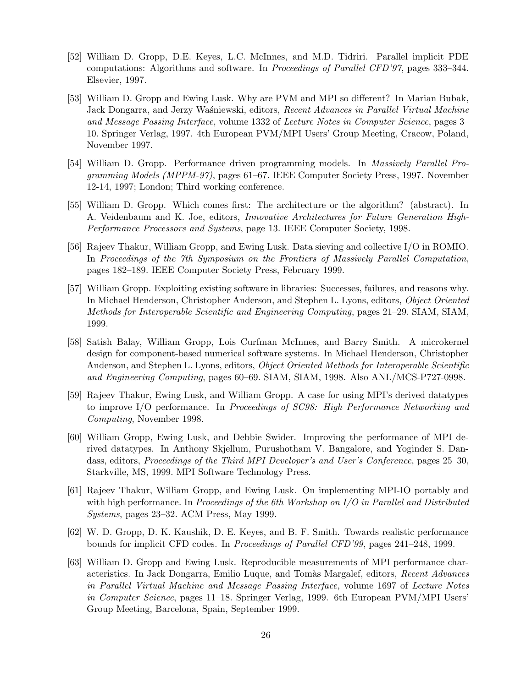- [52] William D. Gropp, D.E. Keyes, L.C. McInnes, and M.D. Tidriri. Parallel implicit PDE computations: Algorithms and software. In *Proceedings of Parallel CFD'97*, pages 333–344. Elsevier, 1997.
- [53] William D. Gropp and Ewing Lusk. Why are PVM and MPI so different? In Marian Bubak, Jack Dongarra, and Jerzy Waśniewski, editors, *Recent Advances in Parallel Virtual Machine and Message Passing Interface*, volume 1332 of *Lecture Notes in Computer Science*, pages 3– 10. Springer Verlag, 1997. 4th European PVM/MPI Users' Group Meeting, Cracow, Poland, November 1997.
- [54] William D. Gropp. Performance driven programming models. In *Massively Parallel Programming Models (MPPM-97)*, pages 61–67. IEEE Computer Society Press, 1997. November 12-14, 1997; London; Third working conference.
- [55] William D. Gropp. Which comes first: The architecture or the algorithm? (abstract). In A. Veidenbaum and K. Joe, editors, *Innovative Architectures for Future Generation High-Performance Processors and Systems*, page 13. IEEE Computer Society, 1998.
- [56] Rajeev Thakur, William Gropp, and Ewing Lusk. Data sieving and collective I/O in ROMIO. In *Proceedings of the 7th Symposium on the Frontiers of Massively Parallel Computation*, pages 182–189. IEEE Computer Society Press, February 1999.
- [57] William Gropp. Exploiting existing software in libraries: Successes, failures, and reasons why. In Michael Henderson, Christopher Anderson, and Stephen L. Lyons, editors, *Object Oriented Methods for Interoperable Scientific and Engineering Computing*, pages 21–29. SIAM, SIAM, 1999.
- [58] Satish Balay, William Gropp, Lois Curfman McInnes, and Barry Smith. A microkernel design for component-based numerical software systems. In Michael Henderson, Christopher Anderson, and Stephen L. Lyons, editors, *Object Oriented Methods for Interoperable Scientific and Engineering Computing*, pages 60–69. SIAM, SIAM, 1998. Also ANL/MCS-P727-0998.
- [59] Rajeev Thakur, Ewing Lusk, and William Gropp. A case for using MPI's derived datatypes to improve I/O performance. In *Proceedings of SC98: High Performance Networking and Computing*, November 1998.
- [60] William Gropp, Ewing Lusk, and Debbie Swider. Improving the performance of MPI derived datatypes. In Anthony Skjellum, Purushotham V. Bangalore, and Yoginder S. Dandass, editors, *Proceedings of the Third MPI Developer's and User's Conference*, pages 25–30, Starkville, MS, 1999. MPI Software Technology Press.
- [61] Rajeev Thakur, William Gropp, and Ewing Lusk. On implementing MPI-IO portably and with high performance. In *Proceedings of the 6th Workshop on I/O in Parallel and Distributed Systems*, pages 23–32. ACM Press, May 1999.
- [62] W. D. Gropp, D. K. Kaushik, D. E. Keyes, and B. F. Smith. Towards realistic performance bounds for implicit CFD codes. In *Proceedings of Parallel CFD'99*, pages 241–248, 1999.
- [63] William D. Gropp and Ewing Lusk. Reproducible measurements of MPI performance characteristics. In Jack Dongarra, Emilio Luque, and Tom`as Margalef, editors, *Recent Advances in Parallel Virtual Machine and Message Passing Interface*, volume 1697 of *Lecture Notes in Computer Science*, pages 11–18. Springer Verlag, 1999. 6th European PVM/MPI Users' Group Meeting, Barcelona, Spain, September 1999.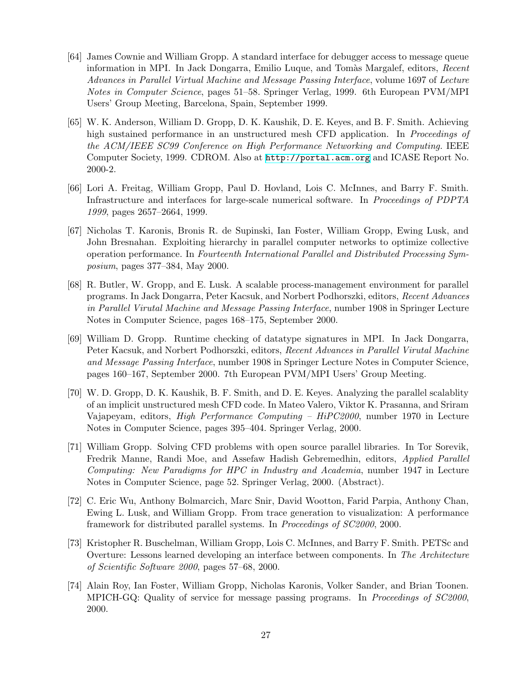- [64] James Cownie and William Gropp. A standard interface for debugger access to message queue information in MPI. In Jack Dongarra, Emilio Luque, and Tom`as Margalef, editors, *Recent Advances in Parallel Virtual Machine and Message Passing Interface*, volume 1697 of *Lecture Notes in Computer Science*, pages 51–58. Springer Verlag, 1999. 6th European PVM/MPI Users' Group Meeting, Barcelona, Spain, September 1999.
- [65] W. K. Anderson, William D. Gropp, D. K. Kaushik, D. E. Keyes, and B. F. Smith. Achieving high sustained performance in an unstructured mesh CFD application. In *Proceedings of the ACM/IEEE SC99 Conference on High Performance Networking and Computing*. IEEE Computer Society, 1999. CDROM. Also at <http://portal.acm.org> and ICASE Report No. 2000-2.
- [66] Lori A. Freitag, William Gropp, Paul D. Hovland, Lois C. McInnes, and Barry F. Smith. Infrastructure and interfaces for large-scale numerical software. In *Proceedings of PDPTA 1999*, pages 2657–2664, 1999.
- [67] Nicholas T. Karonis, Bronis R. de Supinski, Ian Foster, William Gropp, Ewing Lusk, and John Bresnahan. Exploiting hierarchy in parallel computer networks to optimize collective operation performance. In *Fourteenth International Parallel and Distributed Processing Symposium*, pages 377–384, May 2000.
- [68] R. Butler, W. Gropp, and E. Lusk. A scalable process-management environment for parallel programs. In Jack Dongarra, Peter Kacsuk, and Norbert Podhorszki, editors, *Recent Advances in Parallel Virutal Machine and Message Passing Interface*, number 1908 in Springer Lecture Notes in Computer Science, pages 168–175, September 2000.
- [69] William D. Gropp. Runtime checking of datatype signatures in MPI. In Jack Dongarra, Peter Kacsuk, and Norbert Podhorszki, editors, *Recent Advances in Parallel Virutal Machine and Message Passing Interface*, number 1908 in Springer Lecture Notes in Computer Science, pages 160–167, September 2000. 7th European PVM/MPI Users' Group Meeting.
- [70] W. D. Gropp, D. K. Kaushik, B. F. Smith, and D. E. Keyes. Analyzing the parallel scalablity of an implicit unstructured mesh CFD code. In Mateo Valero, Viktor K. Prasanna, and Sriram Vajapeyam, editors, *High Performance Computing – HiPC2000*, number 1970 in Lecture Notes in Computer Science, pages 395–404. Springer Verlag, 2000.
- [71] William Gropp. Solving CFD problems with open source parallel libraries. In Tor Sorevik, Fredrik Manne, Randi Moe, and Assefaw Hadish Gebremedhin, editors, *Applied Parallel Computing: New Paradigms for HPC in Industry and Academia*, number 1947 in Lecture Notes in Computer Science, page 52. Springer Verlag, 2000. (Abstract).
- [72] C. Eric Wu, Anthony Bolmarcich, Marc Snir, David Wootton, Farid Parpia, Anthony Chan, Ewing L. Lusk, and William Gropp. From trace generation to visualization: A performance framework for distributed parallel systems. In *Proceedings of SC2000*, 2000.
- [73] Kristopher R. Buschelman, William Gropp, Lois C. McInnes, and Barry F. Smith. PETSc and Overture: Lessons learned developing an interface between components. In *The Architecture of Scientific Software 2000*, pages 57–68, 2000.
- [74] Alain Roy, Ian Foster, William Gropp, Nicholas Karonis, Volker Sander, and Brian Toonen. MPICH-GQ: Quality of service for message passing programs. In *Proceedings of SC2000*, 2000.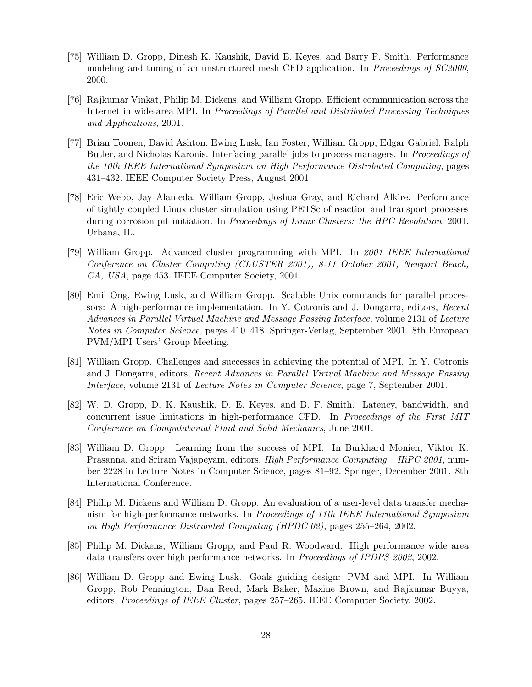- [75] William D. Gropp, Dinesh K. Kaushik, David E. Keyes, and Barry F. Smith. Performance modeling and tuning of an unstructured mesh CFD application. In *Proceedings of SC2000*, 2000.
- [76] Rajkumar Vinkat, Philip M. Dickens, and William Gropp. Efficient communication across the Internet in wide-area MPI. In *Proceedings of Parallel and Distributed Processing Techniques and Applications*, 2001.
- [77] Brian Toonen, David Ashton, Ewing Lusk, Ian Foster, William Gropp, Edgar Gabriel, Ralph Butler, and Nicholas Karonis. Interfacing parallel jobs to process managers. In *Proceedings of the 10th IEEE International Symposium on High Performance Distributed Computing*, pages 431–432. IEEE Computer Society Press, August 2001.
- [78] Eric Webb, Jay Alameda, William Gropp, Joshua Gray, and Richard Alkire. Performance of tightly coupled Linux cluster simulation using PETSc of reaction and transport processes during corrosion pit initiation. In *Proceedings of Linux Clusters: the HPC Revolution*, 2001. Urbana, IL.
- [79] William Gropp. Advanced cluster programming with MPI. In *2001 IEEE International Conference on Cluster Computing (CLUSTER 2001), 8-11 October 2001, Newport Beach, CA, USA*, page 453. IEEE Computer Society, 2001.
- [80] Emil Ong, Ewing Lusk, and William Gropp. Scalable Unix commands for parallel processors: A high-performance implementation. In Y. Cotronis and J. Dongarra, editors, *Recent Advances in Parallel Virtual Machine and Message Passing Interface*, volume 2131 of *Lecture Notes in Computer Science*, pages 410–418. Springer-Verlag, September 2001. 8th European PVM/MPI Users' Group Meeting.
- [81] William Gropp. Challenges and successes in achieving the potential of MPI. In Y. Cotronis and J. Dongarra, editors, *Recent Advances in Parallel Virtual Machine and Message Passing Interface*, volume 2131 of *Lecture Notes in Computer Science*, page 7, September 2001.
- [82] W. D. Gropp, D. K. Kaushik, D. E. Keyes, and B. F. Smith. Latency, bandwidth, and concurrent issue limitations in high-performance CFD. In *Proceedings of the First MIT Conference on Computational Fluid and Solid Mechanics*, June 2001.
- [83] William D. Gropp. Learning from the success of MPI. In Burkhard Monien, Viktor K. Prasanna, and Sriram Vajapeyam, editors, *High Performance Computing – HiPC 2001*, number 2228 in Lecture Notes in Computer Science, pages 81–92. Springer, December 2001. 8th International Conference.
- [84] Philip M. Dickens and William D. Gropp. An evaluation of a user-level data transfer mechanism for high-performance networks. In *Proceedings of 11th IEEE International Symposium on High Performance Distributed Computing (HPDC'02)*, pages 255–264, 2002.
- [85] Philip M. Dickens, William Gropp, and Paul R. Woodward. High performance wide area data transfers over high performance networks. In *Proceedings of IPDPS 2002*, 2002.
- [86] William D. Gropp and Ewing Lusk. Goals guiding design: PVM and MPI. In William Gropp, Rob Pennington, Dan Reed, Mark Baker, Maxine Brown, and Rajkumar Buyya, editors, *Proceedings of IEEE Cluster*, pages 257–265. IEEE Computer Society, 2002.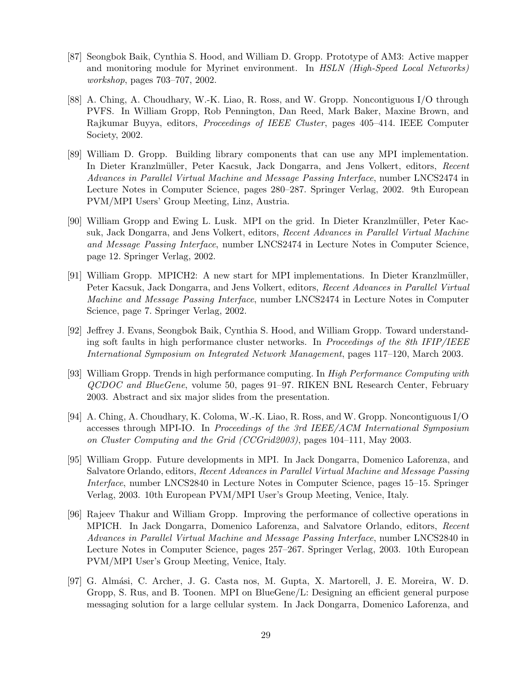- [87] Seongbok Baik, Cynthia S. Hood, and William D. Gropp. Prototype of AM3: Active mapper and monitoring module for Myrinet environment. In *HSLN (High-Speed Local Networks) workshop*, pages 703–707, 2002.
- [88] A. Ching, A. Choudhary, W.-K. Liao, R. Ross, and W. Gropp. Noncontiguous I/O through PVFS. In William Gropp, Rob Pennington, Dan Reed, Mark Baker, Maxine Brown, and Rajkumar Buyya, editors, *Proceedings of IEEE Cluster*, pages 405–414. IEEE Computer Society, 2002.
- [89] William D. Gropp. Building library components that can use any MPI implementation. In Dieter Kranzlm¨uller, Peter Kacsuk, Jack Dongarra, and Jens Volkert, editors, *Recent Advances in Parallel Virtual Machine and Message Passing Interface*, number LNCS2474 in Lecture Notes in Computer Science, pages 280–287. Springer Verlag, 2002. 9th European PVM/MPI Users' Group Meeting, Linz, Austria.
- [90] William Gropp and Ewing L. Lusk. MPI on the grid. In Dieter Kranzlmüller, Peter Kacsuk, Jack Dongarra, and Jens Volkert, editors, *Recent Advances in Parallel Virtual Machine and Message Passing Interface*, number LNCS2474 in Lecture Notes in Computer Science, page 12. Springer Verlag, 2002.
- [91] William Gropp. MPICH2: A new start for MPI implementations. In Dieter Kranzlm¨uller, Peter Kacsuk, Jack Dongarra, and Jens Volkert, editors, *Recent Advances in Parallel Virtual Machine and Message Passing Interface*, number LNCS2474 in Lecture Notes in Computer Science, page 7. Springer Verlag, 2002.
- [92] Jeffrey J. Evans, Seongbok Baik, Cynthia S. Hood, and William Gropp. Toward understanding soft faults in high performance cluster networks. In *Proceedings of the 8th IFIP/IEEE International Symposium on Integrated Network Management*, pages 117–120, March 2003.
- [93] William Gropp. Trends in high performance computing. In *High Performance Computing with QCDOC and BlueGene*, volume 50, pages 91–97. RIKEN BNL Research Center, February 2003. Abstract and six major slides from the presentation.
- [94] A. Ching, A. Choudhary, K. Coloma, W.-K. Liao, R. Ross, and W. Gropp. Noncontiguous I/O accesses through MPI-IO. In *Proceedings of the 3rd IEEE/ACM International Symposium on Cluster Computing and the Grid (CCGrid2003)*, pages 104–111, May 2003.
- [95] William Gropp. Future developments in MPI. In Jack Dongarra, Domenico Laforenza, and Salvatore Orlando, editors, *Recent Advances in Parallel Virtual Machine and Message Passing Interface*, number LNCS2840 in Lecture Notes in Computer Science, pages 15–15. Springer Verlag, 2003. 10th European PVM/MPI User's Group Meeting, Venice, Italy.
- [96] Rajeev Thakur and William Gropp. Improving the performance of collective operations in MPICH. In Jack Dongarra, Domenico Laforenza, and Salvatore Orlando, editors, *Recent Advances in Parallel Virtual Machine and Message Passing Interface*, number LNCS2840 in Lecture Notes in Computer Science, pages 257–267. Springer Verlag, 2003. 10th European PVM/MPI User's Group Meeting, Venice, Italy.
- [97] G. Almási, C. Archer, J. G. Casta nos, M. Gupta, X. Martorell, J. E. Moreira, W. D. Gropp, S. Rus, and B. Toonen. MPI on BlueGene/L: Designing an efficient general purpose messaging solution for a large cellular system. In Jack Dongarra, Domenico Laforenza, and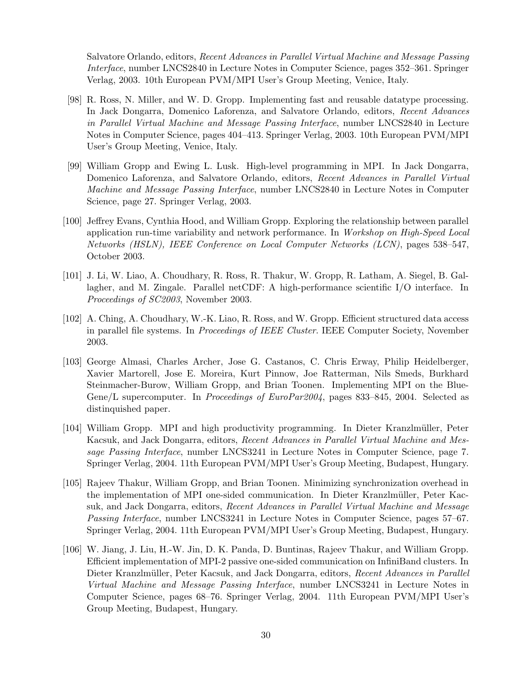Salvatore Orlando, editors, *Recent Advances in Parallel Virtual Machine and Message Passing Interface*, number LNCS2840 in Lecture Notes in Computer Science, pages 352–361. Springer Verlag, 2003. 10th European PVM/MPI User's Group Meeting, Venice, Italy.

- [98] R. Ross, N. Miller, and W. D. Gropp. Implementing fast and reusable datatype processing. In Jack Dongarra, Domenico Laforenza, and Salvatore Orlando, editors, *Recent Advances in Parallel Virtual Machine and Message Passing Interface*, number LNCS2840 in Lecture Notes in Computer Science, pages 404–413. Springer Verlag, 2003. 10th European PVM/MPI User's Group Meeting, Venice, Italy.
- [99] William Gropp and Ewing L. Lusk. High-level programming in MPI. In Jack Dongarra, Domenico Laforenza, and Salvatore Orlando, editors, *Recent Advances in Parallel Virtual Machine and Message Passing Interface*, number LNCS2840 in Lecture Notes in Computer Science, page 27. Springer Verlag, 2003.
- [100] Jeffrey Evans, Cynthia Hood, and William Gropp. Exploring the relationship between parallel application run-time variability and network performance. In *Workshop on High-Speed Local Networks (HSLN), IEEE Conference on Local Computer Networks (LCN)*, pages 538–547, October 2003.
- [101] J. Li, W. Liao, A. Choudhary, R. Ross, R. Thakur, W. Gropp, R. Latham, A. Siegel, B. Gallagher, and M. Zingale. Parallel netCDF: A high-performance scientific I/O interface. In *Proceedings of SC2003*, November 2003.
- [102] A. Ching, A. Choudhary, W.-K. Liao, R. Ross, and W. Gropp. Efficient structured data access in parallel file systems. In *Proceedings of IEEE Cluster*. IEEE Computer Society, November 2003.
- [103] George Almasi, Charles Archer, Jose G. Castanos, C. Chris Erway, Philip Heidelberger, Xavier Martorell, Jose E. Moreira, Kurt Pinnow, Joe Ratterman, Nils Smeds, Burkhard Steinmacher-Burow, William Gropp, and Brian Toonen. Implementing MPI on the Blue-Gene/L supercomputer. In *Proceedings of EuroPar2004*, pages 833–845, 2004. Selected as distinquished paper.
- [104] William Gropp. MPI and high productivity programming. In Dieter Kranzlmüller, Peter Kacsuk, and Jack Dongarra, editors, *Recent Advances in Parallel Virtual Machine and Message Passing Interface*, number LNCS3241 in Lecture Notes in Computer Science, page 7. Springer Verlag, 2004. 11th European PVM/MPI User's Group Meeting, Budapest, Hungary.
- [105] Rajeev Thakur, William Gropp, and Brian Toonen. Minimizing synchronization overhead in the implementation of MPI one-sided communication. In Dieter Kranzlmüller, Peter Kacsuk, and Jack Dongarra, editors, *Recent Advances in Parallel Virtual Machine and Message Passing Interface*, number LNCS3241 in Lecture Notes in Computer Science, pages 57–67. Springer Verlag, 2004. 11th European PVM/MPI User's Group Meeting, Budapest, Hungary.
- [106] W. Jiang, J. Liu, H.-W. Jin, D. K. Panda, D. Buntinas, Rajeev Thakur, and William Gropp. Efficient implementation of MPI-2 passive one-sided communication on InfiniBand clusters. In Dieter Kranzlmüller, Peter Kacsuk, and Jack Dongarra, editors, *Recent Advances in Parallel Virtual Machine and Message Passing Interface*, number LNCS3241 in Lecture Notes in Computer Science, pages 68–76. Springer Verlag, 2004. 11th European PVM/MPI User's Group Meeting, Budapest, Hungary.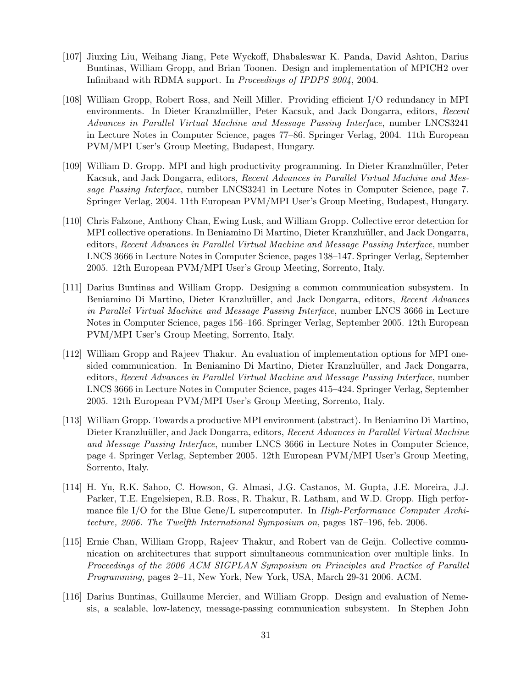- [107] Jiuxing Liu, Weihang Jiang, Pete Wyckoff, Dhabaleswar K. Panda, David Ashton, Darius Buntinas, William Gropp, and Brian Toonen. Design and implementation of MPICH2 over Infiniband with RDMA support. In *Proceedings of IPDPS 2004*, 2004.
- [108] William Gropp, Robert Ross, and Neill Miller. Providing efficient I/O redundancy in MPI environments. In Dieter Kranzlmüller, Peter Kacsuk, and Jack Dongarra, editors, *Recent Advances in Parallel Virtual Machine and Message Passing Interface*, number LNCS3241 in Lecture Notes in Computer Science, pages 77–86. Springer Verlag, 2004. 11th European PVM/MPI User's Group Meeting, Budapest, Hungary.
- [109] William D. Gropp. MPI and high productivity programming. In Dieter Kranzlmüller, Peter Kacsuk, and Jack Dongarra, editors, *Recent Advances in Parallel Virtual Machine and Message Passing Interface*, number LNCS3241 in Lecture Notes in Computer Science, page 7. Springer Verlag, 2004. 11th European PVM/MPI User's Group Meeting, Budapest, Hungary.
- [110] Chris Falzone, Anthony Chan, Ewing Lusk, and William Gropp. Collective error detection for MPI collective operations. In Beniamino Di Martino, Dieter Kranzluüller, and Jack Dongarra, editors, *Recent Advances in Parallel Virtual Machine and Message Passing Interface*, number LNCS 3666 in Lecture Notes in Computer Science, pages 138–147. Springer Verlag, September 2005. 12th European PVM/MPI User's Group Meeting, Sorrento, Italy.
- [111] Darius Buntinas and William Gropp. Designing a common communication subsystem. In Beniamino Di Martino, Dieter Kranzlu¨uller, and Jack Dongarra, editors, *Recent Advances in Parallel Virtual Machine and Message Passing Interface*, number LNCS 3666 in Lecture Notes in Computer Science, pages 156–166. Springer Verlag, September 2005. 12th European PVM/MPI User's Group Meeting, Sorrento, Italy.
- [112] William Gropp and Rajeev Thakur. An evaluation of implementation options for MPI onesided communication. In Beniamino Di Martino, Dieter Kranzluüller, and Jack Dongarra, editors, *Recent Advances in Parallel Virtual Machine and Message Passing Interface*, number LNCS 3666 in Lecture Notes in Computer Science, pages 415–424. Springer Verlag, September 2005. 12th European PVM/MPI User's Group Meeting, Sorrento, Italy.
- [113] William Gropp. Towards a productive MPI environment (abstract). In Beniamino Di Martino, Dieter Kranzluüller, and Jack Dongarra, editors, *Recent Advances in Parallel Virtual Machine and Message Passing Interface*, number LNCS 3666 in Lecture Notes in Computer Science, page 4. Springer Verlag, September 2005. 12th European PVM/MPI User's Group Meeting, Sorrento, Italy.
- [114] H. Yu, R.K. Sahoo, C. Howson, G. Almasi, J.G. Castanos, M. Gupta, J.E. Moreira, J.J. Parker, T.E. Engelsiepen, R.B. Ross, R. Thakur, R. Latham, and W.D. Gropp. High performance file I/O for the Blue Gene/L supercomputer. In *High-Performance Computer Architecture, 2006. The Twelfth International Symposium on*, pages 187–196, feb. 2006.
- [115] Ernie Chan, William Gropp, Rajeev Thakur, and Robert van de Geijn. Collective communication on architectures that support simultaneous communication over multiple links. In *Proceedings of the 2006 ACM SIGPLAN Symposium on Principles and Practice of Parallel Programming*, pages 2–11, New York, New York, USA, March 29-31 2006. ACM.
- [116] Darius Buntinas, Guillaume Mercier, and William Gropp. Design and evaluation of Nemesis, a scalable, low-latency, message-passing communication subsystem. In Stephen John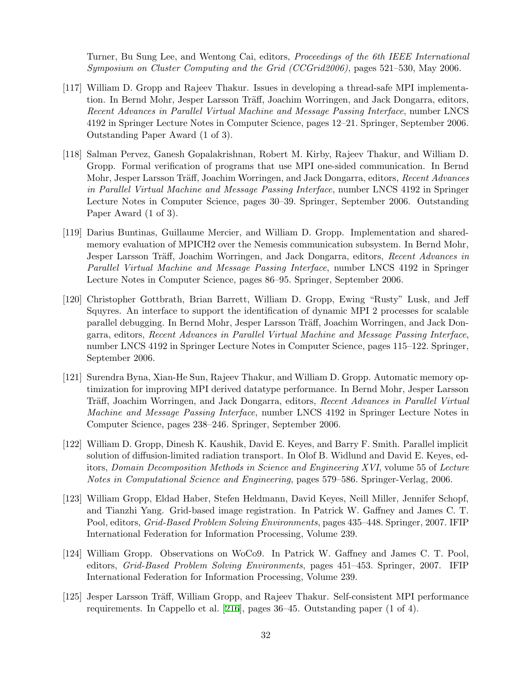Turner, Bu Sung Lee, and Wentong Cai, editors, *Proceedings of the 6th IEEE International Symposium on Cluster Computing and the Grid (CCGrid2006)*, pages 521–530, May 2006.

- [117] William D. Gropp and Rajeev Thakur. Issues in developing a thread-safe MPI implementation. In Bernd Mohr, Jesper Larsson Träff, Joachim Worringen, and Jack Dongarra, editors, *Recent Advances in Parallel Virtual Machine and Message Passing Interface*, number LNCS 4192 in Springer Lecture Notes in Computer Science, pages 12–21. Springer, September 2006. Outstanding Paper Award (1 of 3).
- [118] Salman Pervez, Ganesh Gopalakrishnan, Robert M. Kirby, Rajeev Thakur, and William D. Gropp. Formal verification of programs that use MPI one-sided communication. In Bernd Mohr, Jesper Larsson Träff, Joachim Worringen, and Jack Dongarra, editors, *Recent Advances in Parallel Virtual Machine and Message Passing Interface*, number LNCS 4192 in Springer Lecture Notes in Computer Science, pages 30–39. Springer, September 2006. Outstanding Paper Award (1 of 3).
- [119] Darius Buntinas, Guillaume Mercier, and William D. Gropp. Implementation and sharedmemory evaluation of MPICH2 over the Nemesis communication subsystem. In Bernd Mohr, Jesper Larsson Träff, Joachim Worringen, and Jack Dongarra, editors, *Recent Advances in Parallel Virtual Machine and Message Passing Interface*, number LNCS 4192 in Springer Lecture Notes in Computer Science, pages 86–95. Springer, September 2006.
- [120] Christopher Gottbrath, Brian Barrett, William D. Gropp, Ewing "Rusty" Lusk, and Jeff Squyres. An interface to support the identification of dynamic MPI 2 processes for scalable parallel debugging. In Bernd Mohr, Jesper Larsson Träff, Joachim Worringen, and Jack Dongarra, editors, *Recent Advances in Parallel Virtual Machine and Message Passing Interface*, number LNCS 4192 in Springer Lecture Notes in Computer Science, pages 115–122. Springer, September 2006.
- [121] Surendra Byna, Xian-He Sun, Rajeev Thakur, and William D. Gropp. Automatic memory optimization for improving MPI derived datatype performance. In Bernd Mohr, Jesper Larsson Träff, Joachim Worringen, and Jack Dongarra, editors, *Recent Advances in Parallel Virtual Machine and Message Passing Interface*, number LNCS 4192 in Springer Lecture Notes in Computer Science, pages 238–246. Springer, September 2006.
- [122] William D. Gropp, Dinesh K. Kaushik, David E. Keyes, and Barry F. Smith. Parallel implicit solution of diffusion-limited radiation transport. In Olof B. Widlund and David E. Keyes, editors, *Domain Decomposition Methods in Science and Engineering XVI*, volume 55 of *Lecture Notes in Computational Science and Engineering*, pages 579–586. Springer-Verlag, 2006.
- [123] William Gropp, Eldad Haber, Stefen Heldmann, David Keyes, Neill Miller, Jennifer Schopf, and Tianzhi Yang. Grid-based image registration. In Patrick W. Gaffney and James C. T. Pool, editors, *Grid-Based Problem Solving Environments*, pages 435–448. Springer, 2007. IFIP International Federation for Information Processing, Volume 239.
- [124] William Gropp. Observations on WoCo9. In Patrick W. Gaffney and James C. T. Pool, editors, *Grid-Based Problem Solving Environments*, pages 451–453. Springer, 2007. IFIP International Federation for Information Processing, Volume 239.
- [125] Jesper Larsson Träff, William Gropp, and Rajeev Thakur. Self-consistent MPI performance requirements. In Cappello et al. [\[216\]](#page-40-0), pages 36–45. Outstanding paper (1 of 4).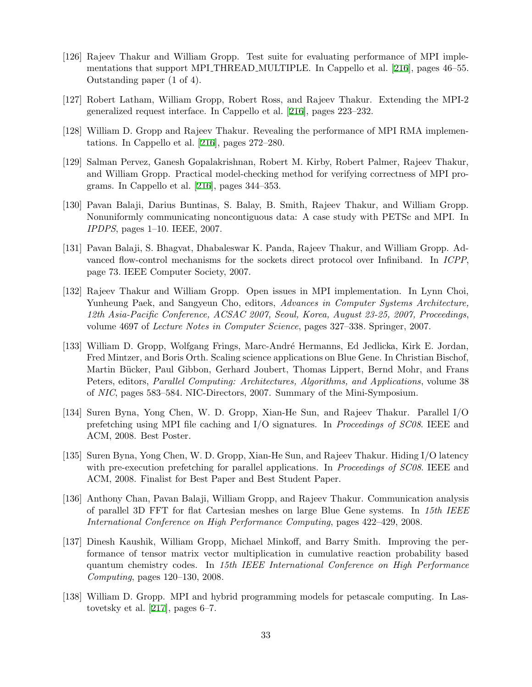- [126] Rajeev Thakur and William Gropp. Test suite for evaluating performance of MPI implementations that support MPI THREAD MULTIPLE. In Cappello et al. [[216](#page-40-0)], pages 46–55. Outstanding paper (1 of 4).
- [127] Robert Latham, William Gropp, Robert Ross, and Rajeev Thakur. Extending the MPI-2 generalized request interface. In Cappello et al. [[216](#page-40-0)], pages 223–232.
- [128] William D. Gropp and Rajeev Thakur. Revealing the performance of MPI RMA implementations. In Cappello et al. [[216](#page-40-0)], pages 272–280.
- [129] Salman Pervez, Ganesh Gopalakrishnan, Robert M. Kirby, Robert Palmer, Rajeev Thakur, and William Gropp. Practical model-checking method for verifying correctness of MPI programs. In Cappello et al. [[216\]](#page-40-0), pages 344–353.
- [130] Pavan Balaji, Darius Buntinas, S. Balay, B. Smith, Rajeev Thakur, and William Gropp. Nonuniformly communicating noncontiguous data: A case study with PETSc and MPI. In *IPDPS*, pages 1–10. IEEE, 2007.
- [131] Pavan Balaji, S. Bhagvat, Dhabaleswar K. Panda, Rajeev Thakur, and William Gropp. Advanced flow-control mechanisms for the sockets direct protocol over Infiniband. In *ICPP*, page 73. IEEE Computer Society, 2007.
- [132] Rajeev Thakur and William Gropp. Open issues in MPI implementation. In Lynn Choi, Yunheung Paek, and Sangyeun Cho, editors, *Advances in Computer Systems Architecture, 12th Asia-Pacific Conference, ACSAC 2007, Seoul, Korea, August 23-25, 2007, Proceedings*, volume 4697 of *Lecture Notes in Computer Science*, pages 327–338. Springer, 2007.
- [133] William D. Gropp, Wolfgang Frings, Marc-André Hermanns, Ed Jedlicka, Kirk E. Jordan, Fred Mintzer, and Boris Orth. Scaling science applications on Blue Gene. In Christian Bischof, Martin Bücker, Paul Gibbon, Gerhard Joubert, Thomas Lippert, Bernd Mohr, and Frans Peters, editors, *Parallel Computing: Architectures, Algorithms, and Applications*, volume 38 of *NIC*, pages 583–584. NIC-Directors, 2007. Summary of the Mini-Symposium.
- [134] Suren Byna, Yong Chen, W. D. Gropp, Xian-He Sun, and Rajeev Thakur. Parallel I/O prefetching using MPI file caching and I/O signatures. In *Proceedings of SC08*. IEEE and ACM, 2008. Best Poster.
- [135] Suren Byna, Yong Chen, W. D. Gropp, Xian-He Sun, and Rajeev Thakur. Hiding I/O latency with pre-execution prefetching for parallel applications. In *Proceedings of SC08*. IEEE and ACM, 2008. Finalist for Best Paper and Best Student Paper.
- [136] Anthony Chan, Pavan Balaji, William Gropp, and Rajeev Thakur. Communication analysis of parallel 3D FFT for flat Cartesian meshes on large Blue Gene systems. In *15th IEEE International Conference on High Performance Computing*, pages 422–429, 2008.
- [137] Dinesh Kaushik, William Gropp, Michael Minkoff, and Barry Smith. Improving the performance of tensor matrix vector multiplication in cumulative reaction probability based quantum chemistry codes. In *15th IEEE International Conference on High Performance Computing*, pages 120–130, 2008.
- [138] William D. Gropp. MPI and hybrid programming models for petascale computing. In Lastovetsky et al. [\[217\]](#page-40-1), pages 6–7.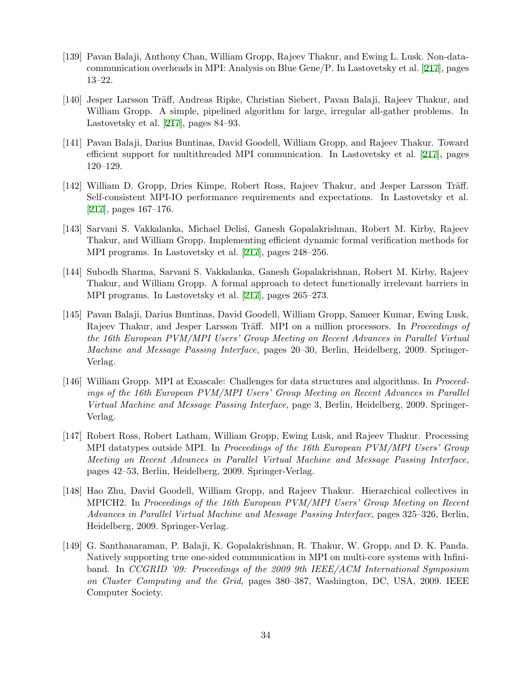- [139] Pavan Balaji, Anthony Chan, William Gropp, Rajeev Thakur, and Ewing L. Lusk. Non-datacommunication overheads in MPI: Analysis on Blue Gene/P. In Lastovetsky et al. [[217\]](#page-40-1), pages 13–22.
- [140] Jesper Larsson Träff, Andreas Ripke, Christian Siebert, Pavan Balaji, Rajeev Thakur, and William Gropp. A simple, pipelined algorithm for large, irregular all-gather problems. In Lastovetsky et al. [[217](#page-40-1)], pages 84–93.
- [141] Pavan Balaji, Darius Buntinas, David Goodell, William Gropp, and Rajeev Thakur. Toward efficient support for multithreaded MPI communication. In Lastovetsky et al. [[217](#page-40-1)], pages 120–129.
- [142] William D. Gropp, Dries Kimpe, Robert Ross, Rajeev Thakur, and Jesper Larsson Träff. Self-consistent MPI-IO performance requirements and expectations. In Lastovetsky et al. [[217](#page-40-1)], pages 167–176.
- [143] Sarvani S. Vakkalanka, Michael Delisi, Ganesh Gopalakrishnan, Robert M. Kirby, Rajeev Thakur, and William Gropp. Implementing efficient dynamic formal verification methods for MPI programs. In Lastovetsky et al. [[217\]](#page-40-1), pages 248–256.
- [144] Subodh Sharma, Sarvani S. Vakkalanka, Ganesh Gopalakrishnan, Robert M. Kirby, Rajeev Thakur, and William Gropp. A formal approach to detect functionally irrelevant barriers in MPI programs. In Lastovetsky et al. [[217\]](#page-40-1), pages 265–273.
- [145] Pavan Balaji, Darius Buntinas, David Goodell, William Gropp, Sameer Kumar, Ewing Lusk, Rajeev Thakur, and Jesper Larsson Träff. MPI on a million processors. In *Proceedings of the 16th European PVM/MPI Users' Group Meeting on Recent Advances in Parallel Virtual Machine and Message Passing Interface*, pages 20–30, Berlin, Heidelberg, 2009. Springer-Verlag.
- [146] William Gropp. MPI at Exascale: Challenges for data structures and algorithms. In *Proceedings of the 16th European PVM/MPI Users' Group Meeting on Recent Advances in Parallel Virtual Machine and Message Passing Interface*, page 3, Berlin, Heidelberg, 2009. Springer-Verlag.
- [147] Robert Ross, Robert Latham, William Gropp, Ewing Lusk, and Rajeev Thakur. Processing MPI datatypes outside MPI. In *Proceedings of the 16th European PVM/MPI Users' Group Meeting on Recent Advances in Parallel Virtual Machine and Message Passing Interface*, pages 42–53, Berlin, Heidelberg, 2009. Springer-Verlag.
- [148] Hao Zhu, David Goodell, William Gropp, and Rajeev Thakur. Hierarchical collectives in MPICH2. In *Proceedings of the 16th European PVM/MPI Users' Group Meeting on Recent Advances in Parallel Virtual Machine and Message Passing Interface*, pages 325–326, Berlin, Heidelberg, 2009. Springer-Verlag.
- [149] G. Santhanaraman, P. Balaji, K. Gopalakrishnan, R. Thakur, W. Gropp, and D. K. Panda. Natively supporting true one-sided communication in MPI on multi-core systems with Infiniband. In *CCGRID '09: Proceedings of the 2009 9th IEEE/ACM International Symposium on Cluster Computing and the Grid*, pages 380–387, Washington, DC, USA, 2009. IEEE Computer Society.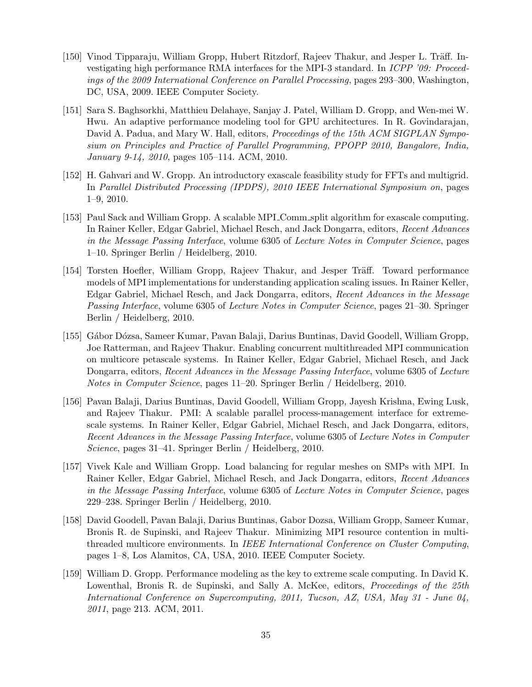- [150] Vinod Tipparaju, William Gropp, Hubert Ritzdorf, Rajeev Thakur, and Jesper L. Träff. Investigating high performance RMA interfaces for the MPI-3 standard. In *ICPP '09: Proceedings of the 2009 International Conference on Parallel Processing*, pages 293–300, Washington, DC, USA, 2009. IEEE Computer Society.
- [151] Sara S. Baghsorkhi, Matthieu Delahaye, Sanjay J. Patel, William D. Gropp, and Wen-mei W. Hwu. An adaptive performance modeling tool for GPU architectures. In R. Govindarajan, David A. Padua, and Mary W. Hall, editors, *Proceedings of the 15th ACM SIGPLAN Symposium on Principles and Practice of Parallel Programming, PPOPP 2010, Bangalore, India, January 9-14, 2010*, pages 105–114. ACM, 2010.
- [152] H. Gahvari and W. Gropp. An introductory exascale feasibility study for FFTs and multigrid. In *Parallel Distributed Processing (IPDPS), 2010 IEEE International Symposium on*, pages 1–9, 2010.
- [153] Paul Sack and William Gropp. A scalable MPI Comm split algorithm for exascale computing. In Rainer Keller, Edgar Gabriel, Michael Resch, and Jack Dongarra, editors, *Recent Advances in the Message Passing Interface*, volume 6305 of *Lecture Notes in Computer Science*, pages 1–10. Springer Berlin / Heidelberg, 2010.
- [154] Torsten Hoefler, William Gropp, Rajeev Thakur, and Jesper Träff. Toward performance models of MPI implementations for understanding application scaling issues. In Rainer Keller, Edgar Gabriel, Michael Resch, and Jack Dongarra, editors, *Recent Advances in the Message Passing Interface*, volume 6305 of *Lecture Notes in Computer Science*, pages 21–30. Springer Berlin / Heidelberg, 2010.
- [155] G´abor D´ozsa, Sameer Kumar, Pavan Balaji, Darius Buntinas, David Goodell, William Gropp, Joe Ratterman, and Rajeev Thakur. Enabling concurrent multithreaded MPI communication on multicore petascale systems. In Rainer Keller, Edgar Gabriel, Michael Resch, and Jack Dongarra, editors, *Recent Advances in the Message Passing Interface*, volume 6305 of *Lecture Notes in Computer Science*, pages 11–20. Springer Berlin / Heidelberg, 2010.
- [156] Pavan Balaji, Darius Buntinas, David Goodell, William Gropp, Jayesh Krishna, Ewing Lusk, and Rajeev Thakur. PMI: A scalable parallel process-management interface for extremescale systems. In Rainer Keller, Edgar Gabriel, Michael Resch, and Jack Dongarra, editors, *Recent Advances in the Message Passing Interface*, volume 6305 of *Lecture Notes in Computer Science*, pages 31–41. Springer Berlin / Heidelberg, 2010.
- [157] Vivek Kale and William Gropp. Load balancing for regular meshes on SMPs with MPI. In Rainer Keller, Edgar Gabriel, Michael Resch, and Jack Dongarra, editors, *Recent Advances in the Message Passing Interface*, volume 6305 of *Lecture Notes in Computer Science*, pages 229–238. Springer Berlin / Heidelberg, 2010.
- [158] David Goodell, Pavan Balaji, Darius Buntinas, Gabor Dozsa, William Gropp, Sameer Kumar, Bronis R. de Supinski, and Rajeev Thakur. Minimizing MPI resource contention in multithreaded multicore environments. In *IEEE International Conference on Cluster Computing*, pages 1–8, Los Alamitos, CA, USA, 2010. IEEE Computer Society.
- [159] William D. Gropp. Performance modeling as the key to extreme scale computing. In David K. Lowenthal, Bronis R. de Supinski, and Sally A. McKee, editors, *Proceedings of the 25th International Conference on Supercomputing, 2011, Tucson, AZ, USA, May 31 - June 04, 2011*, page 213. ACM, 2011.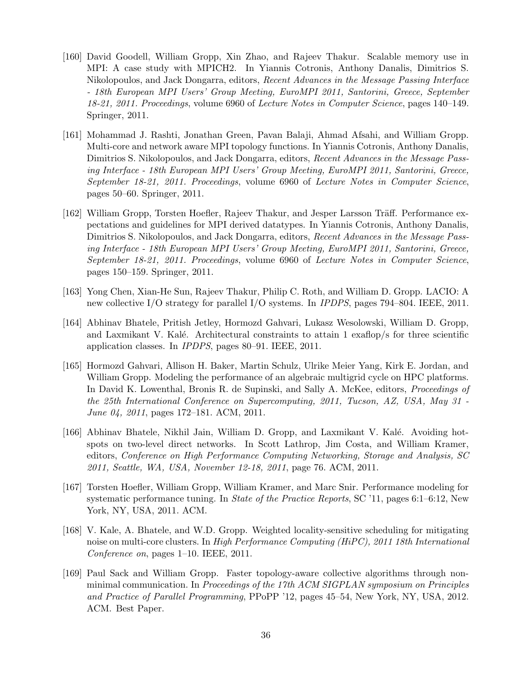- [160] David Goodell, William Gropp, Xin Zhao, and Rajeev Thakur. Scalable memory use in MPI: A case study with MPICH2. In Yiannis Cotronis, Anthony Danalis, Dimitrios S. Nikolopoulos, and Jack Dongarra, editors, *Recent Advances in the Message Passing Interface - 18th European MPI Users' Group Meeting, EuroMPI 2011, Santorini, Greece, September 18-21, 2011. Proceedings*, volume 6960 of *Lecture Notes in Computer Science*, pages 140–149. Springer, 2011.
- [161] Mohammad J. Rashti, Jonathan Green, Pavan Balaji, Ahmad Afsahi, and William Gropp. Multi-core and network aware MPI topology functions. In Yiannis Cotronis, Anthony Danalis, Dimitrios S. Nikolopoulos, and Jack Dongarra, editors, *Recent Advances in the Message Passing Interface - 18th European MPI Users' Group Meeting, EuroMPI 2011, Santorini, Greece, September 18-21, 2011. Proceedings*, volume 6960 of *Lecture Notes in Computer Science*, pages 50–60. Springer, 2011.
- [162] William Gropp, Torsten Hoefler, Rajeev Thakur, and Jesper Larsson Träff. Performance expectations and guidelines for MPI derived datatypes. In Yiannis Cotronis, Anthony Danalis, Dimitrios S. Nikolopoulos, and Jack Dongarra, editors, *Recent Advances in the Message Passing Interface - 18th European MPI Users' Group Meeting, EuroMPI 2011, Santorini, Greece, September 18-21, 2011. Proceedings*, volume 6960 of *Lecture Notes in Computer Science*, pages 150–159. Springer, 2011.
- [163] Yong Chen, Xian-He Sun, Rajeev Thakur, Philip C. Roth, and William D. Gropp. LACIO: A new collective I/O strategy for parallel I/O systems. In *IPDPS*, pages 794–804. IEEE, 2011.
- [164] Abhinav Bhatele, Pritish Jetley, Hormozd Gahvari, Lukasz Wesolowski, William D. Gropp, and Laxmikant V. Kalé. Architectural constraints to attain  $1 \cdot \exp(\kappa)$  for three scientific application classes. In *IPDPS*, pages 80–91. IEEE, 2011.
- [165] Hormozd Gahvari, Allison H. Baker, Martin Schulz, Ulrike Meier Yang, Kirk E. Jordan, and William Gropp. Modeling the performance of an algebraic multigrid cycle on HPC platforms. In David K. Lowenthal, Bronis R. de Supinski, and Sally A. McKee, editors, *Proceedings of the 25th International Conference on Supercomputing, 2011, Tucson, AZ, USA, May 31 - June 04, 2011*, pages 172–181. ACM, 2011.
- [166] Abhinav Bhatele, Nikhil Jain, William D. Gropp, and Laxmikant V. Kalé. Avoiding hotspots on two-level direct networks. In Scott Lathrop, Jim Costa, and William Kramer, editors, *Conference on High Performance Computing Networking, Storage and Analysis, SC 2011, Seattle, WA, USA, November 12-18, 2011*, page 76. ACM, 2011.
- [167] Torsten Hoefler, William Gropp, William Kramer, and Marc Snir. Performance modeling for systematic performance tuning. In *State of the Practice Reports*, SC '11, pages 6:1–6:12, New York, NY, USA, 2011. ACM.
- [168] V. Kale, A. Bhatele, and W.D. Gropp. Weighted locality-sensitive scheduling for mitigating noise on multi-core clusters. In *High Performance Computing (HiPC), 2011 18th International Conference on*, pages 1–10. IEEE, 2011.
- [169] Paul Sack and William Gropp. Faster topology-aware collective algorithms through nonminimal communication. In *Proceedings of the 17th ACM SIGPLAN symposium on Principles and Practice of Parallel Programming*, PPoPP '12, pages 45–54, New York, NY, USA, 2012. ACM. Best Paper.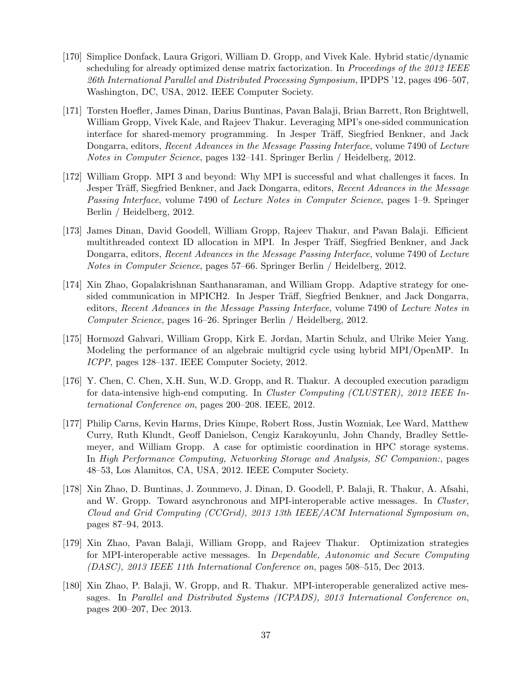- [170] Simplice Donfack, Laura Grigori, William D. Gropp, and Vivek Kale. Hybrid static/dynamic scheduling for already optimized dense matrix factorization. In *Proceedings of the 2012 IEEE 26th International Parallel and Distributed Processing Symposium*, IPDPS '12, pages 496–507, Washington, DC, USA, 2012. IEEE Computer Society.
- [171] Torsten Hoefler, James Dinan, Darius Buntinas, Pavan Balaji, Brian Barrett, Ron Brightwell, William Gropp, Vivek Kale, and Rajeev Thakur. Leveraging MPI's one-sided communication interface for shared-memory programming. In Jesper Träff, Siegfried Benkner, and Jack Dongarra, editors, *Recent Advances in the Message Passing Interface*, volume 7490 of *Lecture Notes in Computer Science*, pages 132–141. Springer Berlin / Heidelberg, 2012.
- [172] William Gropp. MPI 3 and beyond: Why MPI is successful and what challenges it faces. In Jesper Träff, Siegfried Benkner, and Jack Dongarra, editors, *Recent Advances in the Message Passing Interface*, volume 7490 of *Lecture Notes in Computer Science*, pages 1–9. Springer Berlin / Heidelberg, 2012.
- [173] James Dinan, David Goodell, William Gropp, Rajeev Thakur, and Pavan Balaji. Efficient multithreaded context ID allocation in MPI. In Jesper Träff, Siegfried Benkner, and Jack Dongarra, editors, *Recent Advances in the Message Passing Interface*, volume 7490 of *Lecture Notes in Computer Science*, pages 57–66. Springer Berlin / Heidelberg, 2012.
- [174] Xin Zhao, Gopalakrishnan Santhanaraman, and William Gropp. Adaptive strategy for onesided communication in MPICH2. In Jesper Träff, Siegfried Benkner, and Jack Dongarra, editors, *Recent Advances in the Message Passing Interface*, volume 7490 of *Lecture Notes in Computer Science*, pages 16–26. Springer Berlin / Heidelberg, 2012.
- [175] Hormozd Gahvari, William Gropp, Kirk E. Jordan, Martin Schulz, and Ulrike Meier Yang. Modeling the performance of an algebraic multigrid cycle using hybrid MPI/OpenMP. In *ICPP*, pages 128–137. IEEE Computer Society, 2012.
- [176] Y. Chen, C. Chen, X.H. Sun, W.D. Gropp, and R. Thakur. A decoupled execution paradigm for data-intensive high-end computing. In *Cluster Computing (CLUSTER), 2012 IEEE International Conference on*, pages 200–208. IEEE, 2012.
- [177] Philip Carns, Kevin Harms, Dries Kimpe, Robert Ross, Justin Wozniak, Lee Ward, Matthew Curry, Ruth Klundt, Geoff Danielson, Cengiz Karakoyunlu, John Chandy, Bradley Settlemeyer, and William Gropp. A case for optimistic coordination in HPC storage systems. In *High Performance Computing, Networking Storage and Analysis, SC Companion:*, pages 48–53, Los Alamitos, CA, USA, 2012. IEEE Computer Society.
- [178] Xin Zhao, D. Buntinas, J. Zounmevo, J. Dinan, D. Goodell, P. Balaji, R. Thakur, A. Afsahi, and W. Gropp. Toward asynchronous and MPI-interoperable active messages. In *Cluster, Cloud and Grid Computing (CCGrid), 2013 13th IEEE/ACM International Symposium on*, pages 87–94, 2013.
- [179] Xin Zhao, Pavan Balaji, William Gropp, and Rajeev Thakur. Optimization strategies for MPI-interoperable active messages. In *Dependable, Autonomic and Secure Computing (DASC), 2013 IEEE 11th International Conference on*, pages 508–515, Dec 2013.
- [180] Xin Zhao, P. Balaji, W. Gropp, and R. Thakur. MPI-interoperable generalized active messages. In *Parallel and Distributed Systems (ICPADS), 2013 International Conference on*, pages 200–207, Dec 2013.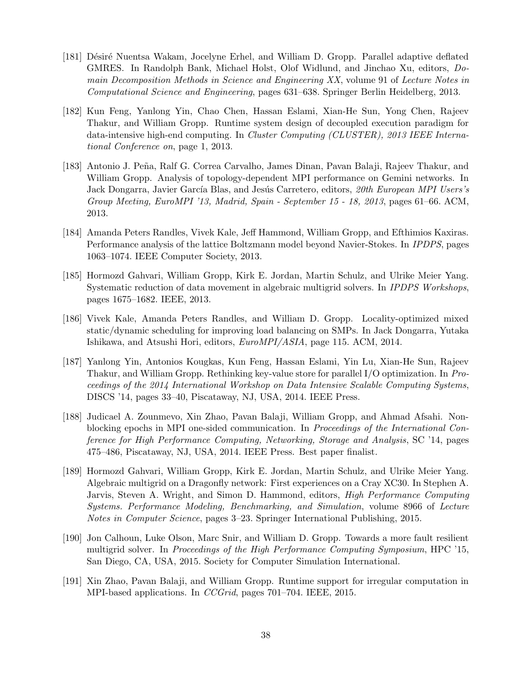- [181] Désiré Nuentsa Wakam, Jocelyne Erhel, and William D. Gropp. Parallel adaptive deflated GMRES. In Randolph Bank, Michael Holst, Olof Widlund, and Jinchao Xu, editors, *Domain Decomposition Methods in Science and Engineering XX*, volume 91 of *Lecture Notes in Computational Science and Engineering*, pages 631–638. Springer Berlin Heidelberg, 2013.
- [182] Kun Feng, Yanlong Yin, Chao Chen, Hassan Eslami, Xian-He Sun, Yong Chen, Rajeev Thakur, and William Gropp. Runtime system design of decoupled execution paradigm for data-intensive high-end computing. In *Cluster Computing (CLUSTER), 2013 IEEE International Conference on*, page 1, 2013.
- [183] Antonio J. Peña, Ralf G. Correa Carvalho, James Dinan, Pavan Balaji, Rajeev Thakur, and William Gropp. Analysis of topology-dependent MPI performance on Gemini networks. In Jack Dongarra, Javier García Blas, and Jesús Carretero, editors, 20th European MPI Users's *Group Meeting, EuroMPI '13, Madrid, Spain - September 15 - 18, 2013*, pages 61–66. ACM, 2013.
- [184] Amanda Peters Randles, Vivek Kale, Jeff Hammond, William Gropp, and Efthimios Kaxiras. Performance analysis of the lattice Boltzmann model beyond Navier-Stokes. In *IPDPS*, pages 1063–1074. IEEE Computer Society, 2013.
- [185] Hormozd Gahvari, William Gropp, Kirk E. Jordan, Martin Schulz, and Ulrike Meier Yang. Systematic reduction of data movement in algebraic multigrid solvers. In *IPDPS Workshops*, pages 1675–1682. IEEE, 2013.
- [186] Vivek Kale, Amanda Peters Randles, and William D. Gropp. Locality-optimized mixed static/dynamic scheduling for improving load balancing on SMPs. In Jack Dongarra, Yutaka Ishikawa, and Atsushi Hori, editors, *EuroMPI/ASIA*, page 115. ACM, 2014.
- [187] Yanlong Yin, Antonios Kougkas, Kun Feng, Hassan Eslami, Yin Lu, Xian-He Sun, Rajeev Thakur, and William Gropp. Rethinking key-value store for parallel I/O optimization. In *Proceedings of the 2014 International Workshop on Data Intensive Scalable Computing Systems*, DISCS '14, pages 33–40, Piscataway, NJ, USA, 2014. IEEE Press.
- [188] Judicael A. Zounmevo, Xin Zhao, Pavan Balaji, William Gropp, and Ahmad Afsahi. Nonblocking epochs in MPI one-sided communication. In *Proceedings of the International Conference for High Performance Computing, Networking, Storage and Analysis*, SC '14, pages 475–486, Piscataway, NJ, USA, 2014. IEEE Press. Best paper finalist.
- [189] Hormozd Gahvari, William Gropp, Kirk E. Jordan, Martin Schulz, and Ulrike Meier Yang. Algebraic multigrid on a Dragonfly network: First experiences on a Cray XC30. In Stephen A. Jarvis, Steven A. Wright, and Simon D. Hammond, editors, *High Performance Computing Systems. Performance Modeling, Benchmarking, and Simulation*, volume 8966 of *Lecture Notes in Computer Science*, pages 3–23. Springer International Publishing, 2015.
- [190] Jon Calhoun, Luke Olson, Marc Snir, and William D. Gropp. Towards a more fault resilient multigrid solver. In *Proceedings of the High Performance Computing Symposium*, HPC '15, San Diego, CA, USA, 2015. Society for Computer Simulation International.
- [191] Xin Zhao, Pavan Balaji, and William Gropp. Runtime support for irregular computation in MPI-based applications. In *CCGrid*, pages 701–704. IEEE, 2015.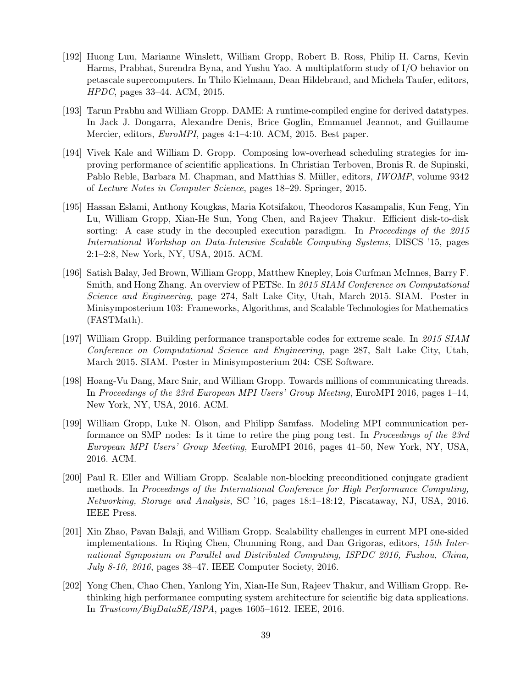- [192] Huong Luu, Marianne Winslett, William Gropp, Robert B. Ross, Philip H. Carns, Kevin Harms, Prabhat, Surendra Byna, and Yushu Yao. A multiplatform study of I/O behavior on petascale supercomputers. In Thilo Kielmann, Dean Hildebrand, and Michela Taufer, editors, *HPDC*, pages 33–44. ACM, 2015.
- [193] Tarun Prabhu and William Gropp. DAME: A runtime-compiled engine for derived datatypes. In Jack J. Dongarra, Alexandre Denis, Brice Goglin, Emmanuel Jeannot, and Guillaume Mercier, editors, *EuroMPI*, pages 4:1–4:10. ACM, 2015. Best paper.
- [194] Vivek Kale and William D. Gropp. Composing low-overhead scheduling strategies for improving performance of scientific applications. In Christian Terboven, Bronis R. de Supinski, Pablo Reble, Barbara M. Chapman, and Matthias S. Müller, editors, *IWOMP*, volume 9342 of *Lecture Notes in Computer Science*, pages 18–29. Springer, 2015.
- [195] Hassan Eslami, Anthony Kougkas, Maria Kotsifakou, Theodoros Kasampalis, Kun Feng, Yin Lu, William Gropp, Xian-He Sun, Yong Chen, and Rajeev Thakur. Efficient disk-to-disk sorting: A case study in the decoupled execution paradigm. In *Proceedings of the 2015 International Workshop on Data-Intensive Scalable Computing Systems*, DISCS '15, pages 2:1–2:8, New York, NY, USA, 2015. ACM.
- [196] Satish Balay, Jed Brown, William Gropp, Matthew Knepley, Lois Curfman McInnes, Barry F. Smith, and Hong Zhang. An overview of PETSc. In *2015 SIAM Conference on Computational Science and Engineering*, page 274, Salt Lake City, Utah, March 2015. SIAM. Poster in Minisymposterium 103: Frameworks, Algorithms, and Scalable Technologies for Mathematics (FASTMath).
- [197] William Gropp. Building performance transportable codes for extreme scale. In *2015 SIAM Conference on Computational Science and Engineering*, page 287, Salt Lake City, Utah, March 2015. SIAM. Poster in Minisymposterium 204: CSE Software.
- [198] Hoang-Vu Dang, Marc Snir, and William Gropp. Towards millions of communicating threads. In *Proceedings of the 23rd European MPI Users' Group Meeting*, EuroMPI 2016, pages 1–14, New York, NY, USA, 2016. ACM.
- [199] William Gropp, Luke N. Olson, and Philipp Samfass. Modeling MPI communication performance on SMP nodes: Is it time to retire the ping pong test. In *Proceedings of the 23rd European MPI Users' Group Meeting*, EuroMPI 2016, pages 41–50, New York, NY, USA, 2016. ACM.
- [200] Paul R. Eller and William Gropp. Scalable non-blocking preconditioned conjugate gradient methods. In *Proceedings of the International Conference for High Performance Computing, Networking, Storage and Analysis*, SC '16, pages 18:1–18:12, Piscataway, NJ, USA, 2016. IEEE Press.
- [201] Xin Zhao, Pavan Balaji, and William Gropp. Scalability challenges in current MPI one-sided implementations. In Riqing Chen, Chunming Rong, and Dan Grigoras, editors, *15th International Symposium on Parallel and Distributed Computing, ISPDC 2016, Fuzhou, China, July 8-10, 2016*, pages 38–47. IEEE Computer Society, 2016.
- [202] Yong Chen, Chao Chen, Yanlong Yin, Xian-He Sun, Rajeev Thakur, and William Gropp. Rethinking high performance computing system architecture for scientific big data applications. In *Trustcom/BigDataSE/ISPA*, pages 1605–1612. IEEE, 2016.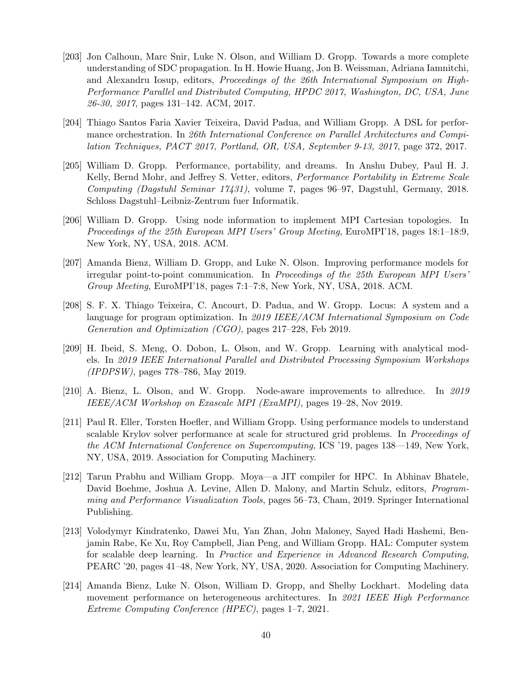- [203] Jon Calhoun, Marc Snir, Luke N. Olson, and William D. Gropp. Towards a more complete understanding of SDC propagation. In H. Howie Huang, Jon B. Weissman, Adriana Iamnitchi, and Alexandru Iosup, editors, *Proceedings of the 26th International Symposium on High-Performance Parallel and Distributed Computing, HPDC 2017, Washington, DC, USA, June 26-30, 2017*, pages 131–142. ACM, 2017.
- [204] Thiago Santos Faria Xavier Teixeira, David Padua, and William Gropp. A DSL for performance orchestration. In *26th International Conference on Parallel Architectures and Compilation Techniques, PACT 2017, Portland, OR, USA, September 9-13, 2017*, page 372, 2017.
- [205] William D. Gropp. Performance, portability, and dreams. In Anshu Dubey, Paul H. J. Kelly, Bernd Mohr, and Jeffrey S. Vetter, editors, *Performance Portability in Extreme Scale Computing (Dagstuhl Seminar 17431)*, volume 7, pages 96–97, Dagstuhl, Germany, 2018. Schloss Dagstuhl–Leibniz-Zentrum fuer Informatik.
- [206] William D. Gropp. Using node information to implement MPI Cartesian topologies. In *Proceedings of the 25th European MPI Users' Group Meeting*, EuroMPI'18, pages 18:1–18:9, New York, NY, USA, 2018. ACM.
- [207] Amanda Bienz, William D. Gropp, and Luke N. Olson. Improving performance models for irregular point-to-point communication. In *Proceedings of the 25th European MPI Users' Group Meeting*, EuroMPI'18, pages 7:1–7:8, New York, NY, USA, 2018. ACM.
- [208] S. F. X. Thiago Teixeira, C. Ancourt, D. Padua, and W. Gropp. Locus: A system and a language for program optimization. In *2019 IEEE/ACM International Symposium on Code Generation and Optimization (CGO)*, pages 217–228, Feb 2019.
- [209] H. Ibeid, S. Meng, O. Dobon, L. Olson, and W. Gropp. Learning with analytical models. In *2019 IEEE International Parallel and Distributed Processing Symposium Workshops (IPDPSW)*, pages 778–786, May 2019.
- [210] A. Bienz, L. Olson, and W. Gropp. Node-aware improvements to allreduce. In *2019 IEEE/ACM Workshop on Exascale MPI (ExaMPI)*, pages 19–28, Nov 2019.
- [211] Paul R. Eller, Torsten Hoefler, and William Gropp. Using performance models to understand scalable Krylov solver performance at scale for structured grid problems. In *Proceedings of the ACM International Conference on Supercomputing*, ICS '19, pages 138––149, New York, NY, USA, 2019. Association for Computing Machinery.
- [212] Tarun Prabhu and William Gropp. Moya—a JIT compiler for HPC. In Abhinav Bhatele, David Boehme, Joshua A. Levine, Allen D. Malony, and Martin Schulz, editors, *Programming and Performance Visualization Tools*, pages 56–73, Cham, 2019. Springer International Publishing.
- [213] Volodymyr Kindratenko, Dawei Mu, Yan Zhan, John Maloney, Sayed Hadi Hashemi, Benjamin Rabe, Ke Xu, Roy Campbell, Jian Peng, and William Gropp. HAL: Computer system for scalable deep learning. In *Practice and Experience in Advanced Research Computing*, PEARC '20, pages 41–48, New York, NY, USA, 2020. Association for Computing Machinery.
- [214] Amanda Bienz, Luke N. Olson, William D. Gropp, and Shelby Lockhart. Modeling data movement performance on heterogeneous architectures. In *2021 IEEE High Performance Extreme Computing Conference (HPEC)*, pages 1–7, 2021.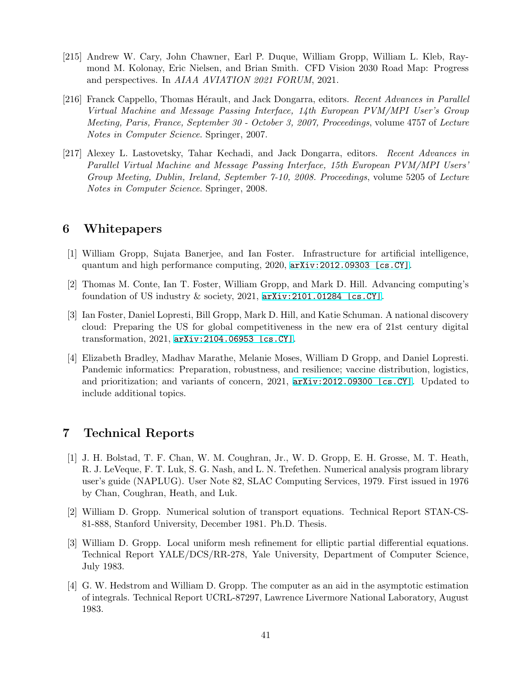- [215] Andrew W. Cary, John Chawner, Earl P. Duque, William Gropp, William L. Kleb, Raymond M. Kolonay, Eric Nielsen, and Brian Smith. CFD Vision 2030 Road Map: Progress and perspectives. In *AIAA AVIATION 2021 FORUM*, 2021.
- <span id="page-40-0"></span>[216] Franck Cappello, Thomas Hérault, and Jack Dongarra, editors. *Recent Advances in Parallel Virtual Machine and Message Passing Interface, 14th European PVM/MPI User's Group Meeting, Paris, France, September 30 - October 3, 2007, Proceedings*, volume 4757 of *Lecture Notes in Computer Science*. Springer, 2007.
- <span id="page-40-1"></span>[217] Alexey L. Lastovetsky, Tahar Kechadi, and Jack Dongarra, editors. *Recent Advances in Parallel Virtual Machine and Message Passing Interface, 15th European PVM/MPI Users' Group Meeting, Dublin, Ireland, September 7-10, 2008. Proceedings*, volume 5205 of *Lecture Notes in Computer Science*. Springer, 2008.

## **6 Whitepapers**

- [1] William Gropp, Sujata Banerjee, and Ian Foster. Infrastructure for artificial intelligence, quantum and high performance computing, 2020, [arXiv:2012.09303 \[cs.CY\]](http://arxiv.org/abs/2012.09303).
- [2] Thomas M. Conte, Ian T. Foster, William Gropp, and Mark D. Hill. Advancing computing's foundation of US industry & society, 2021, [arXiv:2101.01284 \[cs.CY\]](http://arxiv.org/abs/2101.01284).
- [3] Ian Foster, Daniel Lopresti, Bill Gropp, Mark D. Hill, and Katie Schuman. A national discovery cloud: Preparing the US for global competitiveness in the new era of 21st century digital transformation, 2021, [arXiv:2104.06953 \[cs.CY\]](http://arxiv.org/abs/2104.06953).
- [4] Elizabeth Bradley, Madhav Marathe, Melanie Moses, William D Gropp, and Daniel Lopresti. Pandemic informatics: Preparation, robustness, and resilience; vaccine distribution, logistics, and prioritization; and variants of concern, 2021, [arXiv:2012.09300 \[cs.CY\]](http://arxiv.org/abs/2012.09300). Updated to include additional topics.

# **7 Technical Reports**

- [1] J. H. Bolstad, T. F. Chan, W. M. Coughran, Jr., W. D. Gropp, E. H. Grosse, M. T. Heath, R. J. LeVeque, F. T. Luk, S. G. Nash, and L. N. Trefethen. Numerical analysis program library user's guide (NAPLUG). User Note 82, SLAC Computing Services, 1979. First issued in 1976 by Chan, Coughran, Heath, and Luk.
- [2] William D. Gropp. Numerical solution of transport equations. Technical Report STAN-CS-81-888, Stanford University, December 1981. Ph.D. Thesis.
- [3] William D. Gropp. Local uniform mesh refinement for elliptic partial differential equations. Technical Report YALE/DCS/RR-278, Yale University, Department of Computer Science, July 1983.
- [4] G. W. Hedstrom and William D. Gropp. The computer as an aid in the asymptotic estimation of integrals. Technical Report UCRL-87297, Lawrence Livermore National Laboratory, August 1983.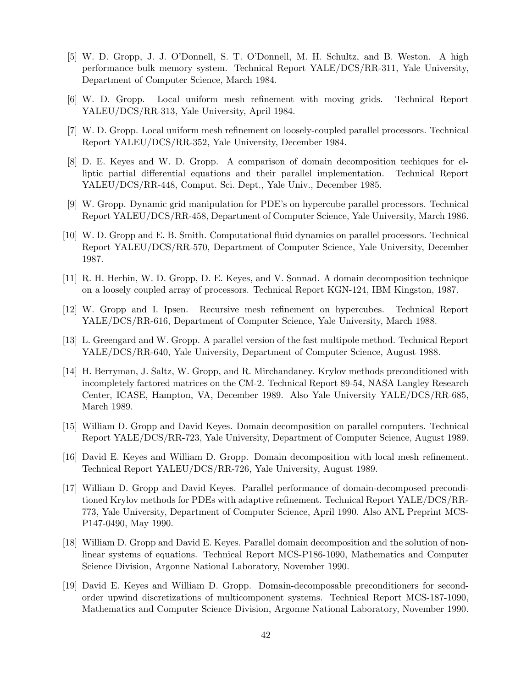- [5] W. D. Gropp, J. J. O'Donnell, S. T. O'Donnell, M. H. Schultz, and B. Weston. A high performance bulk memory system. Technical Report YALE/DCS/RR-311, Yale University, Department of Computer Science, March 1984.
- [6] W. D. Gropp. Local uniform mesh refinement with moving grids. Technical Report YALEU/DCS/RR-313, Yale University, April 1984.
- [7] W. D. Gropp. Local uniform mesh refinement on loosely-coupled parallel processors. Technical Report YALEU/DCS/RR-352, Yale University, December 1984.
- [8] D. E. Keyes and W. D. Gropp. A comparison of domain decomposition techiques for elliptic partial differential equations and their parallel implementation. Technical Report YALEU/DCS/RR-448, Comput. Sci. Dept., Yale Univ., December 1985.
- [9] W. Gropp. Dynamic grid manipulation for PDE's on hypercube parallel processors. Technical Report YALEU/DCS/RR-458, Department of Computer Science, Yale University, March 1986.
- [10] W. D. Gropp and E. B. Smith. Computational fluid dynamics on parallel processors. Technical Report YALEU/DCS/RR-570, Department of Computer Science, Yale University, December 1987.
- [11] R. H. Herbin, W. D. Gropp, D. E. Keyes, and V. Sonnad. A domain decomposition technique on a loosely coupled array of processors. Technical Report KGN-124, IBM Kingston, 1987.
- [12] W. Gropp and I. Ipsen. Recursive mesh refinement on hypercubes. Technical Report YALE/DCS/RR-616, Department of Computer Science, Yale University, March 1988.
- [13] L. Greengard and W. Gropp. A parallel version of the fast multipole method. Technical Report YALE/DCS/RR-640, Yale University, Department of Computer Science, August 1988.
- [14] H. Berryman, J. Saltz, W. Gropp, and R. Mirchandaney. Krylov methods preconditioned with incompletely factored matrices on the CM-2. Technical Report 89-54, NASA Langley Research Center, ICASE, Hampton, VA, December 1989. Also Yale University YALE/DCS/RR-685, March 1989.
- [15] William D. Gropp and David Keyes. Domain decomposition on parallel computers. Technical Report YALE/DCS/RR-723, Yale University, Department of Computer Science, August 1989.
- [16] David E. Keyes and William D. Gropp. Domain decomposition with local mesh refinement. Technical Report YALEU/DCS/RR-726, Yale University, August 1989.
- [17] William D. Gropp and David Keyes. Parallel performance of domain-decomposed preconditioned Krylov methods for PDEs with adaptive refinement. Technical Report YALE/DCS/RR-773, Yale University, Department of Computer Science, April 1990. Also ANL Preprint MCS-P147-0490, May 1990.
- [18] William D. Gropp and David E. Keyes. Parallel domain decomposition and the solution of nonlinear systems of equations. Technical Report MCS-P186-1090, Mathematics and Computer Science Division, Argonne National Laboratory, November 1990.
- [19] David E. Keyes and William D. Gropp. Domain-decomposable preconditioners for secondorder upwind discretizations of multicomponent systems. Technical Report MCS-187-1090, Mathematics and Computer Science Division, Argonne National Laboratory, November 1990.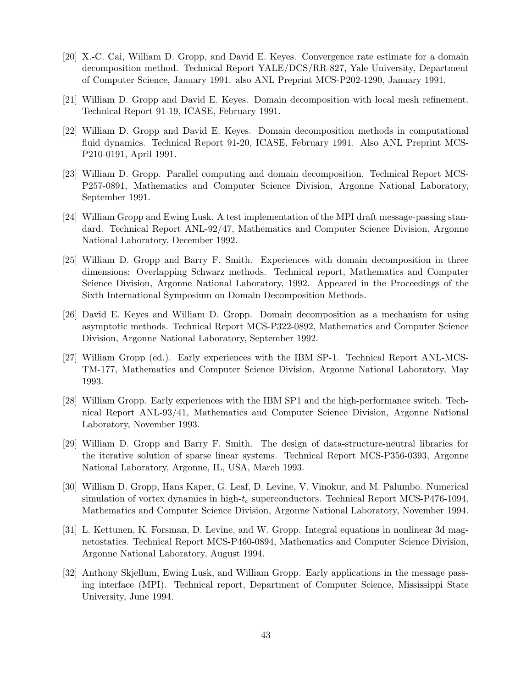- [20] X.-C. Cai, William D. Gropp, and David E. Keyes. Convergence rate estimate for a domain decomposition method. Technical Report YALE/DCS/RR-827, Yale University, Department of Computer Science, January 1991. also ANL Preprint MCS-P202-1290, January 1991.
- [21] William D. Gropp and David E. Keyes. Domain decomposition with local mesh refinement. Technical Report 91-19, ICASE, February 1991.
- [22] William D. Gropp and David E. Keyes. Domain decomposition methods in computational fluid dynamics. Technical Report 91-20, ICASE, February 1991. Also ANL Preprint MCS-P210-0191, April 1991.
- [23] William D. Gropp. Parallel computing and domain decomposition. Technical Report MCS-P257-0891, Mathematics and Computer Science Division, Argonne National Laboratory, September 1991.
- [24] William Gropp and Ewing Lusk. A test implementation of the MPI draft message-passing standard. Technical Report ANL-92/47, Mathematics and Computer Science Division, Argonne National Laboratory, December 1992.
- [25] William D. Gropp and Barry F. Smith. Experiences with domain decomposition in three dimensions: Overlapping Schwarz methods. Technical report, Mathematics and Computer Science Division, Argonne National Laboratory, 1992. Appeared in the Proceedings of the Sixth International Symposium on Domain Decomposition Methods.
- [26] David E. Keyes and William D. Gropp. Domain decomposition as a mechanism for using asymptotic methods. Technical Report MCS-P322-0892, Mathematics and Computer Science Division, Argonne National Laboratory, September 1992.
- [27] William Gropp (ed.). Early experiences with the IBM SP-1. Technical Report ANL-MCS-TM-177, Mathematics and Computer Science Division, Argonne National Laboratory, May 1993.
- [28] William Gropp. Early experiences with the IBM SP1 and the high-performance switch. Technical Report ANL-93/41, Mathematics and Computer Science Division, Argonne National Laboratory, November 1993.
- [29] William D. Gropp and Barry F. Smith. The design of data-structure-neutral libraries for the iterative solution of sparse linear systems. Technical Report MCS-P356-0393, Argonne National Laboratory, Argonne, IL, USA, March 1993.
- [30] William D. Gropp, Hans Kaper, G. Leaf, D. Levine, V. Vinokur, and M. Palumbo. Numerical simulation of vortex dynamics in high-*t<sup>c</sup>* superconductors. Technical Report MCS-P476-1094, Mathematics and Computer Science Division, Argonne National Laboratory, November 1994.
- [31] L. Kettunen, K. Forsman, D. Levine, and W. Gropp. Integral equations in nonlinear 3d magnetostatics. Technical Report MCS-P460-0894, Mathematics and Computer Science Division, Argonne National Laboratory, August 1994.
- [32] Anthony Skjellum, Ewing Lusk, and William Gropp. Early applications in the message passing interface (MPI). Technical report, Department of Computer Science, Mississippi State University, June 1994.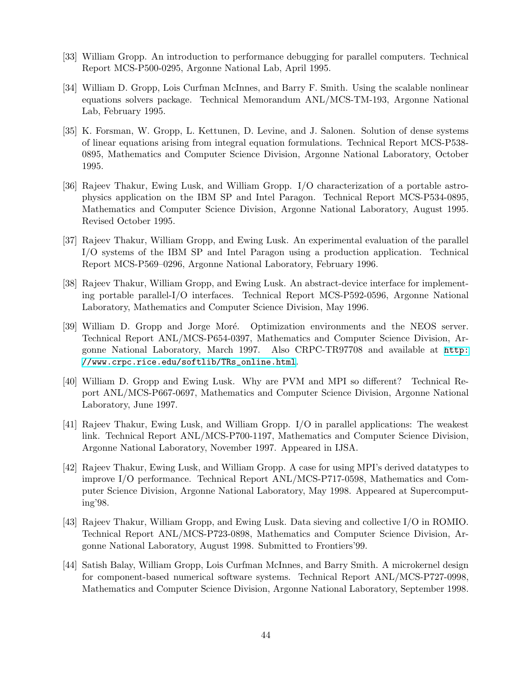- [33] William Gropp. An introduction to performance debugging for parallel computers. Technical Report MCS-P500-0295, Argonne National Lab, April 1995.
- [34] William D. Gropp, Lois Curfman McInnes, and Barry F. Smith. Using the scalable nonlinear equations solvers package. Technical Memorandum ANL/MCS-TM-193, Argonne National Lab, February 1995.
- [35] K. Forsman, W. Gropp, L. Kettunen, D. Levine, and J. Salonen. Solution of dense systems of linear equations arising from integral equation formulations. Technical Report MCS-P538- 0895, Mathematics and Computer Science Division, Argonne National Laboratory, October 1995.
- [36] Rajeev Thakur, Ewing Lusk, and William Gropp. I/O characterization of a portable astrophysics application on the IBM SP and Intel Paragon. Technical Report MCS-P534-0895, Mathematics and Computer Science Division, Argonne National Laboratory, August 1995. Revised October 1995.
- [37] Rajeev Thakur, William Gropp, and Ewing Lusk. An experimental evaluation of the parallel I/O systems of the IBM SP and Intel Paragon using a production application. Technical Report MCS-P569–0296, Argonne National Laboratory, February 1996.
- [38] Rajeev Thakur, William Gropp, and Ewing Lusk. An abstract-device interface for implementing portable parallel-I/O interfaces. Technical Report MCS-P592-0596, Argonne National Laboratory, Mathematics and Computer Science Division, May 1996.
- [39] William D. Gropp and Jorge Moré. Optimization environments and the NEOS server. Technical Report ANL/MCS-P654-0397, Mathematics and Computer Science Division, Argonne National Laboratory, March 1997. Also CRPC-TR97708 and available at [http:](http://www.crpc.rice.edu/softlib/TRs_online.html) [//www.crpc.rice.edu/softlib/TRs\\_online.html](http://www.crpc.rice.edu/softlib/TRs_online.html).
- [40] William D. Gropp and Ewing Lusk. Why are PVM and MPI so different? Technical Report ANL/MCS-P667-0697, Mathematics and Computer Science Division, Argonne National Laboratory, June 1997.
- [41] Rajeev Thakur, Ewing Lusk, and William Gropp. I/O in parallel applications: The weakest link. Technical Report ANL/MCS-P700-1197, Mathematics and Computer Science Division, Argonne National Laboratory, November 1997. Appeared in IJSA.
- [42] Rajeev Thakur, Ewing Lusk, and William Gropp. A case for using MPI's derived datatypes to improve I/O performance. Technical Report ANL/MCS-P717-0598, Mathematics and Computer Science Division, Argonne National Laboratory, May 1998. Appeared at Supercomputing'98.
- [43] Rajeev Thakur, William Gropp, and Ewing Lusk. Data sieving and collective I/O in ROMIO. Technical Report ANL/MCS-P723-0898, Mathematics and Computer Science Division, Argonne National Laboratory, August 1998. Submitted to Frontiers'99.
- [44] Satish Balay, William Gropp, Lois Curfman McInnes, and Barry Smith. A microkernel design for component-based numerical software systems. Technical Report ANL/MCS-P727-0998, Mathematics and Computer Science Division, Argonne National Laboratory, September 1998.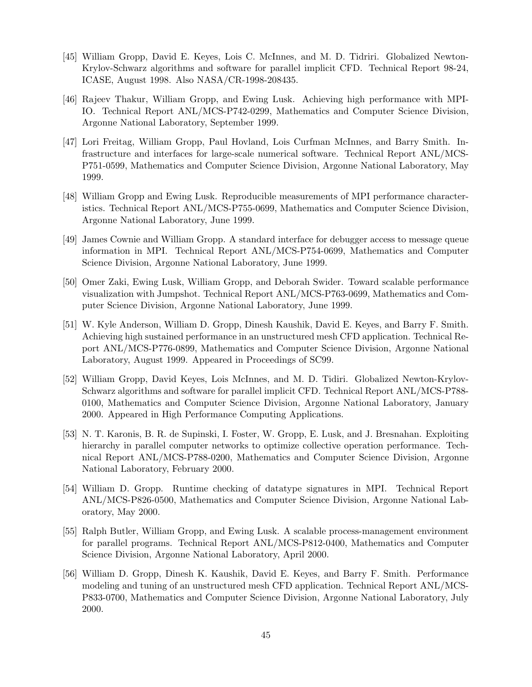- [45] William Gropp, David E. Keyes, Lois C. McInnes, and M. D. Tidriri. Globalized Newton-Krylov-Schwarz algorithms and software for parallel implicit CFD. Technical Report 98-24, ICASE, August 1998. Also NASA/CR-1998-208435.
- [46] Rajeev Thakur, William Gropp, and Ewing Lusk. Achieving high performance with MPI-IO. Technical Report ANL/MCS-P742-0299, Mathematics and Computer Science Division, Argonne National Laboratory, September 1999.
- [47] Lori Freitag, William Gropp, Paul Hovland, Lois Curfman McInnes, and Barry Smith. Infrastructure and interfaces for large-scale numerical software. Technical Report ANL/MCS-P751-0599, Mathematics and Computer Science Division, Argonne National Laboratory, May 1999.
- [48] William Gropp and Ewing Lusk. Reproducible measurements of MPI performance characteristics. Technical Report ANL/MCS-P755-0699, Mathematics and Computer Science Division, Argonne National Laboratory, June 1999.
- [49] James Cownie and William Gropp. A standard interface for debugger access to message queue information in MPI. Technical Report ANL/MCS-P754-0699, Mathematics and Computer Science Division, Argonne National Laboratory, June 1999.
- [50] Omer Zaki, Ewing Lusk, William Gropp, and Deborah Swider. Toward scalable performance visualization with Jumpshot. Technical Report ANL/MCS-P763-0699, Mathematics and Computer Science Division, Argonne National Laboratory, June 1999.
- [51] W. Kyle Anderson, William D. Gropp, Dinesh Kaushik, David E. Keyes, and Barry F. Smith. Achieving high sustained performance in an unstructured mesh CFD application. Technical Report ANL/MCS-P776-0899, Mathematics and Computer Science Division, Argonne National Laboratory, August 1999. Appeared in Proceedings of SC99.
- [52] William Gropp, David Keyes, Lois McInnes, and M. D. Tidiri. Globalized Newton-Krylov-Schwarz algorithms and software for parallel implicit CFD. Technical Report ANL/MCS-P788- 0100, Mathematics and Computer Science Division, Argonne National Laboratory, January 2000. Appeared in High Performance Computing Applications.
- [53] N. T. Karonis, B. R. de Supinski, I. Foster, W. Gropp, E. Lusk, and J. Bresnahan. Exploiting hierarchy in parallel computer networks to optimize collective operation performance. Technical Report ANL/MCS-P788-0200, Mathematics and Computer Science Division, Argonne National Laboratory, February 2000.
- [54] William D. Gropp. Runtime checking of datatype signatures in MPI. Technical Report ANL/MCS-P826-0500, Mathematics and Computer Science Division, Argonne National Laboratory, May 2000.
- [55] Ralph Butler, William Gropp, and Ewing Lusk. A scalable process-management environment for parallel programs. Technical Report ANL/MCS-P812-0400, Mathematics and Computer Science Division, Argonne National Laboratory, April 2000.
- [56] William D. Gropp, Dinesh K. Kaushik, David E. Keyes, and Barry F. Smith. Performance modeling and tuning of an unstructured mesh CFD application. Technical Report ANL/MCS-P833-0700, Mathematics and Computer Science Division, Argonne National Laboratory, July 2000.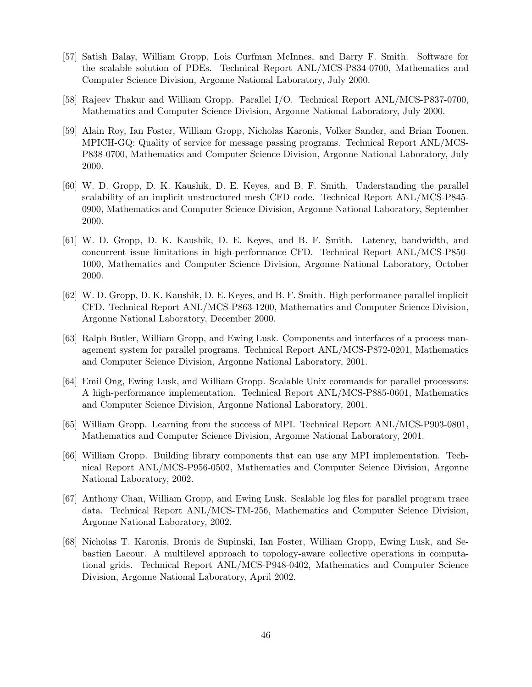- [57] Satish Balay, William Gropp, Lois Curfman McInnes, and Barry F. Smith. Software for the scalable solution of PDEs. Technical Report ANL/MCS-P834-0700, Mathematics and Computer Science Division, Argonne National Laboratory, July 2000.
- [58] Rajeev Thakur and William Gropp. Parallel I/O. Technical Report ANL/MCS-P837-0700, Mathematics and Computer Science Division, Argonne National Laboratory, July 2000.
- [59] Alain Roy, Ian Foster, William Gropp, Nicholas Karonis, Volker Sander, and Brian Toonen. MPICH-GQ: Quality of service for message passing programs. Technical Report ANL/MCS-P838-0700, Mathematics and Computer Science Division, Argonne National Laboratory, July 2000.
- [60] W. D. Gropp, D. K. Kaushik, D. E. Keyes, and B. F. Smith. Understanding the parallel scalability of an implicit unstructured mesh CFD code. Technical Report ANL/MCS-P845- 0900, Mathematics and Computer Science Division, Argonne National Laboratory, September 2000.
- [61] W. D. Gropp, D. K. Kaushik, D. E. Keyes, and B. F. Smith. Latency, bandwidth, and concurrent issue limitations in high-performance CFD. Technical Report ANL/MCS-P850- 1000, Mathematics and Computer Science Division, Argonne National Laboratory, October 2000.
- [62] W. D. Gropp, D. K. Kaushik, D. E. Keyes, and B. F. Smith. High performance parallel implicit CFD. Technical Report ANL/MCS-P863-1200, Mathematics and Computer Science Division, Argonne National Laboratory, December 2000.
- [63] Ralph Butler, William Gropp, and Ewing Lusk. Components and interfaces of a process management system for parallel programs. Technical Report ANL/MCS-P872-0201, Mathematics and Computer Science Division, Argonne National Laboratory, 2001.
- [64] Emil Ong, Ewing Lusk, and William Gropp. Scalable Unix commands for parallel processors: A high-performance implementation. Technical Report ANL/MCS-P885-0601, Mathematics and Computer Science Division, Argonne National Laboratory, 2001.
- [65] William Gropp. Learning from the success of MPI. Technical Report ANL/MCS-P903-0801, Mathematics and Computer Science Division, Argonne National Laboratory, 2001.
- [66] William Gropp. Building library components that can use any MPI implementation. Technical Report ANL/MCS-P956-0502, Mathematics and Computer Science Division, Argonne National Laboratory, 2002.
- [67] Anthony Chan, William Gropp, and Ewing Lusk. Scalable log files for parallel program trace data. Technical Report ANL/MCS-TM-256, Mathematics and Computer Science Division, Argonne National Laboratory, 2002.
- [68] Nicholas T. Karonis, Bronis de Supinski, Ian Foster, William Gropp, Ewing Lusk, and Sebastien Lacour. A multilevel approach to topology-aware collective operations in computational grids. Technical Report ANL/MCS-P948-0402, Mathematics and Computer Science Division, Argonne National Laboratory, April 2002.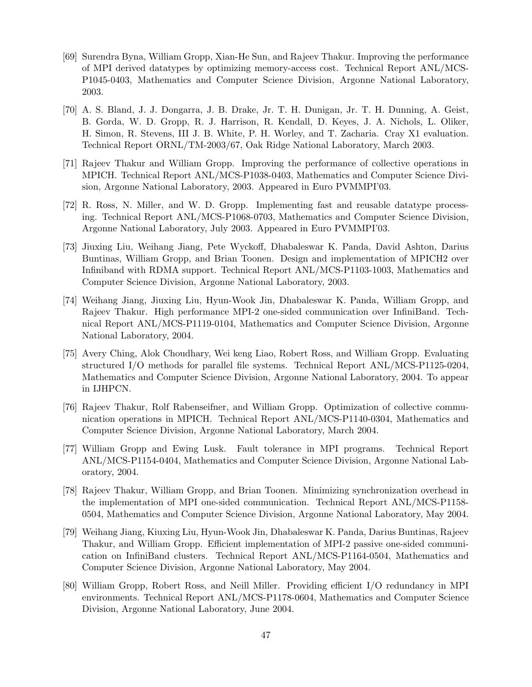- [69] Surendra Byna, William Gropp, Xian-He Sun, and Rajeev Thakur. Improving the performance of MPI derived datatypes by optimizing memory-access cost. Technical Report ANL/MCS-P1045-0403, Mathematics and Computer Science Division, Argonne National Laboratory, 2003.
- [70] A. S. Bland, J. J. Dongarra, J. B. Drake, Jr. T. H. Dunigan, Jr. T. H. Dunning, A. Geist, B. Gorda, W. D. Gropp, R. J. Harrison, R. Kendall, D. Keyes, J. A. Nichols, L. Oliker, H. Simon, R. Stevens, III J. B. White, P. H. Worley, and T. Zacharia. Cray X1 evaluation. Technical Report ORNL/TM-2003/67, Oak Ridge National Laboratory, March 2003.
- [71] Rajeev Thakur and William Gropp. Improving the performance of collective operations in MPICH. Technical Report ANL/MCS-P1038-0403, Mathematics and Computer Science Division, Argonne National Laboratory, 2003. Appeared in Euro PVMMPI'03.
- [72] R. Ross, N. Miller, and W. D. Gropp. Implementing fast and reusable datatype processing. Technical Report ANL/MCS-P1068-0703, Mathematics and Computer Science Division, Argonne National Laboratory, July 2003. Appeared in Euro PVMMPI'03.
- [73] Jiuxing Liu, Weihang Jiang, Pete Wyckoff, Dhabaleswar K. Panda, David Ashton, Darius Buntinas, William Gropp, and Brian Toonen. Design and implementation of MPICH2 over Infiniband with RDMA support. Technical Report ANL/MCS-P1103-1003, Mathematics and Computer Science Division, Argonne National Laboratory, 2003.
- [74] Weihang Jiang, Jiuxing Liu, Hyun-Wook Jin, Dhabaleswar K. Panda, William Gropp, and Rajeev Thakur. High performance MPI-2 one-sided communication over InfiniBand. Technical Report ANL/MCS-P1119-0104, Mathematics and Computer Science Division, Argonne National Laboratory, 2004.
- [75] Avery Ching, Alok Choudhary, Wei keng Liao, Robert Ross, and William Gropp. Evaluating structured I/O methods for parallel file systems. Technical Report ANL/MCS-P1125-0204, Mathematics and Computer Science Division, Argonne National Laboratory, 2004. To appear in IJHPCN.
- [76] Rajeev Thakur, Rolf Rabenseifner, and William Gropp. Optimization of collective communication operations in MPICH. Technical Report ANL/MCS-P1140-0304, Mathematics and Computer Science Division, Argonne National Laboratory, March 2004.
- [77] William Gropp and Ewing Lusk. Fault tolerance in MPI programs. Technical Report ANL/MCS-P1154-0404, Mathematics and Computer Science Division, Argonne National Laboratory, 2004.
- [78] Rajeev Thakur, William Gropp, and Brian Toonen. Minimizing synchronization overhead in the implementation of MPI one-sided communication. Technical Report ANL/MCS-P1158- 0504, Mathematics and Computer Science Division, Argonne National Laboratory, May 2004.
- [79] Weihang Jiang, Kiuxing Liu, Hyun-Wook Jin, Dhabaleswar K. Panda, Darius Buntinas, Rajeev Thakur, and William Gropp. Efficient implementation of MPI-2 passive one-sided communication on InfiniBand clusters. Technical Report ANL/MCS-P1164-0504, Mathematics and Computer Science Division, Argonne National Laboratory, May 2004.
- [80] William Gropp, Robert Ross, and Neill Miller. Providing efficient I/O redundancy in MPI environments. Technical Report ANL/MCS-P1178-0604, Mathematics and Computer Science Division, Argonne National Laboratory, June 2004.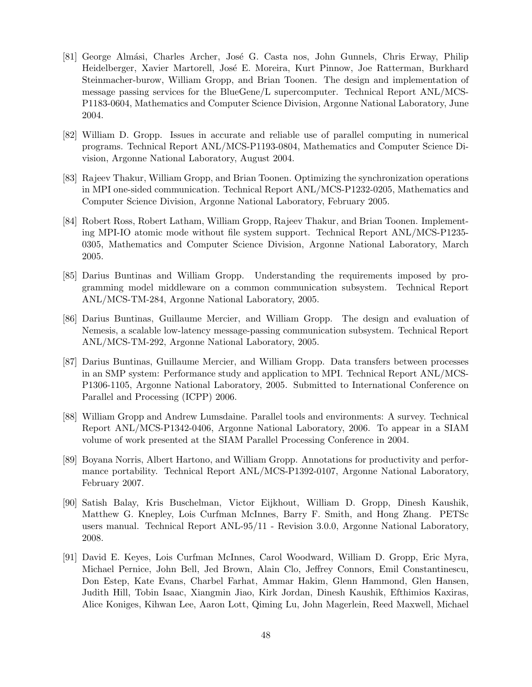- [81] George Almási, Charles Archer, José G. Casta nos, John Gunnels, Chris Erway, Philip Heidelberger, Xavier Martorell, José E. Moreira, Kurt Pinnow, Joe Ratterman, Burkhard Steinmacher-burow, William Gropp, and Brian Toonen. The design and implementation of message passing services for the BlueGene/L supercomputer. Technical Report ANL/MCS-P1183-0604, Mathematics and Computer Science Division, Argonne National Laboratory, June 2004.
- [82] William D. Gropp. Issues in accurate and reliable use of parallel computing in numerical programs. Technical Report ANL/MCS-P1193-0804, Mathematics and Computer Science Division, Argonne National Laboratory, August 2004.
- [83] Rajeev Thakur, William Gropp, and Brian Toonen. Optimizing the synchronization operations in MPI one-sided communication. Technical Report ANL/MCS-P1232-0205, Mathematics and Computer Science Division, Argonne National Laboratory, February 2005.
- [84] Robert Ross, Robert Latham, William Gropp, Rajeev Thakur, and Brian Toonen. Implementing MPI-IO atomic mode without file system support. Technical Report ANL/MCS-P1235- 0305, Mathematics and Computer Science Division, Argonne National Laboratory, March 2005.
- [85] Darius Buntinas and William Gropp. Understanding the requirements imposed by programming model middleware on a common communication subsystem. Technical Report ANL/MCS-TM-284, Argonne National Laboratory, 2005.
- [86] Darius Buntinas, Guillaume Mercier, and William Gropp. The design and evaluation of Nemesis, a scalable low-latency message-passing communication subsystem. Technical Report ANL/MCS-TM-292, Argonne National Laboratory, 2005.
- [87] Darius Buntinas, Guillaume Mercier, and William Gropp. Data transfers between processes in an SMP system: Performance study and application to MPI. Technical Report ANL/MCS-P1306-1105, Argonne National Laboratory, 2005. Submitted to International Conference on Parallel and Processing (ICPP) 2006.
- [88] William Gropp and Andrew Lumsdaine. Parallel tools and environments: A survey. Technical Report ANL/MCS-P1342-0406, Argonne National Laboratory, 2006. To appear in a SIAM volume of work presented at the SIAM Parallel Processing Conference in 2004.
- [89] Boyana Norris, Albert Hartono, and William Gropp. Annotations for productivity and performance portability. Technical Report ANL/MCS-P1392-0107, Argonne National Laboratory, February 2007.
- [90] Satish Balay, Kris Buschelman, Victor Eijkhout, William D. Gropp, Dinesh Kaushik, Matthew G. Knepley, Lois Curfman McInnes, Barry F. Smith, and Hong Zhang. PETSc users manual. Technical Report ANL-95/11 - Revision 3.0.0, Argonne National Laboratory, 2008.
- [91] David E. Keyes, Lois Curfman McInnes, Carol Woodward, William D. Gropp, Eric Myra, Michael Pernice, John Bell, Jed Brown, Alain Clo, Jeffrey Connors, Emil Constantinescu, Don Estep, Kate Evans, Charbel Farhat, Ammar Hakim, Glenn Hammond, Glen Hansen, Judith Hill, Tobin Isaac, Xiangmin Jiao, Kirk Jordan, Dinesh Kaushik, Efthimios Kaxiras, Alice Koniges, Kihwan Lee, Aaron Lott, Qiming Lu, John Magerlein, Reed Maxwell, Michael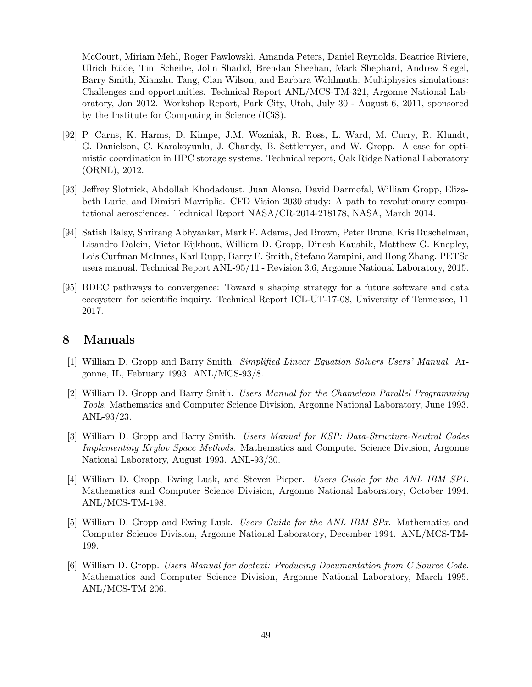McCourt, Miriam Mehl, Roger Pawlowski, Amanda Peters, Daniel Reynolds, Beatrice Riviere, Ulrich Rüde, Tim Scheibe, John Shadid, Brendan Sheehan, Mark Shephard, Andrew Siegel, Barry Smith, Xianzhu Tang, Cian Wilson, and Barbara Wohlmuth. Multiphysics simulations: Challenges and opportunities. Technical Report ANL/MCS-TM-321, Argonne National Laboratory, Jan 2012. Workshop Report, Park City, Utah, July 30 - August 6, 2011, sponsored by the Institute for Computing in Science (ICiS).

- [92] P. Carns, K. Harms, D. Kimpe, J.M. Wozniak, R. Ross, L. Ward, M. Curry, R. Klundt, G. Danielson, C. Karakoyunlu, J. Chandy, B. Settlemyer, and W. Gropp. A case for optimistic coordination in HPC storage systems. Technical report, Oak Ridge National Laboratory (ORNL), 2012.
- [93] Jeffrey Slotnick, Abdollah Khodadoust, Juan Alonso, David Darmofal, William Gropp, Elizabeth Lurie, and Dimitri Mavriplis. CFD Vision 2030 study: A path to revolutionary computational aerosciences. Technical Report NASA/CR-2014-218178, NASA, March 2014.
- [94] Satish Balay, Shrirang Abhyankar, Mark F. Adams, Jed Brown, Peter Brune, Kris Buschelman, Lisandro Dalcin, Victor Eijkhout, William D. Gropp, Dinesh Kaushik, Matthew G. Knepley, Lois Curfman McInnes, Karl Rupp, Barry F. Smith, Stefano Zampini, and Hong Zhang. PETSc users manual. Technical Report ANL-95/11 - Revision 3.6, Argonne National Laboratory, 2015.
- [95] BDEC pathways to convergence: Toward a shaping strategy for a future software and data ecosystem for scientific inquiry. Technical Report ICL-UT-17-08, University of Tennessee, 11 2017.

# **8 Manuals**

- [1] William D. Gropp and Barry Smith. *Simplified Linear Equation Solvers Users' Manual*. Argonne, IL, February 1993. ANL/MCS-93/8.
- [2] William D. Gropp and Barry Smith. *Users Manual for the Chameleon Parallel Programming Tools*. Mathematics and Computer Science Division, Argonne National Laboratory, June 1993. ANL-93/23.
- [3] William D. Gropp and Barry Smith. *Users Manual for KSP: Data-Structure-Neutral Codes Implementing Krylov Space Methods*. Mathematics and Computer Science Division, Argonne National Laboratory, August 1993. ANL-93/30.
- [4] William D. Gropp, Ewing Lusk, and Steven Pieper. *Users Guide for the ANL IBM SP1*. Mathematics and Computer Science Division, Argonne National Laboratory, October 1994. ANL/MCS-TM-198.
- [5] William D. Gropp and Ewing Lusk. *Users Guide for the ANL IBM SPx*. Mathematics and Computer Science Division, Argonne National Laboratory, December 1994. ANL/MCS-TM-199.
- [6] William D. Gropp. *Users Manual for doctext: Producing Documentation from C Source Code*. Mathematics and Computer Science Division, Argonne National Laboratory, March 1995. ANL/MCS-TM 206.